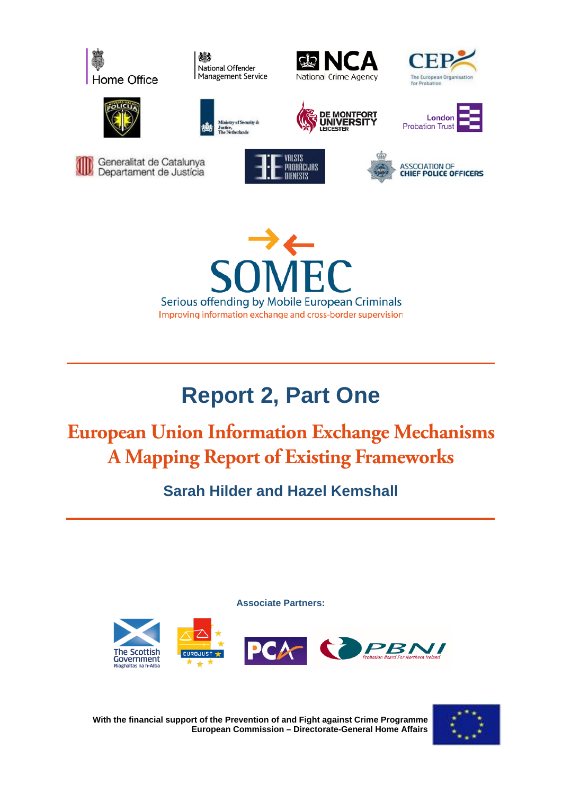

瓣 National Offender **Management Service** 













Generalitat de Catalunya Departament de Justícia







# **Report 2, Part One**

## **European Union Information Exchange Mechanisms A Mapping Report of Existing Frameworks**

**Sarah Hilder and Hazel Kemshall** 

**Associate Partners:** 



**With the financial support of the Prevention of and Fight against Crime Programme European Commission – Directorate-General Home Affairs**

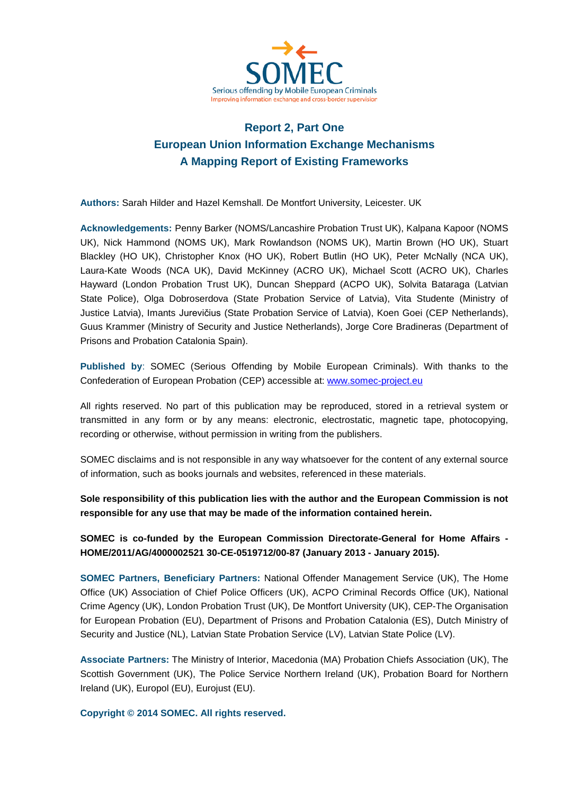

### **Report 2, Part One European Union Information Exchange Mechanisms A Mapping Report of Existing Frameworks**

**Authors:** Sarah Hilder and Hazel Kemshall. De Montfort University, Leicester. UK

**Acknowledgements:** Penny Barker (NOMS/Lancashire Probation Trust UK), Kalpana Kapoor (NOMS UK), Nick Hammond (NOMS UK), Mark Rowlandson (NOMS UK), Martin Brown (HO UK), Stuart Blackley (HO UK), Christopher Knox (HO UK), Robert Butlin (HO UK), Peter McNally (NCA UK), Laura-Kate Woods (NCA UK), David McKinney (ACRO UK), Michael Scott (ACRO UK), Charles Hayward (London Probation Trust UK), Duncan Sheppard (ACPO UK), Solvita Bataraga (Latvian State Police), Olga Dobroserdova (State Probation Service of Latvia), Vita Studente (Ministry of Justice Latvia), Imants Jurevičius (State Probation Service of Latvia), Koen Goei (CEP Netherlands), Guus Krammer (Ministry of Security and Justice Netherlands), Jorge Core Bradineras (Department of Prisons and Probation Catalonia Spain).

**Published by**: SOMEC (Serious Offending by Mobile European Criminals). With thanks to the Confederation of European Probation (CEP) accessible at: [www.somec-project.eu](https://webmail.dmu.ac.uk/owa/redir.aspx?C=GPIy5_-GRk6PaiA6kwG9sZ9mvfX4X9EIA--1E1AxUqfv7xZu82E3VeFp6ShzDbnNJF7P7_fbbxM.&URL=http%3a%2f%2fwww.somec-project.eu)

All rights reserved. No part of this publication may be reproduced, stored in a retrieval system or transmitted in any form or by any means: electronic, electrostatic, magnetic tape, photocopying, recording or otherwise, without permission in writing from the publishers.

SOMEC disclaims and is not responsible in any way whatsoever for the content of any external source of information, such as books journals and websites, referenced in these materials.

**Sole responsibility of this publication lies with the author and the European Commission is not responsible for any use that may be made of the information contained herein.**

**SOMEC is co-funded by the European Commission Directorate-General for Home Affairs - HOME/2011/AG/4000002521 30-CE-0519712/00-87 (January 2013 - January 2015).** 

**SOMEC Partners, Beneficiary Partners:** National Offender Management Service (UK), The Home Office (UK) Association of Chief Police Officers (UK), ACPO Criminal Records Office (UK), National Crime Agency (UK), London Probation Trust (UK), De Montfort University (UK), CEP-The Organisation for European Probation (EU), Department of Prisons and Probation Catalonia (ES), Dutch Ministry of Security and Justice (NL), Latvian State Probation Service (LV), Latvian State Police (LV).

**Associate Partners:** The Ministry of Interior, Macedonia (MA) Probation Chiefs Association (UK), The Scottish Government (UK), The Police Service Northern Ireland (UK), Probation Board for Northern Ireland (UK), Europol (EU), Eurojust (EU).

**Copyright © 2014 SOMEC. All rights reserved.**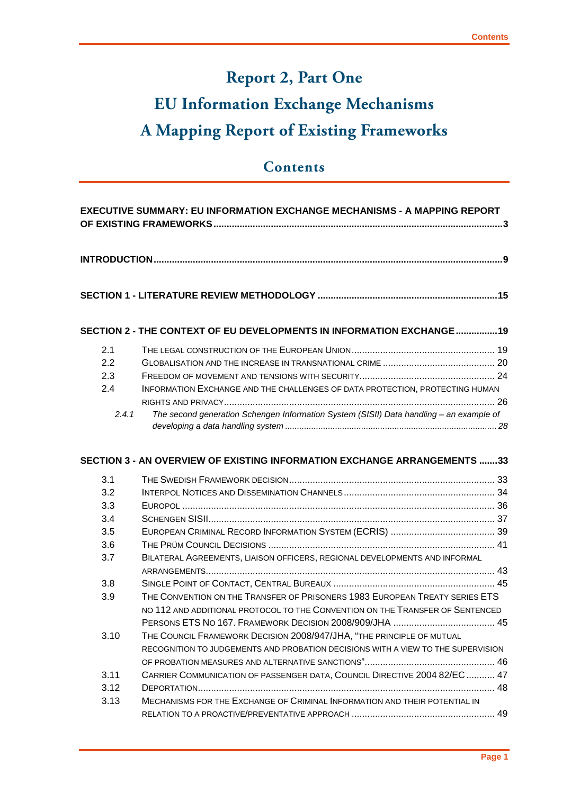## **Report 2, Part One EU Information Exchange Mechanisms A Mapping Report of Existing Frameworks**

### **Contents**

|       | EXECUTIVE SUMMARY: EU INFORMATION EXCHANGE MECHANISMS - A MAPPING REPORT                |  |
|-------|-----------------------------------------------------------------------------------------|--|
|       |                                                                                         |  |
|       |                                                                                         |  |
|       | SECTION 2 - THE CONTEXT OF EU DEVELOPMENTS IN INFORMATION EXCHANGE19                    |  |
| 2.1   |                                                                                         |  |
| 2.2   |                                                                                         |  |
| 2.3   |                                                                                         |  |
| 2.4   | INFORMATION EXCHANGE AND THE CHALLENGES OF DATA PROTECTION, PROTECTING HUMAN            |  |
|       |                                                                                         |  |
| 2.4.1 | The second generation Schengen Information System (SISII) Data handling - an example of |  |
|       | SECTION 3 - AN OVERVIEW OF EXISTING INFORMATION EXCHANGE ARRANGEMENTS 33                |  |
| 3.1   |                                                                                         |  |
| 3.2   |                                                                                         |  |
| 3.3   |                                                                                         |  |
| 3.4   |                                                                                         |  |
| 3.5   |                                                                                         |  |
| 3.6   |                                                                                         |  |
| 3.7   | BILATERAL AGREEMENTS, LIAISON OFFICERS, REGIONAL DEVELOPMENTS AND INFORMAL              |  |
|       |                                                                                         |  |
| 3.8   |                                                                                         |  |
| 3.9   | THE CONVENTION ON THE TRANSFER OF PRISONERS 1983 EUROPEAN TREATY SERIES ETS             |  |
|       | NO 112 AND ADDITIONAL PROTOCOL TO THE CONVENTION ON THE TRANSFER OF SENTENCED           |  |
|       |                                                                                         |  |
| 3.10  | THE COUNCIL FRAMEWORK DECISION 2008/947/JHA, "THE PRINCIPLE OF MUTUAL                   |  |
|       | RECOGNITION TO JUDGEMENTS AND PROBATION DECISIONS WITH A VIEW TO THE SUPERVISION        |  |
|       |                                                                                         |  |
| 3.11  | CARRIER COMMUNICATION OF PASSENGER DATA, COUNCIL DIRECTIVE 2004 82/EC  47               |  |
| 3.12  |                                                                                         |  |
| 3.13  | MECHANISMS FOR THE EXCHANGE OF CRIMINAL INFORMATION AND THEIR POTENTIAL IN              |  |
|       |                                                                                         |  |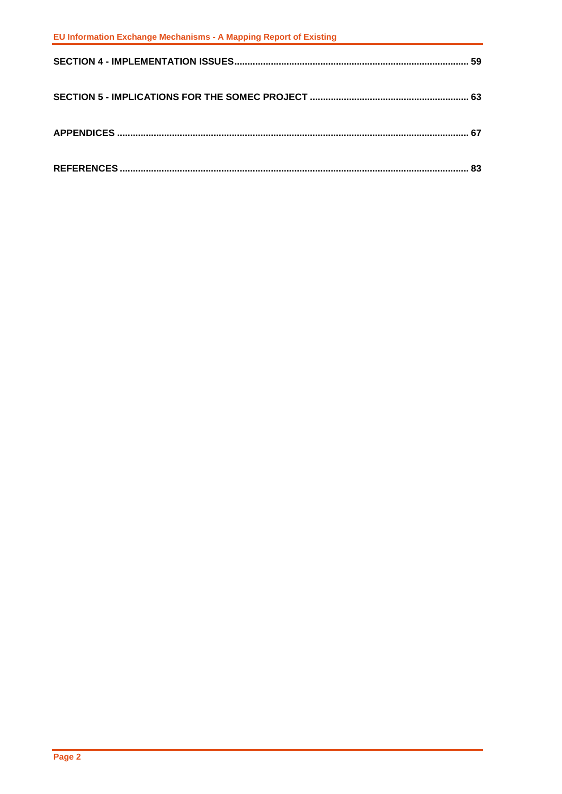| 59 |
|----|
| 63 |
|    |
|    |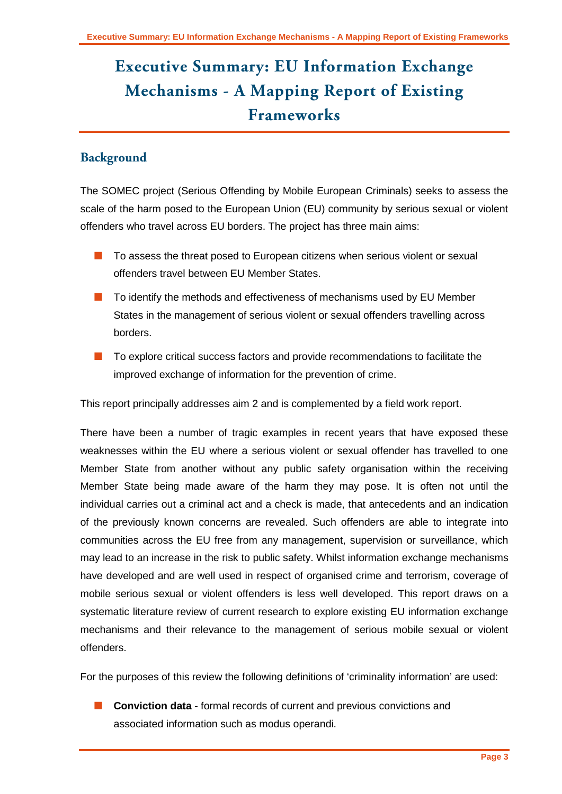## <span id="page-4-0"></span>**Executive Summary: EU Information Exchange Mechanisms - A Mapping Report of Existing Frameworks**

#### **Background**

The SOMEC project (Serious Offending by Mobile European Criminals) seeks to assess the scale of the harm posed to the European Union (EU) community by serious sexual or violent offenders who travel across EU borders. The project has three main aims:

- To assess the threat posed to European citizens when serious violent or sexual offenders travel between EU Member States.
- **T** To identify the methods and effectiveness of mechanisms used by EU Member States in the management of serious violent or sexual offenders travelling across borders.
- To explore critical success factors and provide recommendations to facilitate the improved exchange of information for the prevention of crime.

This report principally addresses aim 2 and is complemented by a field work report.

There have been a number of tragic examples in recent years that have exposed these weaknesses within the EU where a serious violent or sexual offender has travelled to one Member State from another without any public safety organisation within the receiving Member State being made aware of the harm they may pose. It is often not until the individual carries out a criminal act and a check is made, that antecedents and an indication of the previously known concerns are revealed. Such offenders are able to integrate into communities across the EU free from any management, supervision or surveillance, which may lead to an increase in the risk to public safety. Whilst information exchange mechanisms have developed and are well used in respect of organised crime and terrorism, coverage of mobile serious sexual or violent offenders is less well developed. This report draws on a systematic literature review of current research to explore existing EU information exchange mechanisms and their relevance to the management of serious mobile sexual or violent offenders.

For the purposes of this review the following definitions of 'criminality information' are used:

**Conviction data** - formal records of current and previous convictions and associated information such as modus operandi.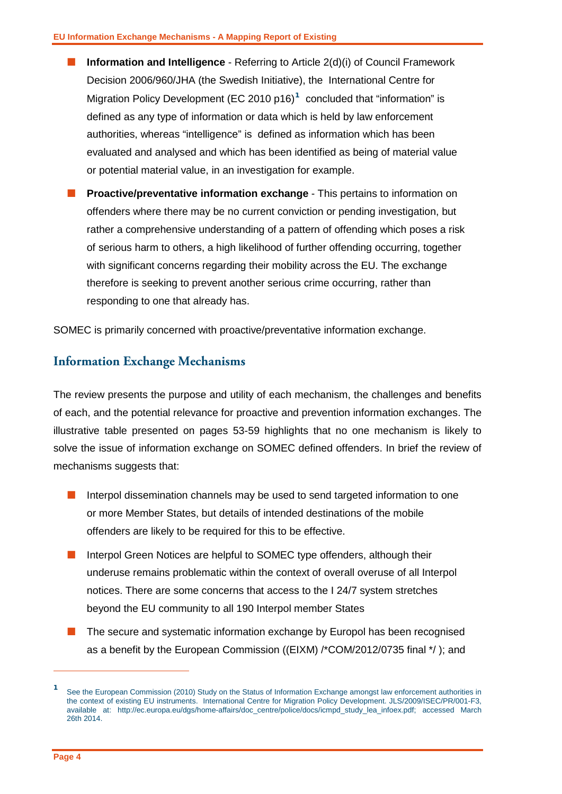- **Information and Intelligence** Referring to Article 2(d)(i) of Council Framework Decision 2006/960/JHA (the Swedish Initiative), the International Centre for Migration Policy Development (EC 20[1](#page-5-0)0 p16)<sup>1</sup> concluded that "information" is defined as any type of information or data which is held by law enforcement authorities, whereas "intelligence" is defined as information which has been evaluated and analysed and which has been identified as being of material value or potential material value, in an investigation for example.
- **Proactive/preventative information exchange** This pertains to information on offenders where there may be no current conviction or pending investigation, but rather a comprehensive understanding of a pattern of offending which poses a risk of serious harm to others, a high likelihood of further offending occurring, together with significant concerns regarding their mobility across the EU. The exchange therefore is seeking to prevent another serious crime occurring, rather than responding to one that already has.

SOMEC is primarily concerned with proactive/preventative information exchange.

#### **Information Exchange Mechanisms**

The review presents the purpose and utility of each mechanism, the challenges and benefits of each, and the potential relevance for proactive and prevention information exchanges. The illustrative table presented on pages 53-59 highlights that no one mechanism is likely to solve the issue of information exchange on SOMEC defined offenders. In brief the review of mechanisms suggests that:

- Interpol dissemination channels may be used to send targeted information to one or more Member States, but details of intended destinations of the mobile offenders are likely to be required for this to be effective.
- **Interpol Green Notices are helpful to SOMEC type offenders, although their** underuse remains problematic within the context of overall overuse of all Interpol notices. There are some concerns that access to the I 24/7 system stretches beyond the EU community to all 190 Interpol member States
- $\blacksquare$  The secure and systematic information exchange by Europol has been recognised as a benefit by the European Commission ((EIXM) /\*COM/2012/0735 final \*/ ); and

<span id="page-5-0"></span>**<sup>1</sup>** See the European Commission (2010) Study on the Status of Information Exchange amongst law enforcement authorities in the context of existing EU instruments. International Centre for Migration Policy Development. JLS/2009/ISEC/PR/001-F3, available at: http://ec.europa.eu/dgs/home-affairs/doc\_centre/police/docs/icmpd\_study\_lea\_infoex.pdf; accessed March 26th 2014.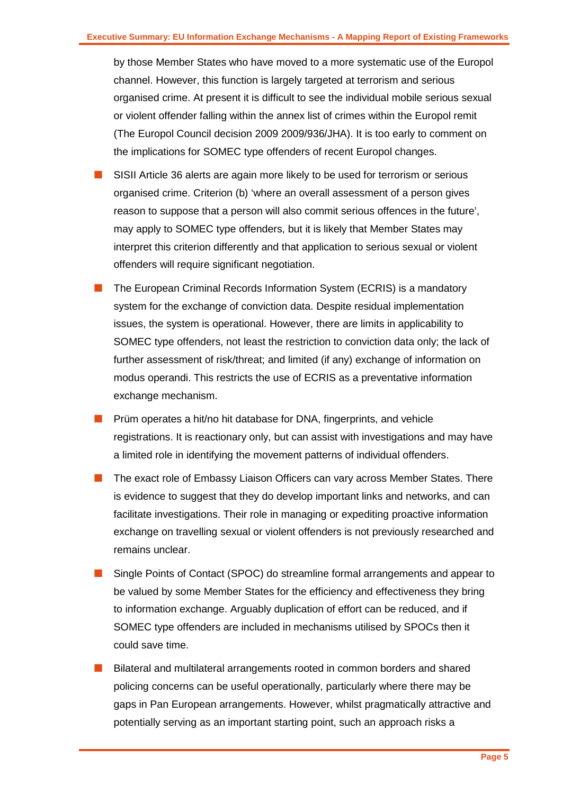by those Member States who have moved to a more systematic use of the Europol channel. However, this function is largely targeted at terrorism and serious organised crime. At present it is difficult to see the individual mobile serious sexual or violent offender falling within the annex list of crimes within the Europol remit (The Europol Council decision 2009 2009/936/JHA). It is too early to comment on the implications for SOMEC type offenders of recent Europol changes.

- SISII Article 36 alerts are again more likely to be used for terrorism or serious organised crime. Criterion (b) 'where an overall assessment of a person gives reason to suppose that a person will also commit serious offences in the future', may apply to SOMEC type offenders, but it is likely that Member States may interpret this criterion differently and that application to serious sexual or violent offenders will require significant negotiation.
- The European Criminal Records Information System (ECRIS) is a mandatory system for the exchange of conviction data. Despite residual implementation issues, the system is operational. However, there are limits in applicability to SOMEC type offenders, not least the restriction to conviction data only; the lack of further assessment of risk/threat; and limited (if any) exchange of information on modus operandi. This restricts the use of ECRIS as a preventative information exchange mechanism.
- **Prüm operates a hit/no hit database for DNA, fingerprints, and vehicle** registrations. It is reactionary only, but can assist with investigations and may have a limited role in identifying the movement patterns of individual offenders.
- The exact role of Embassy Liaison Officers can vary across Member States. There is evidence to suggest that they do develop important links and networks, and can facilitate investigations. Their role in managing or expediting proactive information exchange on travelling sexual or violent offenders is not previously researched and remains unclear.
- Single Points of Contact (SPOC) do streamline formal arrangements and appear to be valued by some Member States for the efficiency and effectiveness they bring to information exchange. Arguably duplication of effort can be reduced, and if SOMEC type offenders are included in mechanisms utilised by SPOCs then it could save time.
- Bilateral and multilateral arrangements rooted in common borders and shared policing concerns can be useful operationally, particularly where there may be gaps in Pan European arrangements. However, whilst pragmatically attractive and potentially serving as an important starting point, such an approach risks a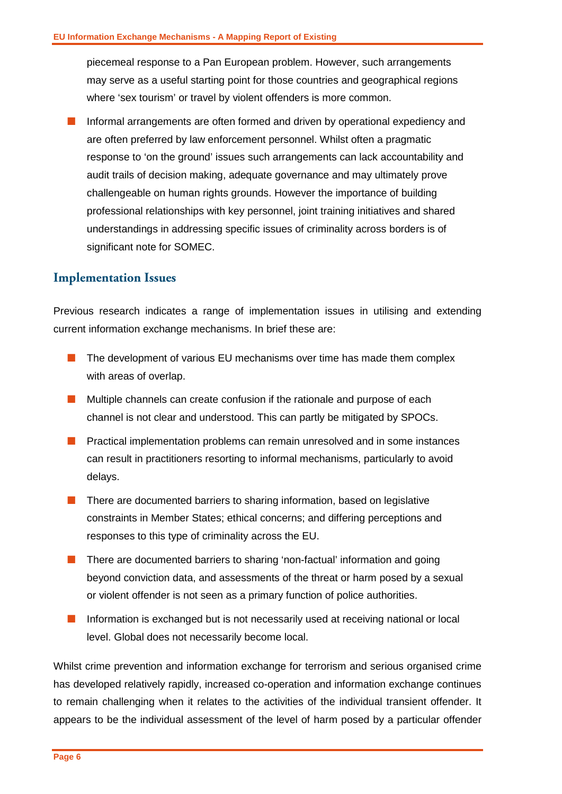piecemeal response to a Pan European problem. However, such arrangements may serve as a useful starting point for those countries and geographical regions where 'sex tourism' or travel by violent offenders is more common.

**Informal arrangements are often formed and driven by operational expediency and** are often preferred by law enforcement personnel. Whilst often a pragmatic response to 'on the ground' issues such arrangements can lack accountability and audit trails of decision making, adequate governance and may ultimately prove challengeable on human rights grounds. However the importance of building professional relationships with key personnel, joint training initiatives and shared understandings in addressing specific issues of criminality across borders is of significant note for SOMEC.

#### **Implementation Issues**

Previous research indicates a range of implementation issues in utilising and extending current information exchange mechanisms. In brief these are:

- $\blacksquare$  The development of various EU mechanisms over time has made them complex with areas of overlap.
- **Multiple channels can create confusion if the rationale and purpose of each** channel is not clear and understood. This can partly be mitigated by SPOCs.
- **Practical implementation problems can remain unresolved and in some instances** can result in practitioners resorting to informal mechanisms, particularly to avoid delays.
- **There are documented barriers to sharing information, based on legislative** constraints in Member States; ethical concerns; and differing perceptions and responses to this type of criminality across the EU.
- **There are documented barriers to sharing 'non-factual' information and going** beyond conviction data, and assessments of the threat or harm posed by a sexual or violent offender is not seen as a primary function of police authorities.
- **Information is exchanged but is not necessarily used at receiving national or local** level. Global does not necessarily become local.

Whilst crime prevention and information exchange for terrorism and serious organised crime has developed relatively rapidly, increased co-operation and information exchange continues to remain challenging when it relates to the activities of the individual transient offender. It appears to be the individual assessment of the level of harm posed by a particular offender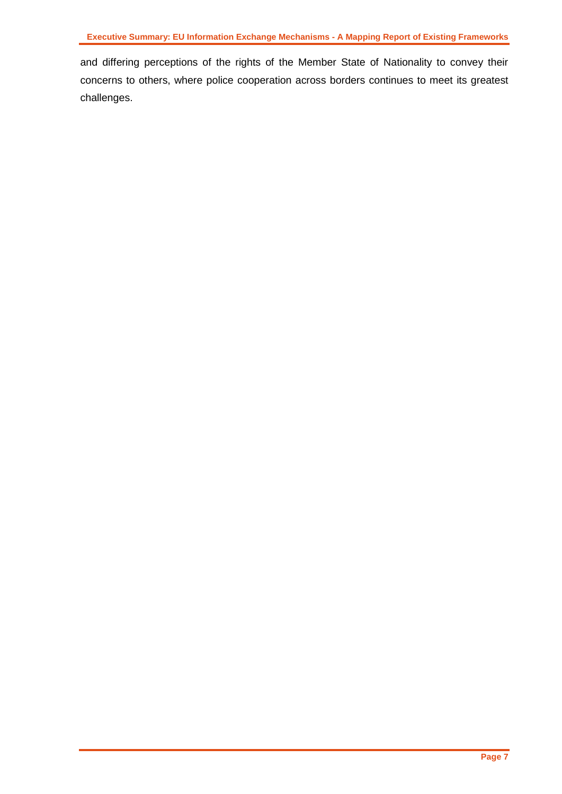and differing perceptions of the rights of the Member State of Nationality to convey their concerns to others, where police cooperation across borders continues to meet its greatest challenges.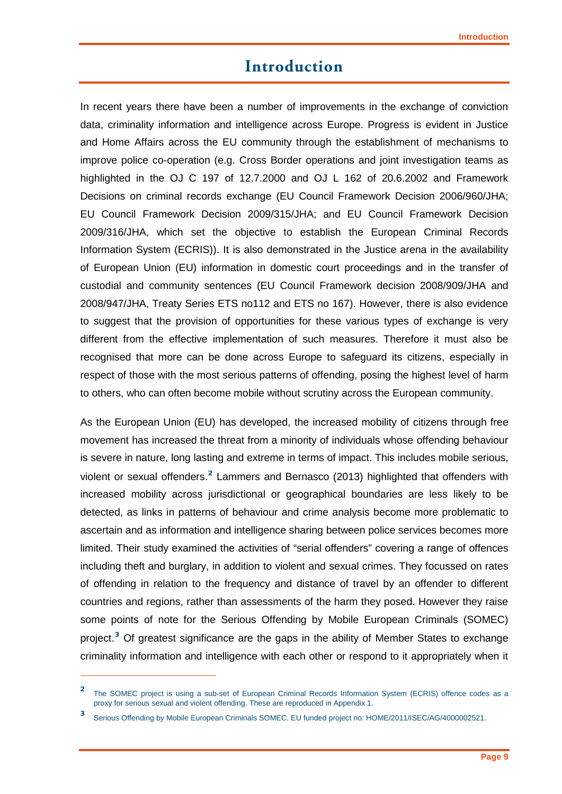## **Introduction**

<span id="page-10-0"></span>In recent years there have been a number of improvements in the exchange of conviction data, criminality information and intelligence across Europe. Progress is evident in Justice and Home Affairs across the EU community through the establishment of mechanisms to improve police co-operation (e.g. Cross Border operations and joint investigation teams as highlighted in the OJ C 197 of 12.7.2000 and OJ L 162 of 20.6.2002 and Framework Decisions on criminal records exchange (EU Council Framework Decision 2006/960/JHA; EU Council Framework Decision 2009/315/JHA; and EU Council Framework Decision 2009/316/JHA, which set the objective to establish the European Criminal Records Information System (ECRIS)). It is also demonstrated in the Justice arena in the availability of European Union (EU) information in domestic court proceedings and in the transfer of custodial and community sentences (EU Council Framework decision 2008/909/JHA and 2008/947/JHA, Treaty Series ETS no112 and ETS no 167). However, there is also evidence to suggest that the provision of opportunities for these various types of exchange is very different from the effective implementation of such measures. Therefore it must also be recognised that more can be done across Europe to safeguard its citizens, especially in respect of those with the most serious patterns of offending, posing the highest level of harm to others, who can often become mobile without scrutiny across the European community.

As the European Union (EU) has developed, the increased mobility of citizens through free movement has increased the threat from a minority of individuals whose offending behaviour is severe in nature, long lasting and extreme in terms of impact. This includes mobile serious, violent or sexual offenders. **[2](#page-10-1)** Lammers and Bernasco (2013) highlighted that offenders with increased mobility across jurisdictional or geographical boundaries are less likely to be detected, as links in patterns of behaviour and crime analysis become more problematic to ascertain and as information and intelligence sharing between police services becomes more limited. Their study examined the activities of "serial offenders" covering a range of offences including theft and burglary, in addition to violent and sexual crimes. They focussed on rates of offending in relation to the frequency and distance of travel by an offender to different countries and regions, rather than assessments of the harm they posed. However they raise some points of note for the Serious Offending by Mobile European Criminals (SOMEC) project. **[3](#page-10-2)** Of greatest significance are the gaps in the ability of Member States to exchange criminality information and intelligence with each other or respond to it appropriately when it

<span id="page-10-1"></span>**<sup>2</sup>** The SOMEC project is using a sub-set of European Criminal Records Information System (ECRIS) offence codes as a proxy for serious sexual and violent offending. These are reproduced in Appendix 1.

<span id="page-10-2"></span>**<sup>3</sup>** Serious Offending by Mobile European Criminals SOMEC, EU funded project no: HOME/2011/ISEC/AG/4000002521.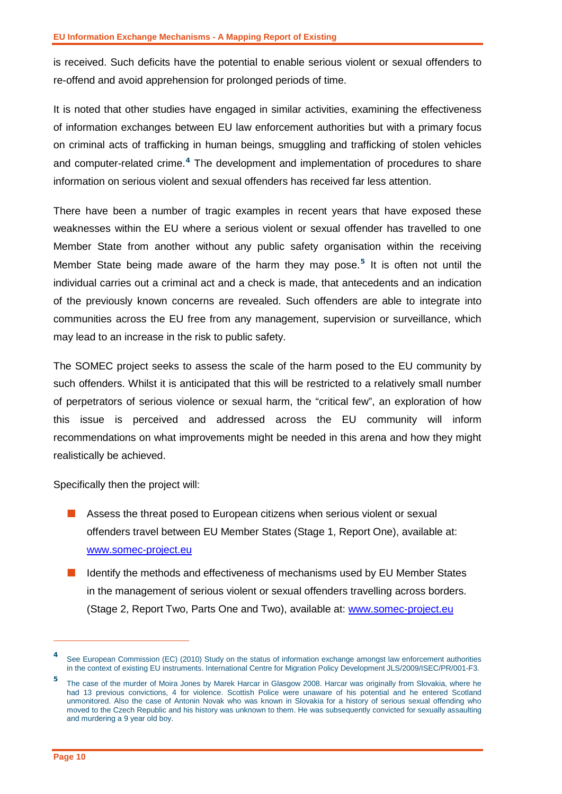is received. Such deficits have the potential to enable serious violent or sexual offenders to re-offend and avoid apprehension for prolonged periods of time.

It is noted that other studies have engaged in similar activities, examining the effectiveness of information exchanges between EU law enforcement authorities but with a primary focus on criminal acts of trafficking in human beings, smuggling and trafficking of stolen vehicles and computer-related crime.**[4](#page-11-0)** The development and implementation of procedures to share information on serious violent and sexual offenders has received far less attention.

There have been a number of tragic examples in recent years that have exposed these weaknesses within the EU where a serious violent or sexual offender has travelled to one Member State from another without any public safety organisation within the receiving Member State being made aware of the harm they may pose. **[5](#page-11-1)** It is often not until the individual carries out a criminal act and a check is made, that antecedents and an indication of the previously known concerns are revealed. Such offenders are able to integrate into communities across the EU free from any management, supervision or surveillance, which may lead to an increase in the risk to public safety.

The SOMEC project seeks to assess the scale of the harm posed to the EU community by such offenders. Whilst it is anticipated that this will be restricted to a relatively small number of perpetrators of serious violence or sexual harm, the "critical few", an exploration of how this issue is perceived and addressed across the EU community will inform recommendations on what improvements might be needed in this arena and how they might realistically be achieved.

Specifically then the project will:

- **Assess the threat posed to European citizens when serious violent or sexual** offenders travel between EU Member States (Stage 1, Report One), available at: [www.somec-project.eu](http://www.somec-project.eu/)
- $\blacksquare$  Identify the methods and effectiveness of mechanisms used by EU Member States in the management of serious violent or sexual offenders travelling across borders. (Stage 2, Report Two, Parts One and Two), available at: [www.somec-project.eu](http://www.somec-project.eu/)

<span id="page-11-0"></span>**<sup>4</sup>** See European Commission (EC) (2010) Study on the status of information exchange amongst law enforcement authorities in the context of existing EU instruments. International Centre for Migration Policy Development JLS/2009/ISEC/PR/001-F3.

<span id="page-11-1"></span>**<sup>5</sup>** The case of the murder of Moira Jones by Marek Harcar in Glasgow 2008. Harcar was originally from Slovakia, where he had 13 previous convictions, 4 for violence. Scottish Police were unaware of his potential and he entered Scotland unmonitored. Also the case of Antonin Novak who was known in Slovakia for a history of serious sexual offending who moved to the Czech Republic and his history was unknown to them. He was subsequently convicted for sexually assaulting and murdering a 9 year old boy.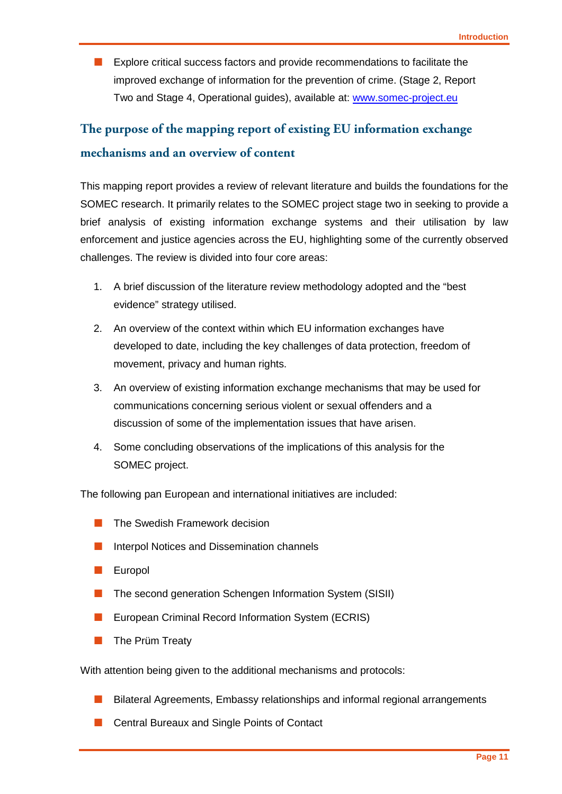**EXPLORE CRITE 2018** Explore critical success factors and provide recommendations to facilitate the improved exchange of information for the prevention of crime. (Stage 2, Report Two and Stage 4, Operational guides), available at: [www.somec-project.eu](http://www.somec-project.eu/)

## **The purpose of the mapping report of existing EU information exchange mechanisms and an overview of content**

This mapping report provides a review of relevant literature and builds the foundations for the SOMEC research. It primarily relates to the SOMEC project stage two in seeking to provide a brief analysis of existing information exchange systems and their utilisation by law enforcement and justice agencies across the EU, highlighting some of the currently observed challenges. The review is divided into four core areas:

- 1. A brief discussion of the literature review methodology adopted and the "best evidence" strategy utilised.
- 2. An overview of the context within which EU information exchanges have developed to date, including the key challenges of data protection, freedom of movement, privacy and human rights.
- 3. An overview of existing information exchange mechanisms that may be used for communications concerning serious violent or sexual offenders and a discussion of some of the implementation issues that have arisen.
- 4. Some concluding observations of the implications of this analysis for the SOMEC project.

The following pan European and international initiatives are included:

- The Swedish Framework decision
- Interpol Notices and Dissemination channels
- **Europol**
- **The second generation Schengen Information System (SISII)**
- European Criminal Record Information System (ECRIS)
- The Prüm Treaty

With attention being given to the additional mechanisms and protocols:

- Bilateral Agreements, Embassy relationships and informal regional arrangements
- Central Bureaux and Single Points of Contact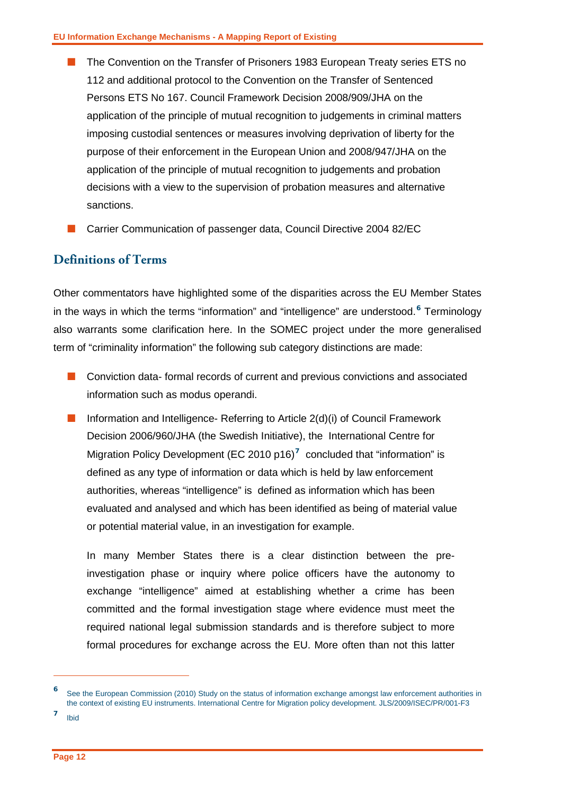- **The Convention on the Transfer of Prisoners 1983 European Treaty series ETS no** 112 and additional protocol to the Convention on the Transfer of Sentenced Persons ETS No 167. Council Framework Decision 2008/909/JHA on the application of the principle of mutual recognition to judgements in criminal matters imposing custodial sentences or measures involving deprivation of liberty for the purpose of their enforcement in the European Union and 2008/947/JHA on the application of the principle of mutual recognition to judgements and probation decisions with a view to the supervision of probation measures and alternative sanctions.
- Carrier Communication of passenger data, Council Directive 2004 82/EC

#### **Definitions of Terms**

Other commentators have highlighted some of the disparities across the EU Member States in the ways in which the terms "information" and "intelligence" are understood.**[6](#page-13-0)** Terminology also warrants some clarification here. In the SOMEC project under the more generalised term of "criminality information" the following sub category distinctions are made:

- **Conviction data- formal records of current and previous convictions and associated** information such as modus operandi.
- Information and Intelligence- Referring to Article 2(d)(i) of Council Framework Decision 2006/960/JHA (the Swedish Initiative), the International Centre for Migration Policy Development (EC 2010 p16)<sup>[7](#page-13-1)</sup> concluded that "information" is defined as any type of information or data which is held by law enforcement authorities, whereas "intelligence" is defined as information which has been evaluated and analysed and which has been identified as being of material value or potential material value, in an investigation for example.

In many Member States there is a clear distinction between the preinvestigation phase or inquiry where police officers have the autonomy to exchange "intelligence" aimed at establishing whether a crime has been committed and the formal investigation stage where evidence must meet the required national legal submission standards and is therefore subject to more formal procedures for exchange across the EU. More often than not this latter

<span id="page-13-1"></span>**<sup>7</sup>** Ibid

<span id="page-13-0"></span>**<sup>6</sup>** See the European Commission (2010) Study on the status of information exchange amongst law enforcement authorities in the context of existing EU instruments. International Centre for Migration policy development. JLS/2009/ISEC/PR/001-F3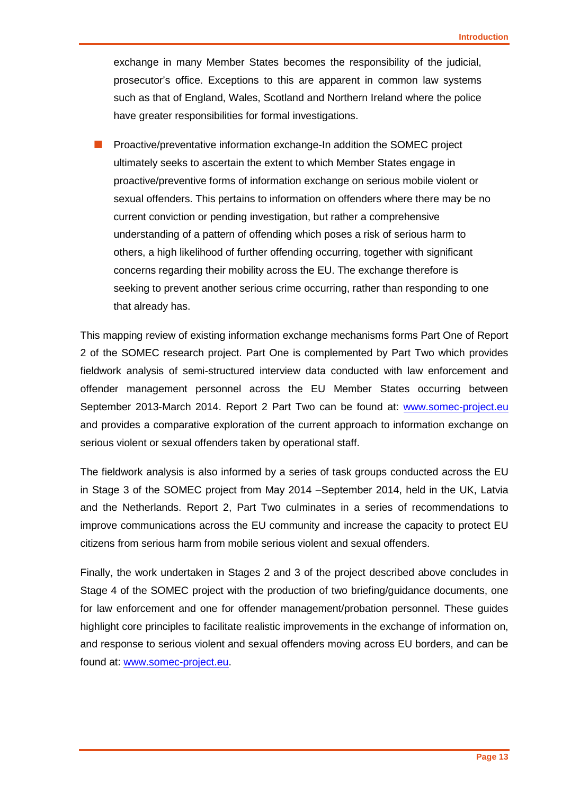exchange in many Member States becomes the responsibility of the judicial, prosecutor's office. Exceptions to this are apparent in common law systems such as that of England, Wales, Scotland and Northern Ireland where the police have greater responsibilities for formal investigations.

 Proactive/preventative information exchange-In addition the SOMEC project ultimately seeks to ascertain the extent to which Member States engage in proactive/preventive forms of information exchange on serious mobile violent or sexual offenders. This pertains to information on offenders where there may be no current conviction or pending investigation, but rather a comprehensive understanding of a pattern of offending which poses a risk of serious harm to others, a high likelihood of further offending occurring, together with significant concerns regarding their mobility across the EU. The exchange therefore is seeking to prevent another serious crime occurring, rather than responding to one that already has.

This mapping review of existing information exchange mechanisms forms Part One of Report 2 of the SOMEC research project. Part One is complemented by Part Two which provides fieldwork analysis of semi-structured interview data conducted with law enforcement and offender management personnel across the EU Member States occurring between September 2013-March 2014. Report 2 Part Two can be found at: [www.somec-project.eu](http://www.somec-project.eu/) and provides a comparative exploration of the current approach to information exchange on serious violent or sexual offenders taken by operational staff.

The fieldwork analysis is also informed by a series of task groups conducted across the EU in Stage 3 of the SOMEC project from May 2014 –September 2014, held in the UK, Latvia and the Netherlands. Report 2, Part Two culminates in a series of recommendations to improve communications across the EU community and increase the capacity to protect EU citizens from serious harm from mobile serious violent and sexual offenders.

Finally, the work undertaken in Stages 2 and 3 of the project described above concludes in Stage 4 of the SOMEC project with the production of two briefing/guidance documents, one for law enforcement and one for offender management/probation personnel. These guides highlight core principles to facilitate realistic improvements in the exchange of information on, and response to serious violent and sexual offenders moving across EU borders, and can be found at: [www.somec-project.eu.](http://www.somec-project.eu/)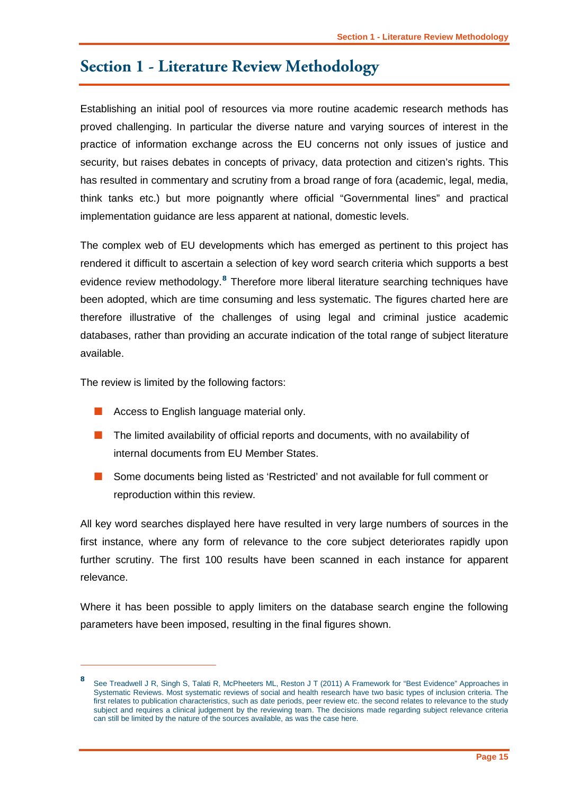## <span id="page-16-0"></span>**Section 1 - Literature Review Methodology**

Establishing an initial pool of resources via more routine academic research methods has proved challenging. In particular the diverse nature and varying sources of interest in the practice of information exchange across the EU concerns not only issues of justice and security, but raises debates in concepts of privacy, data protection and citizen's rights. This has resulted in commentary and scrutiny from a broad range of fora (academic, legal, media, think tanks etc.) but more poignantly where official "Governmental lines" and practical implementation guidance are less apparent at national, domestic levels.

The complex web of EU developments which has emerged as pertinent to this project has rendered it difficult to ascertain a selection of key word search criteria which supports a best evidence review methodology. **[8](#page-16-1)** Therefore more liberal literature searching techniques have been adopted, which are time consuming and less systematic. The figures charted here are therefore illustrative of the challenges of using legal and criminal justice academic databases, rather than providing an accurate indication of the total range of subject literature available.

The review is limited by the following factors:

-

- **Access to English language material only.**
- The limited availability of official reports and documents, with no availability of internal documents from EU Member States.
- Some documents being listed as 'Restricted' and not available for full comment or reproduction within this review.

All key word searches displayed here have resulted in very large numbers of sources in the first instance, where any form of relevance to the core subject deteriorates rapidly upon further scrutiny. The first 100 results have been scanned in each instance for apparent relevance.

Where it has been possible to apply limiters on the database search engine the following parameters have been imposed, resulting in the final figures shown.

<span id="page-16-1"></span>**<sup>8</sup>** See Treadwell J R, Singh S, Talati R, McPheeters ML, Reston J T (2011) A Framework for "Best Evidence" Approaches in Systematic Reviews. Most systematic reviews of social and health research have two basic types of inclusion criteria. The first relates to publication characteristics, such as date periods, peer review etc. the second relates to relevance to the study subject and requires a clinical judgement by the reviewing team. The decisions made regarding subject relevance criteria can still be limited by the nature of the sources available, as was the case here.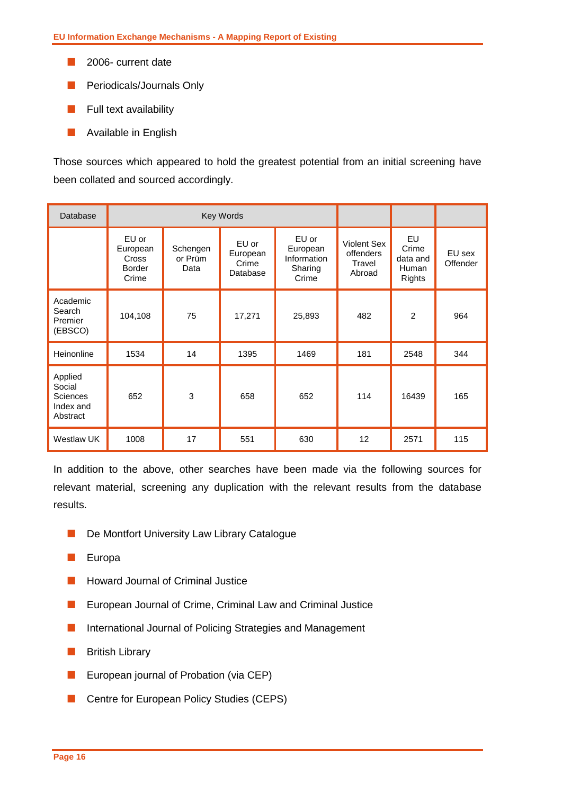- 2006- current date
- **Periodicals/Journals Only**
- $\blacksquare$  Full text availability
- **Available in English**

Those sources which appeared to hold the greatest potential from an initial screening have been collated and sourced accordingly.

| Database                                                      |                                                             | Key Words                   |                                        |                                                      |                                                     |                                                   |                    |
|---------------------------------------------------------------|-------------------------------------------------------------|-----------------------------|----------------------------------------|------------------------------------------------------|-----------------------------------------------------|---------------------------------------------------|--------------------|
|                                                               | EU or<br>European<br><b>Cross</b><br><b>Border</b><br>Crime | Schengen<br>or Prüm<br>Data | EU or<br>European<br>Crime<br>Database | EU or<br>European<br>Information<br>Sharing<br>Crime | <b>Violent Sex</b><br>offenders<br>Travel<br>Abroad | <b>EU</b><br>Crime<br>data and<br>Human<br>Rights | EU sex<br>Offender |
| Academic<br>Search<br>Premier<br>(EBSCO)                      | 104,108                                                     | 75                          | 17,271                                 | 25,893                                               | 482                                                 | $\overline{2}$                                    | 964                |
| Heinonline                                                    | 1534                                                        | 14                          | 1395                                   | 1469                                                 | 181                                                 | 2548                                              | 344                |
| Applied<br>Social<br><b>Sciences</b><br>Index and<br>Abstract | 652                                                         | 3                           | 658                                    | 652                                                  | 114                                                 | 16439                                             | 165                |
| Westlaw UK                                                    | 1008                                                        | 17                          | 551                                    | 630                                                  | 12                                                  | 2571                                              | 115                |

In addition to the above, other searches have been made via the following sources for relevant material, screening any duplication with the relevant results from the database results.

- De Montfort University Law Library Catalogue
- **Europa**
- **Howard Journal of Criminal Justice**
- **EU** European Journal of Crime, Criminal Law and Criminal Justice
- **International Journal of Policing Strategies and Management**
- **British Library**
- **EU European journal of Probation (via CEP)**
- **Centre for European Policy Studies (CEPS)**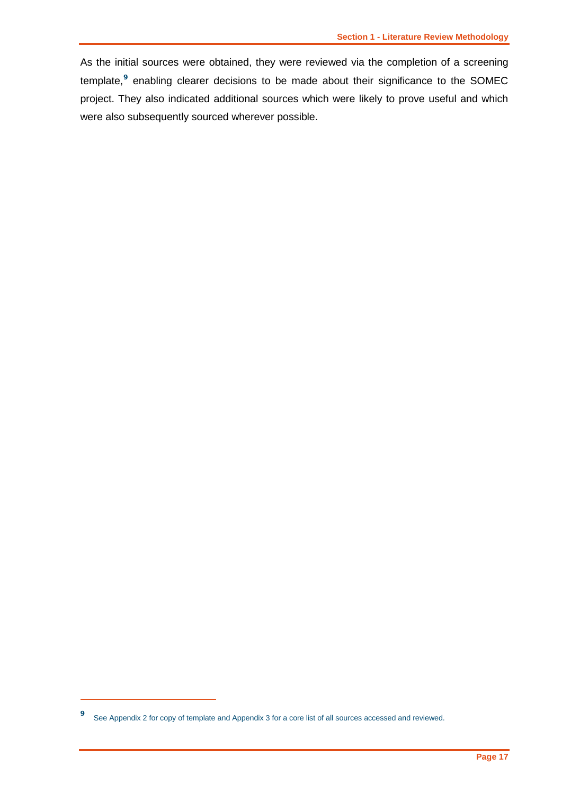As the initial sources were obtained, they were reviewed via the completion of a screening template,**[9](#page-18-0)** enabling clearer decisions to be made about their significance to the SOMEC project. They also indicated additional sources which were likely to prove useful and which were also subsequently sourced wherever possible.

<span id="page-18-0"></span>**<sup>9</sup>** See Appendix 2 for copy of template and Appendix 3 for a core list of all sources accessed and reviewed.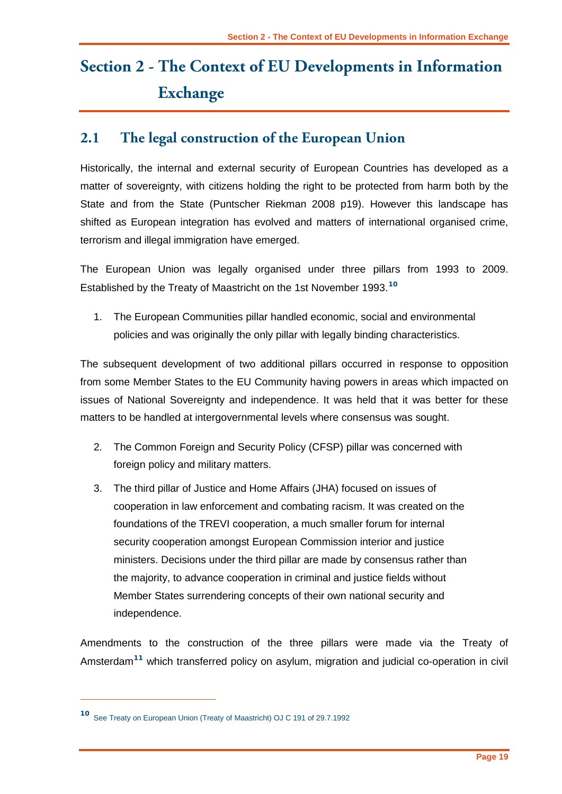## <span id="page-20-0"></span>**Section 2 - The Context of EU Developments in Information Exchange**

### <span id="page-20-1"></span>**2.1 The legal construction of the European Union**

Historically, the internal and external security of European Countries has developed as a matter of sovereignty, with citizens holding the right to be protected from harm both by the State and from the State (Puntscher Riekman 2008 p19). However this landscape has shifted as European integration has evolved and matters of international organised crime, terrorism and illegal immigration have emerged.

The European Union was legally organised under three pillars from 1993 to 2009. Established by the Treaty of Maastricht on the 1st November 1993.**[10](#page-20-2)**

1. The European Communities pillar handled economic, social and environmental policies and was originally the only pillar with legally binding characteristics.

The subsequent development of two additional pillars occurred in response to opposition from some Member States to the EU Community having powers in areas which impacted on issues of National Sovereignty and independence. It was held that it was better for these matters to be handled at intergovernmental levels where consensus was sought.

- 2. The Common Foreign and Security Policy (CFSP) pillar was concerned with foreign policy and military matters.
- 3. The third pillar of Justice and Home Affairs (JHA) focused on issues of cooperation in law enforcement and combating racism. It was created on the foundations of the TREVI cooperation, a much smaller forum for internal security cooperation amongst European Commission interior and justice ministers. Decisions under the third pillar are made by consensus rather than the majority, to advance cooperation in criminal and justice fields without Member States surrendering concepts of their own national security and independence.

<span id="page-20-3"></span>Amendments to the construction of the three pillars were made via the Treaty of Amsterdam**[11](#page-20-3)** which transferred policy on asylum, migration and judicial co-operation in civil

<span id="page-20-2"></span>**<sup>10</sup>** See Treaty on European Union (Treaty of Maastricht) OJ C 191 of 29.7.1992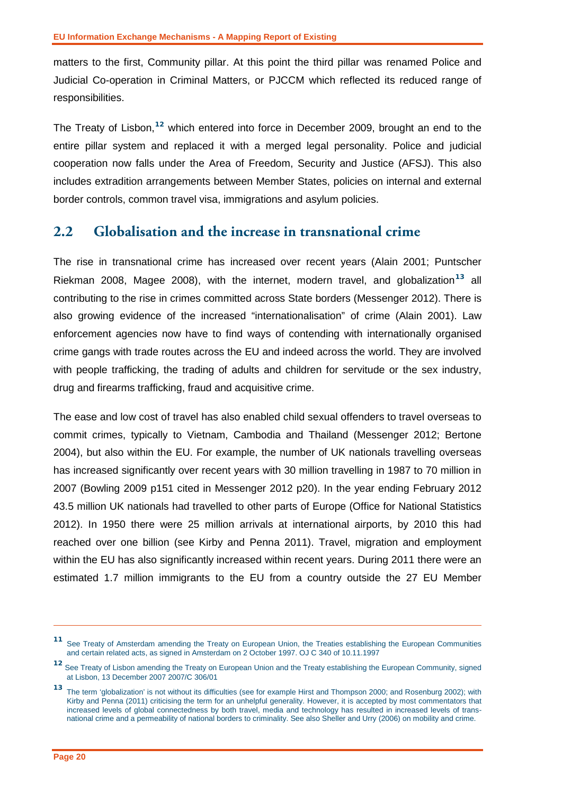matters to the first, Community pillar. At this point the third pillar was renamed Police and Judicial Co-operation in Criminal Matters, or PJCCM which reflected its reduced range of responsibilities.

The Treaty of Lisbon, **[12](#page-21-1)** which entered into force in December 2009, brought an end to the entire pillar system and replaced it with a merged legal personality. Police and judicial cooperation now falls under the Area of Freedom, Security and Justice (AFSJ). This also includes extradition arrangements between Member States, policies on internal and external border controls, common travel visa, immigrations and asylum policies.

#### <span id="page-21-0"></span>**2.2 Globalisation and the increase in transnational crime**

The rise in transnational crime has increased over recent years (Alain 2001; Puntscher Riekman 2008, Magee 2008), with the internet, modern travel, and globalization**[13](#page-21-2)** all contributing to the rise in crimes committed across State borders (Messenger 2012). There is also growing evidence of the increased "internationalisation" of crime (Alain 2001). Law enforcement agencies now have to find ways of contending with internationally organised crime gangs with trade routes across the EU and indeed across the world. They are involved with people trafficking, the trading of adults and children for servitude or the sex industry, drug and firearms trafficking, fraud and acquisitive crime.

The ease and low cost of travel has also enabled child sexual offenders to travel overseas to commit crimes, typically to Vietnam, Cambodia and Thailand (Messenger 2012; Bertone 2004), but also within the EU. For example, the number of UK nationals travelling overseas has increased significantly over recent years with 30 million travelling in 1987 to 70 million in 2007 (Bowling 2009 p151 cited in Messenger 2012 p20). In the year ending February 2012 43.5 million UK nationals had travelled to other parts of Europe (Office for National Statistics 2012). In 1950 there were 25 million arrivals at international airports, by 2010 this had reached over one billion (see Kirby and Penna 2011). Travel, migration and employment within the EU has also significantly increased within recent years. During 2011 there were an estimated 1.7 million immigrants to the EU from a country outside the 27 EU Member

**<sup>11</sup>** See Treaty of Amsterdam amending the Treaty on European Union, the Treaties establishing the European Communities and certain related acts, as signed in Amsterdam on 2 October 1997. OJ C 340 of 10.11.1997

<span id="page-21-1"></span>**<sup>12</sup>** See Treaty of Lisbon amending the Treaty on European Union and the Treaty establishing the European Community, signed at Lisbon, 13 December 2007 2007/C 306/01

<span id="page-21-2"></span>**<sup>13</sup>** The term 'globalization' is not without its difficulties (see for example Hirst and Thompson 2000; and Rosenburg 2002); with Kirby and Penna (2011) criticising the term for an unhelpful generality. However, it is accepted by most commentators that increased levels of global connectedness by both travel, media and technology has resulted in increased levels of transnational crime and a permeability of national borders to criminality. See also Sheller and Urry (2006) on mobility and crime.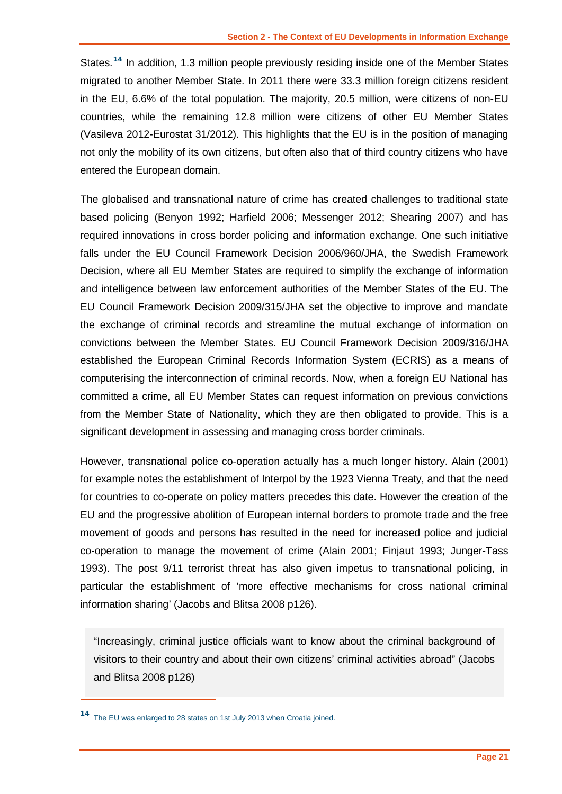States.<sup>[14](#page-22-0)</sup> In addition, 1.3 million people previously residing inside one of the Member States migrated to another Member State. In 2011 there were 33.3 million foreign citizens resident in the EU, 6.6% of the total population. The majority, 20.5 million, were citizens of non-EU countries, while the remaining 12.8 million were citizens of other EU Member States (Vasileva 2012-Eurostat 31/2012). This highlights that the EU is in the position of managing not only the mobility of its own citizens, but often also that of third country citizens who have entered the European domain.

The globalised and transnational nature of crime has created challenges to traditional state based policing (Benyon 1992; Harfield 2006; Messenger 2012; Shearing 2007) and has required innovations in cross border policing and information exchange. One such initiative falls under the EU Council Framework Decision 2006/960/JHA, the Swedish Framework Decision, where all EU Member States are required to simplify the exchange of information and intelligence between law enforcement authorities of the Member States of the EU. The EU Council Framework Decision 2009/315/JHA set the objective to improve and mandate the exchange of criminal records and streamline the mutual exchange of information on convictions between the Member States. EU Council Framework Decision 2009/316/JHA established the European Criminal Records Information System (ECRIS) as a means of computerising the interconnection of criminal records. Now, when a foreign EU National has committed a crime, all EU Member States can request information on previous convictions from the Member State of Nationality, which they are then obligated to provide. This is a significant development in assessing and managing cross border criminals.

However, transnational police co-operation actually has a much longer history. Alain (2001) for example notes the establishment of Interpol by the 1923 Vienna Treaty, and that the need for countries to co-operate on policy matters precedes this date. However the creation of the EU and the progressive abolition of European internal borders to promote trade and the free movement of goods and persons has resulted in the need for increased police and judicial co-operation to manage the movement of crime (Alain 2001; Finjaut 1993; Junger-Tass 1993). The post 9/11 terrorist threat has also given impetus to transnational policing, in particular the establishment of 'more effective mechanisms for cross national criminal information sharing' (Jacobs and Blitsa 2008 p126).

"Increasingly, criminal justice officials want to know about the criminal background of visitors to their country and about their own citizens' criminal activities abroad" (Jacobs and Blitsa 2008 p126)

<span id="page-22-0"></span>**<sup>14</sup>** The EU was enlarged to 28 states on 1st July 2013 when Croatia joined.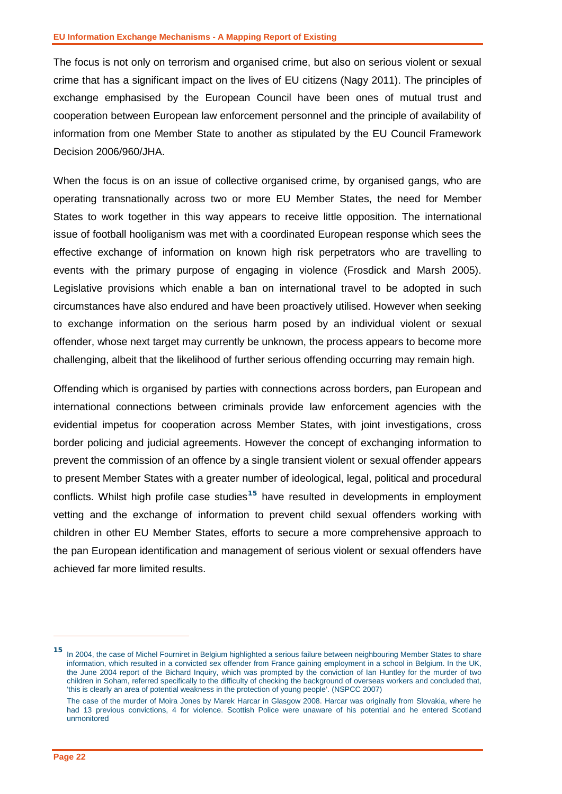The focus is not only on terrorism and organised crime, but also on serious violent or sexual crime that has a significant impact on the lives of EU citizens (Nagy 2011). The principles of exchange emphasised by the European Council have been ones of mutual trust and cooperation between European law enforcement personnel and the principle of availability of information from one Member State to another as stipulated by the EU Council Framework Decision 2006/960/JHA.

When the focus is on an issue of collective organised crime, by organised gangs, who are operating transnationally across two or more EU Member States, the need for Member States to work together in this way appears to receive little opposition. The international issue of football hooliganism was met with a coordinated European response which sees the effective exchange of information on known high risk perpetrators who are travelling to events with the primary purpose of engaging in violence (Frosdick and Marsh 2005). Legislative provisions which enable a ban on international travel to be adopted in such circumstances have also endured and have been proactively utilised. However when seeking to exchange information on the serious harm posed by an individual violent or sexual offender, whose next target may currently be unknown, the process appears to become more challenging, albeit that the likelihood of further serious offending occurring may remain high.

Offending which is organised by parties with connections across borders, pan European and international connections between criminals provide law enforcement agencies with the evidential impetus for cooperation across Member States, with joint investigations, cross border policing and judicial agreements. However the concept of exchanging information to prevent the commission of an offence by a single transient violent or sexual offender appears to present Member States with a greater number of ideological, legal, political and procedural conflicts. Whilst high profile case studies**[15](#page-23-0)** have resulted in developments in employment vetting and the exchange of information to prevent child sexual offenders working with children in other EU Member States, efforts to secure a more comprehensive approach to the pan European identification and management of serious violent or sexual offenders have achieved far more limited results.

<span id="page-23-0"></span>**<sup>15</sup>** In 2004, the case of Michel Fourniret in Belgium highlighted a serious failure between neighbouring Member States to share information, which resulted in a convicted sex offender from France gaining employment in a school in Belgium. In the UK, the June 2004 report of the Bichard Inquiry, which was prompted by the conviction of Ian Huntley for the murder of two children in Soham, referred specifically to the difficulty of checking the background of overseas workers and concluded that, 'this is clearly an area of potential weakness in the protection of young people'. (NSPCC 2007)

The case of the murder of Moira Jones by Marek Harcar in Glasgow 2008. Harcar was originally from Slovakia, where he had 13 previous convictions, 4 for violence. Scottish Police were unaware of his potential and he entered Scotland unmonitored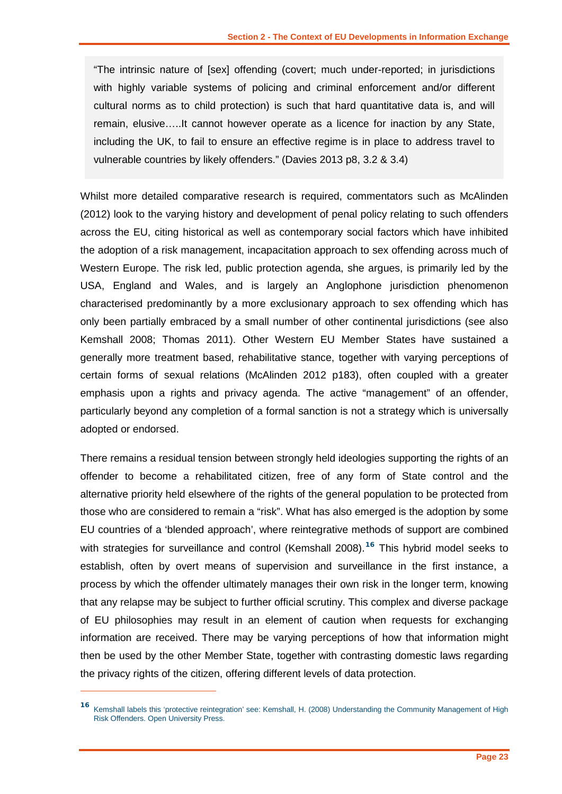"The intrinsic nature of [sex] offending (covert; much under-reported; in jurisdictions with highly variable systems of policing and criminal enforcement and/or different cultural norms as to child protection) is such that hard quantitative data is, and will remain, elusive…..It cannot however operate as a licence for inaction by any State, including the UK, to fail to ensure an effective regime is in place to address travel to vulnerable countries by likely offenders." (Davies 2013 p8, 3.2 & 3.4)

Whilst more detailed comparative research is required, commentators such as McAlinden (2012) look to the varying history and development of penal policy relating to such offenders across the EU, citing historical as well as contemporary social factors which have inhibited the adoption of a risk management, incapacitation approach to sex offending across much of Western Europe. The risk led, public protection agenda, she argues, is primarily led by the USA, England and Wales, and is largely an Anglophone jurisdiction phenomenon characterised predominantly by a more exclusionary approach to sex offending which has only been partially embraced by a small number of other continental jurisdictions (see also Kemshall 2008; Thomas 2011). Other Western EU Member States have sustained a generally more treatment based, rehabilitative stance, together with varying perceptions of certain forms of sexual relations (McAlinden 2012 p183), often coupled with a greater emphasis upon a rights and privacy agenda. The active "management" of an offender, particularly beyond any completion of a formal sanction is not a strategy which is universally adopted or endorsed.

There remains a residual tension between strongly held ideologies supporting the rights of an offender to become a rehabilitated citizen, free of any form of State control and the alternative priority held elsewhere of the rights of the general population to be protected from those who are considered to remain a "risk". What has also emerged is the adoption by some EU countries of a 'blended approach', where reintegrative methods of support are combined with strategies for surveillance and control (Kemshall 2008). **[16](#page-24-0)** This hybrid model seeks to establish, often by overt means of supervision and surveillance in the first instance, a process by which the offender ultimately manages their own risk in the longer term, knowing that any relapse may be subject to further official scrutiny. This complex and diverse package of EU philosophies may result in an element of caution when requests for exchanging information are received. There may be varying perceptions of how that information might then be used by the other Member State, together with contrasting domestic laws regarding the privacy rights of the citizen, offering different levels of data protection.

<span id="page-24-0"></span>**<sup>16</sup>** Kemshall labels this 'protective reintegration' see: Kemshall, H. (2008) Understanding the Community Management of High Risk Offenders. Open University Press.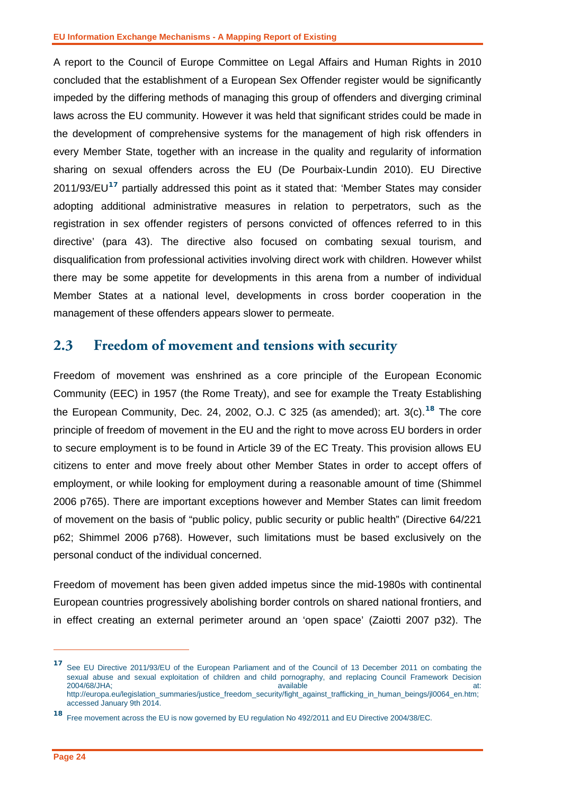A report to the Council of Europe Committee on Legal Affairs and Human Rights in 2010 concluded that the establishment of a European Sex Offender register would be significantly impeded by the differing methods of managing this group of offenders and diverging criminal laws across the EU community. However it was held that significant strides could be made in the development of comprehensive systems for the management of high risk offenders in every Member State, together with an increase in the quality and regularity of information sharing on sexual offenders across the EU (De Pourbaix-Lundin 2010). EU Directive 2011/93/EU**[17](#page-25-1)** partially addressed this point as it stated that: 'Member States may consider adopting additional administrative measures in relation to perpetrators, such as the registration in sex offender registers of persons convicted of offences referred to in this directive' (para 43). The directive also focused on combating sexual tourism, and disqualification from professional activities involving direct work with children. However whilst there may be some appetite for developments in this arena from a number of individual Member States at a national level, developments in cross border cooperation in the management of these offenders appears slower to permeate.

### <span id="page-25-0"></span>**2.3 Freedom of movement and tensions with security**

Freedom of movement was enshrined as a core principle of the European Economic Community (EEC) in 1957 (the Rome Treaty), and see for example the Treaty Establishing the European Community, Dec. 24, 2002, O.J. C 325 (as amended); art. 3(c). **[18](#page-25-2)** The core principle of freedom of movement in the EU and the right to move across EU borders in order to secure employment is to be found in Article 39 of the EC Treaty. This provision allows EU citizens to enter and move freely about other Member States in order to accept offers of employment, or while looking for employment during a reasonable amount of time (Shimmel 2006 p765). There are important exceptions however and Member States can limit freedom of movement on the basis of "public policy, public security or public health" (Directive 64/221 p62; Shimmel 2006 p768). However, such limitations must be based exclusively on the personal conduct of the individual concerned.

Freedom of movement has been given added impetus since the mid-1980s with continental European countries progressively abolishing border controls on shared national frontiers, and in effect creating an external perimeter around an 'open space' (Zaiotti 2007 p32). The

<span id="page-25-1"></span>**<sup>17</sup>** See EU Directive 2011/93/EU of the European Parliament and of the Council of 13 December 2011 on combating the sexual abuse and sexual exploitation of children and child pornography, and replacing Council Framework Decision<br>available<br>at: 2004/68/JHA; available at: http://europa.eu/legislation\_summaries/justice\_freedom\_security/fight\_against\_trafficking\_in\_human\_beings/jl0064\_en.htm; accessed January 9th 2014.

<span id="page-25-2"></span>**<sup>18</sup>** Free movement across the EU is now governed by EU regulation No 492/2011 and EU Directive 2004/38/EC.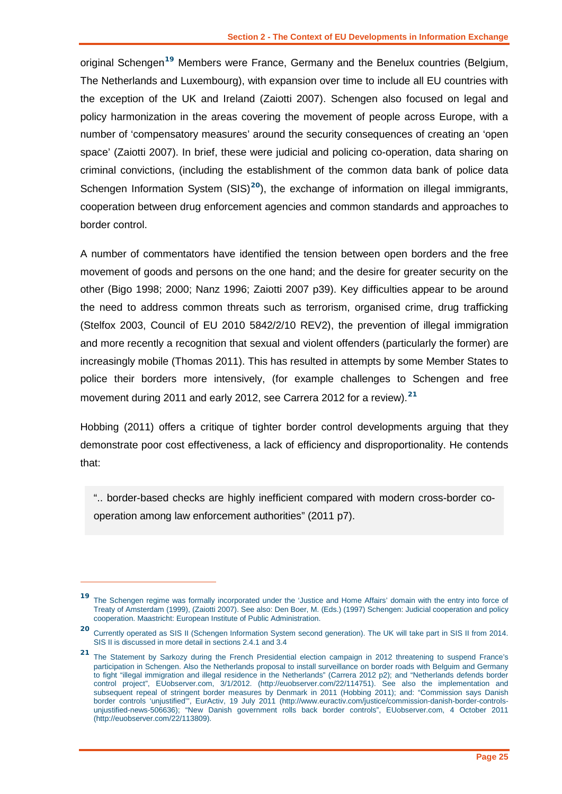original Schengen**[19](#page-26-0)** Members were France, Germany and the Benelux countries (Belgium, The Netherlands and Luxembourg), with expansion over time to include all EU countries with the exception of the UK and Ireland (Zaiotti 2007). Schengen also focused on legal and policy harmonization in the areas covering the movement of people across Europe, with a number of 'compensatory measures' around the security consequences of creating an 'open space' (Zaiotti 2007). In brief, these were judicial and policing co-operation, data sharing on criminal convictions, (including the establishment of the common data bank of police data Schengen Information System (SIS)<sup>[20](#page-26-1)</sup>), the exchange of information on illegal immigrants, cooperation between drug enforcement agencies and common standards and approaches to border control.

A number of commentators have identified the tension between open borders and the free movement of goods and persons on the one hand; and the desire for greater security on the other (Bigo 1998; 2000; Nanz 1996; Zaiotti 2007 p39). Key difficulties appear to be around the need to address common threats such as terrorism, organised crime, drug trafficking (Stelfox 2003, Council of EU 2010 5842/2/10 REV2), the prevention of illegal immigration and more recently a recognition that sexual and violent offenders (particularly the former) are increasingly mobile (Thomas 2011). This has resulted in attempts by some Member States to police their borders more intensively, (for example challenges to Schengen and free movement during 2011 and early 2012, see Carrera 2012 for a review). **[21](#page-26-2)**

Hobbing (2011) offers a critique of tighter border control developments arguing that they demonstrate poor cost effectiveness, a lack of efficiency and disproportionality. He contends that:

".. border-based checks are highly inefficient compared with modern cross-border cooperation among law enforcement authorities" (2011 p7).

<span id="page-26-0"></span>**<sup>19</sup>** The Schengen regime was formally incorporated under the 'Justice and Home Affairs' domain with the entry into force of Treaty of Amsterdam (1999), (Zaiotti 2007). See also: Den Boer, M. (Eds.) (1997) Schengen: Judicial cooperation and policy cooperation. Maastricht: European Institute of Public Administration.

<span id="page-26-1"></span>**<sup>20</sup>** Currently operated as SIS II (Schengen Information System second generation). The UK will take part in SIS II from 2014. SIS II is discussed in more detail in sections 2.4.1 and 3.4

<span id="page-26-2"></span>**<sup>21</sup>** The Statement by Sarkozy during the French Presidential election campaign in 2012 threatening to suspend France's participation in Schengen. Also the Netherlands proposal to install surveillance on border roads with Belguim and Germany to fight "illegal immigration and illegal residence in the Netherlands" (Carrera 2012 p2); and "Netherlands defends border control project", EUobserver.com, 3/1/2012. (http://euobserver.com/22/114751). See also the implementation and subsequent repeal of stringent border measures by Denmark in 2011 (Hobbing 2011); and: "Commission says Danish border controls 'unjustified'", EurActiv, 19 July 2011 (http://www.euractiv.com/justice/commission-danish-border-controlsunjustified-news-506636); "New Danish government rolls back border controls", EUobserver.com, 4 October 2011 (http://euobserver.com/22/113809).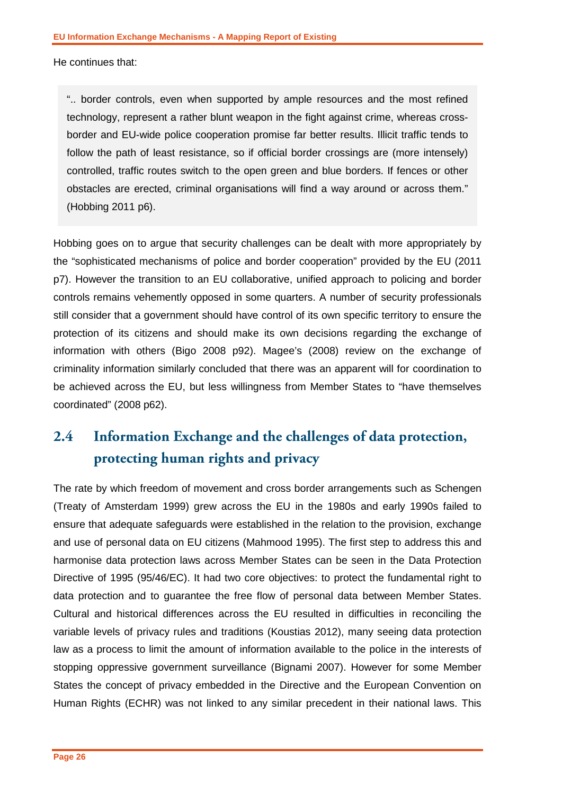He continues that:

".. border controls, even when supported by ample resources and the most refined technology, represent a rather blunt weapon in the fight against crime, whereas crossborder and EU-wide police cooperation promise far better results. Illicit traffic tends to follow the path of least resistance, so if official border crossings are (more intensely) controlled, traffic routes switch to the open green and blue borders. If fences or other obstacles are erected, criminal organisations will find a way around or across them." (Hobbing 2011 p6).

Hobbing goes on to argue that security challenges can be dealt with more appropriately by the "sophisticated mechanisms of police and border cooperation" provided by the EU (2011 p7). However the transition to an EU collaborative, unified approach to policing and border controls remains vehemently opposed in some quarters. A number of security professionals still consider that a government should have control of its own specific territory to ensure the protection of its citizens and should make its own decisions regarding the exchange of information with others (Bigo 2008 p92). Magee's (2008) review on the exchange of criminality information similarly concluded that there was an apparent will for coordination to be achieved across the EU, but less willingness from Member States to "have themselves coordinated" (2008 p62).

## <span id="page-27-0"></span>**2.4 Information Exchange and the challenges of data protection, protecting human rights and privacy**

The rate by which freedom of movement and cross border arrangements such as Schengen (Treaty of Amsterdam 1999) grew across the EU in the 1980s and early 1990s failed to ensure that adequate safeguards were established in the relation to the provision, exchange and use of personal data on EU citizens (Mahmood 1995). The first step to address this and harmonise data protection laws across Member States can be seen in the Data Protection Directive of 1995 (95/46/EC). It had two core objectives: to protect the fundamental right to data protection and to guarantee the free flow of personal data between Member States. Cultural and historical differences across the EU resulted in difficulties in reconciling the variable levels of privacy rules and traditions (Koustias 2012), many seeing data protection law as a process to limit the amount of information available to the police in the interests of stopping oppressive government surveillance (Bignami 2007). However for some Member States the concept of privacy embedded in the Directive and the European Convention on Human Rights (ECHR) was not linked to any similar precedent in their national laws. This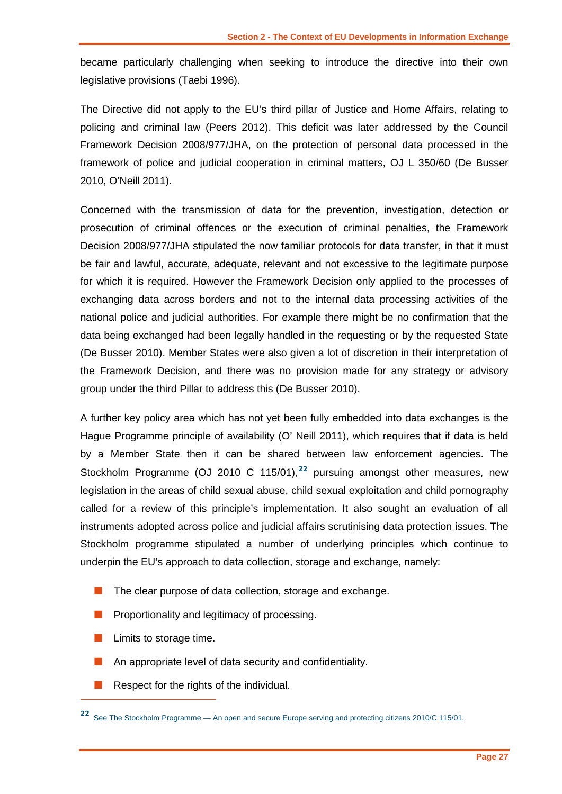became particularly challenging when seeking to introduce the directive into their own legislative provisions (Taebi 1996).

The Directive did not apply to the EU's third pillar of Justice and Home Affairs, relating to policing and criminal law (Peers 2012). This deficit was later addressed by the Council Framework Decision 2008/977/JHA, on the protection of personal data processed in the framework of police and judicial cooperation in criminal matters, OJ L 350/60 (De Busser 2010, O'Neill 2011).

Concerned with the transmission of data for the prevention, investigation, detection or prosecution of criminal offences or the execution of criminal penalties, the Framework Decision 2008/977/JHA stipulated the now familiar protocols for data transfer, in that it must be fair and lawful, accurate, adequate, relevant and not excessive to the legitimate purpose for which it is required. However the Framework Decision only applied to the processes of exchanging data across borders and not to the internal data processing activities of the national police and judicial authorities. For example there might be no confirmation that the data being exchanged had been legally handled in the requesting or by the requested State (De Busser 2010). Member States were also given a lot of discretion in their interpretation of the Framework Decision, and there was no provision made for any strategy or advisory group under the third Pillar to address this (De Busser 2010).

A further key policy area which has not yet been fully embedded into data exchanges is the Hague Programme principle of availability (O' Neill 2011), which requires that if data is held by a Member State then it can be shared between law enforcement agencies. The Stockholm Programme (OJ 2010 C 115/01),**[22](#page-28-0)** pursuing amongst other measures, new legislation in the areas of child sexual abuse, child sexual exploitation and child pornography called for a review of this principle's implementation. It also sought an evaluation of all instruments adopted across police and judicial affairs scrutinising data protection issues. The Stockholm programme stipulated a number of underlying principles which continue to underpin the EU's approach to data collection, storage and exchange, namely:

- $\blacksquare$  The clear purpose of data collection, storage and exchange.
- **Proportionality and legitimacy of processing.**
- **Limits to storage time.**

- An appropriate level of data security and confidentiality.
- Respect for the rights of the individual.

<span id="page-28-0"></span>**<sup>22</sup>** See The Stockholm Programme — An open and secure Europe serving and protecting citizens 2010/C 115/01.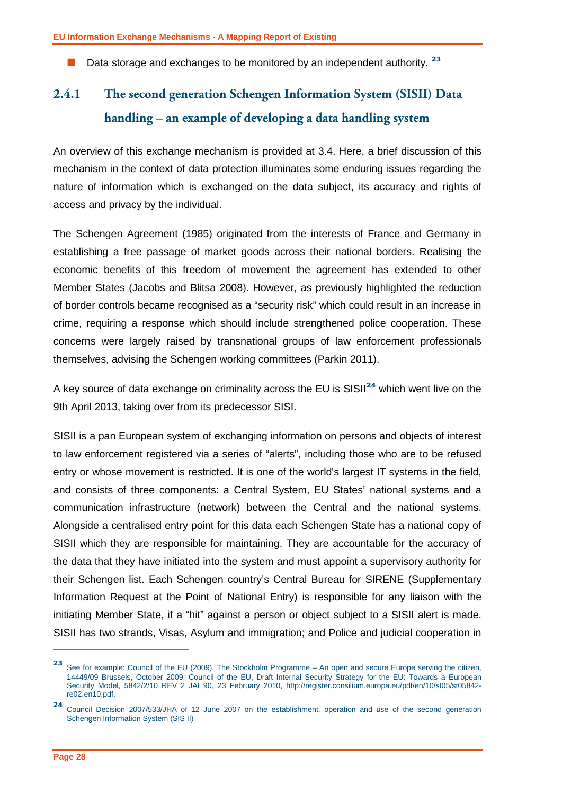**Data storage and exchanges to be monitored by an independent authority.** <sup>[23](#page-29-1)</sup>

## <span id="page-29-0"></span>**2.4.1 The second generation Schengen Information System (SISII) Data handling – an example of developing a data handling system**

An overview of this exchange mechanism is provided at 3.4. Here, a brief discussion of this mechanism in the context of data protection illuminates some enduring issues regarding the nature of information which is exchanged on the data subject, its accuracy and rights of access and privacy by the individual.

The Schengen Agreement (1985) originated from the interests of France and Germany in establishing a free passage of market goods across their national borders. Realising the economic benefits of this freedom of movement the agreement has extended to other Member States (Jacobs and Blitsa 2008). However, as previously highlighted the reduction of border controls became recognised as a "security risk" which could result in an increase in crime, requiring a response which should include strengthened police cooperation. These concerns were largely raised by transnational groups of law enforcement professionals themselves, advising the Schengen working committees (Parkin 2011).

A key source of data exchange on criminality across the EU is SISII**[24](#page-29-2)** which went live on the 9th April 2013, taking over from its predecessor SISI.

SISII is a pan European system of exchanging information on persons and objects of interest to law enforcement registered via a series of "alerts", including those who are to be refused entry or whose movement is restricted. It is one of the world's largest IT systems in the field, and consists of three components: a Central System, EU States' national systems and a communication infrastructure (network) between the Central and the national systems. Alongside a centralised entry point for this data each Schengen State has a national copy of SISII which they are responsible for maintaining. They are accountable for the accuracy of the data that they have initiated into the system and must appoint a supervisory authority for their Schengen list. Each Schengen country's Central Bureau for SIRENE (Supplementary Information Request at the Point of National Entry) is responsible for any liaison with the initiating Member State, if a "hit" against a person or object subject to a SISII alert is made. SISII has two strands, Visas, Asylum and immigration; and Police and judicial cooperation in

<span id="page-29-1"></span>**<sup>23</sup>** See for example: Council of the EU (2009), The Stockholm Programme – An open and secure Europe serving the citizen, 14449/09 Brussels, October 2009; Council of the EU, Draft Internal Security Strategy for the EU: Towards a European Security Model, 5842/2/10 REV 2 JAI 90, 23 February 2010, http://register.consilium.europa.eu/pdf/en/10/st05/st05842 re02.en10.pdf.

<span id="page-29-2"></span>**<sup>24</sup>** Council Decision 2007/533/JHA of 12 June 2007 on the establishment, operation and use of the second generation Schengen Information System (SIS II)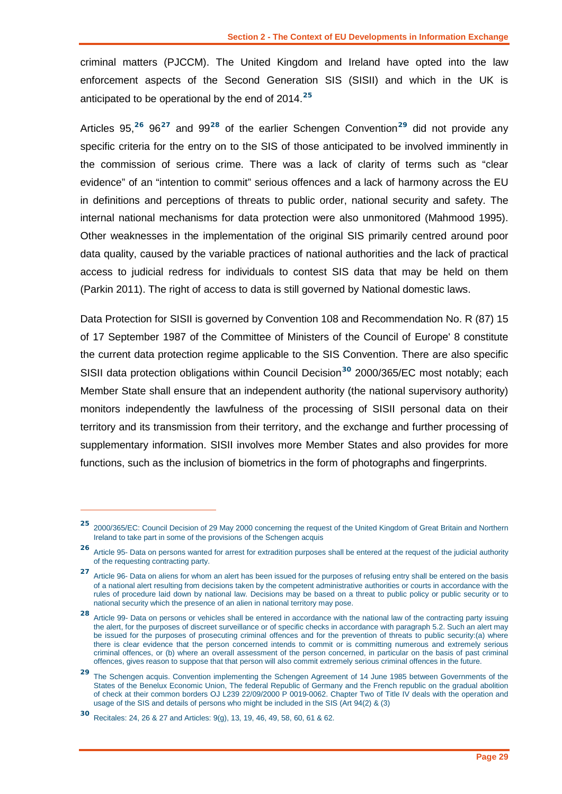criminal matters (PJCCM). The United Kingdom and Ireland have opted into the law enforcement aspects of the Second Generation SIS (SISII) and which in the UK is anticipated to be operational by the end of 2014. **[25](#page-30-0)**

Articles 95, **[26](#page-30-1)** 96**[27](#page-30-2)** and 99**[28](#page-30-3)** of the earlier Schengen Convention**[29](#page-30-4)** did not provide any specific criteria for the entry on to the SIS of those anticipated to be involved imminently in the commission of serious crime. There was a lack of clarity of terms such as "clear evidence" of an "intention to commit" serious offences and a lack of harmony across the EU in definitions and perceptions of threats to public order, national security and safety. The internal national mechanisms for data protection were also unmonitored (Mahmood 1995). Other weaknesses in the implementation of the original SIS primarily centred around poor data quality, caused by the variable practices of national authorities and the lack of practical access to judicial redress for individuals to contest SIS data that may be held on them (Parkin 2011). The right of access to data is still governed by National domestic laws.

Data Protection for SISII is governed by Convention 108 and Recommendation No. R (87) 15 of 17 September 1987 of the Committee of Ministers of the Council of Europe' 8 constitute the current data protection regime applicable to the SIS Convention. There are also specific SISII data protection obligations within Council Decision<sup>[30](#page-30-5)</sup> 2000/365/EC most notably; each Member State shall ensure that an independent authority (the national supervisory authority) monitors independently the lawfulness of the processing of SISII personal data on their territory and its transmission from their territory, and the exchange and further processing of supplementary information. SISII involves more Member States and also provides for more functions, such as the inclusion of biometrics in the form of photographs and fingerprints.

<span id="page-30-0"></span>**<sup>25</sup>** 2000/365/EC: Council Decision of 29 May 2000 concerning the request of the United Kingdom of Great Britain and Northern Ireland to take part in some of the provisions of the Schengen acquis

<span id="page-30-1"></span>**<sup>26</sup>** Article 95- Data on persons wanted for arrest for extradition purposes shall be entered at the request of the judicial authority of the requesting contracting party.

<span id="page-30-2"></span>**<sup>27</sup>** Article 96- Data on aliens for whom an alert has been issued for the purposes of refusing entry shall be entered on the basis of a national alert resulting from decisions taken by the competent administrative authorities or courts in accordance with the rules of procedure laid down by national law. Decisions may be based on a threat to public policy or public security or to national security which the presence of an alien in national territory may pose.

<span id="page-30-3"></span>**<sup>28</sup>** Article 99- Data on persons or vehicles shall be entered in accordance with the national law of the contracting party issuing the alert, for the purposes of discreet surveillance or of specific checks in accordance with paragraph 5.2. Such an alert may be issued for the purposes of prosecuting criminal offences and for the prevention of threats to public security:(a) where there is clear evidence that the person concerned intends to commit or is committing numerous and extremely serious criminal offences, or (b) where an overall assessment of the person concerned, in particular on the basis of past criminal offences, gives reason to suppose that that person will also commit extremely serious criminal offences in the future.

<span id="page-30-4"></span>**<sup>29</sup>** The Schengen acquis. Convention implementing the Schengen Agreement of 14 June 1985 between Governments of the States of the Benelux Economic Union, The federal Republic of Germany and the French republic on the gradual abolition of check at their common borders OJ L239 22/09/2000 P 0019-0062. Chapter Two of Title IV deals with the operation and usage of the SIS and details of persons who might be included in the SIS (Art 94(2) & (3)

<span id="page-30-5"></span>**<sup>30</sup>** Recitales: 24, 26 & 27 and Articles: 9(g), 13, 19, 46, 49, 58, 60, 61 & 62.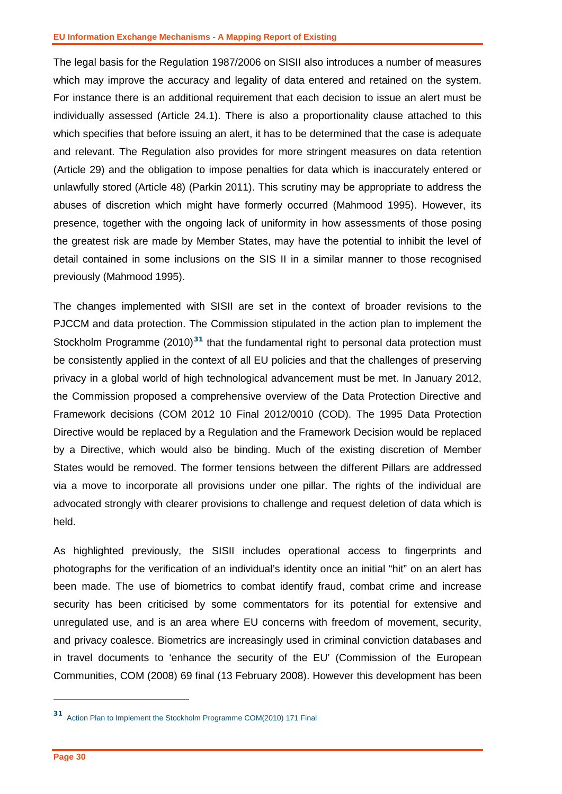The legal basis for the Regulation 1987/2006 on SISII also introduces a number of measures which may improve the accuracy and legality of data entered and retained on the system. For instance there is an additional requirement that each decision to issue an alert must be individually assessed (Article 24.1). There is also a proportionality clause attached to this which specifies that before issuing an alert, it has to be determined that the case is adequate and relevant. The Regulation also provides for more stringent measures on data retention (Article 29) and the obligation to impose penalties for data which is inaccurately entered or unlawfully stored (Article 48) (Parkin 2011). This scrutiny may be appropriate to address the abuses of discretion which might have formerly occurred (Mahmood 1995). However, its presence, together with the ongoing lack of uniformity in how assessments of those posing the greatest risk are made by Member States, may have the potential to inhibit the level of detail contained in some inclusions on the SIS II in a similar manner to those recognised previously (Mahmood 1995).

The changes implemented with SISII are set in the context of broader revisions to the PJCCM and data protection. The Commission stipulated in the action plan to implement the Stockholm Programme (2010)**[31](#page-31-0)** that the fundamental right to personal data protection must be consistently applied in the context of all EU policies and that the challenges of preserving privacy in a global world of high technological advancement must be met. In January 2012, the Commission proposed a comprehensive overview of the Data Protection Directive and Framework decisions (COM 2012 10 Final 2012/0010 (COD). The 1995 Data Protection Directive would be replaced by a Regulation and the Framework Decision would be replaced by a Directive, which would also be binding. Much of the existing discretion of Member States would be removed. The former tensions between the different Pillars are addressed via a move to incorporate all provisions under one pillar. The rights of the individual are advocated strongly with clearer provisions to challenge and request deletion of data which is held.

As highlighted previously, the SISII includes operational access to fingerprints and photographs for the verification of an individual's identity once an initial "hit" on an alert has been made. The use of biometrics to combat identify fraud, combat crime and increase security has been criticised by some commentators for its potential for extensive and unregulated use, and is an area where EU concerns with freedom of movement, security, and privacy coalesce. Biometrics are increasingly used in criminal conviction databases and in travel documents to 'enhance the security of the EU' (Commission of the European Communities, COM (2008) 69 final (13 February 2008). However this development has been

<span id="page-31-0"></span>**<sup>31</sup>** Action Plan to Implement the Stockholm Programme COM(2010) 171 Final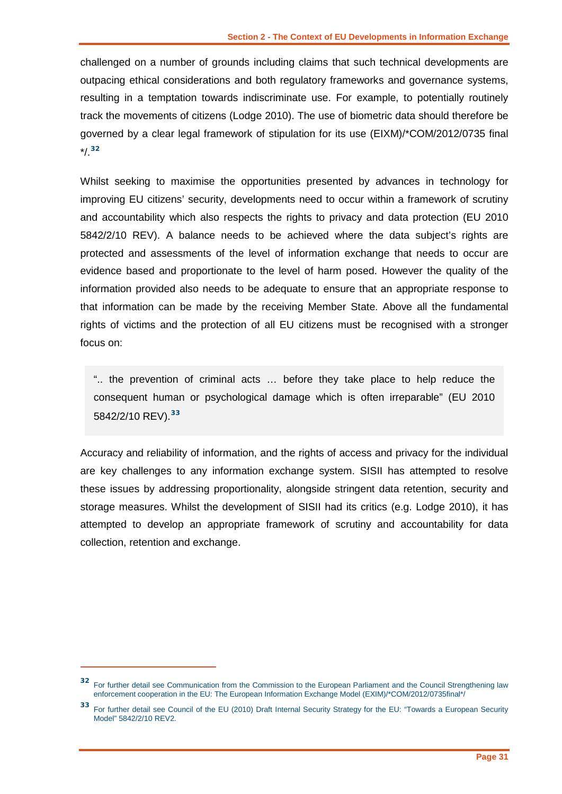challenged on a number of grounds including claims that such technical developments are outpacing ethical considerations and both regulatory frameworks and governance systems, resulting in a temptation towards indiscriminate use. For example, to potentially routinely track the movements of citizens (Lodge 2010). The use of biometric data should therefore be governed by a clear legal framework of stipulation for its use (EIXM)/\*COM/2012/0735 final \*/. **[32](#page-32-0)**

Whilst seeking to maximise the opportunities presented by advances in technology for improving EU citizens' security, developments need to occur within a framework of scrutiny and accountability which also respects the rights to privacy and data protection (EU 2010 5842/2/10 REV). A balance needs to be achieved where the data subject's rights are protected and assessments of the level of information exchange that needs to occur are evidence based and proportionate to the level of harm posed. However the quality of the information provided also needs to be adequate to ensure that an appropriate response to that information can be made by the receiving Member State. Above all the fundamental rights of victims and the protection of all EU citizens must be recognised with a stronger focus on:

".. the prevention of criminal acts … before they take place to help reduce the consequent human or psychological damage which is often irreparable" (EU 2010 5842/2/10 REV). **[33](#page-32-1)**

Accuracy and reliability of information, and the rights of access and privacy for the individual are key challenges to any information exchange system. SISII has attempted to resolve these issues by addressing proportionality, alongside stringent data retention, security and storage measures. Whilst the development of SISII had its critics (e.g. Lodge 2010), it has attempted to develop an appropriate framework of scrutiny and accountability for data collection, retention and exchange.

<span id="page-32-0"></span>**<sup>32</sup>** For further detail see Communication from the Commission to the European Parliament and the Council Strengthening law enforcement cooperation in the EU: The European Information Exchange Model (EXIM)/\*COM/2012/0735final\*/

<span id="page-32-1"></span>**<sup>33</sup>** For further detail see Council of the EU (2010) Draft Internal Security Strategy for the EU: "Towards a European Security Model" 5842/2/10 REV2.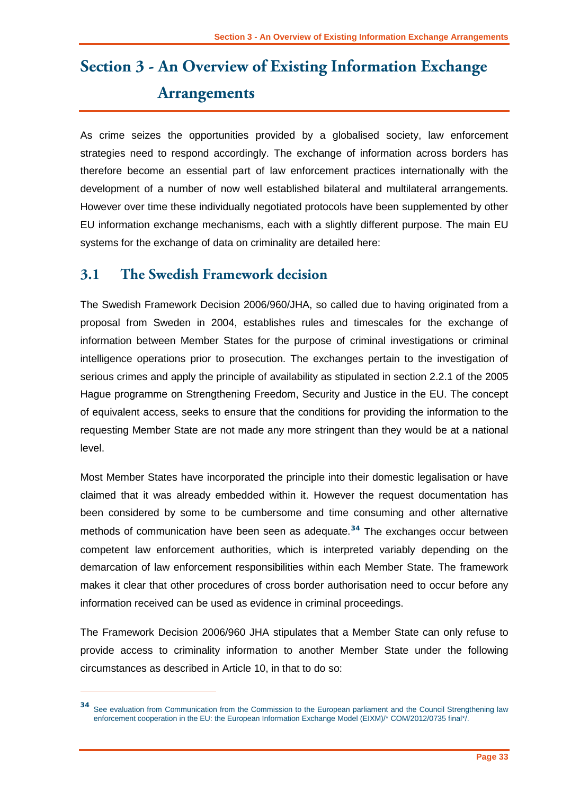## <span id="page-34-0"></span>**Section 3 - An Overview of Existing Information Exchange Arrangements**

As crime seizes the opportunities provided by a globalised society, law enforcement strategies need to respond accordingly. The exchange of information across borders has therefore become an essential part of law enforcement practices internationally with the development of a number of now well established bilateral and multilateral arrangements. However over time these individually negotiated protocols have been supplemented by other EU information exchange mechanisms, each with a slightly different purpose. The main EU systems for the exchange of data on criminality are detailed here:

### <span id="page-34-1"></span>**3.1 The Swedish Framework decision**

 $\overline{a}$ 

The Swedish Framework Decision 2006/960/JHA, so called due to having originated from a proposal from Sweden in 2004, establishes rules and timescales for the exchange of information between Member States for the purpose of criminal investigations or criminal intelligence operations prior to prosecution. The exchanges pertain to the investigation of serious crimes and apply the principle of availability as stipulated in section 2.2.1 of the 2005 Hague programme on Strengthening Freedom, Security and Justice in the EU. The concept of equivalent access, seeks to ensure that the conditions for providing the information to the requesting Member State are not made any more stringent than they would be at a national level.

Most Member States have incorporated the principle into their domestic legalisation or have claimed that it was already embedded within it. However the request documentation has been considered by some to be cumbersome and time consuming and other alternative methods of communication have been seen as adequate. **[34](#page-34-2)** The exchanges occur between competent law enforcement authorities, which is interpreted variably depending on the demarcation of law enforcement responsibilities within each Member State. The framework makes it clear that other procedures of cross border authorisation need to occur before any information received can be used as evidence in criminal proceedings.

The Framework Decision 2006/960 JHA stipulates that a Member State can only refuse to provide access to criminality information to another Member State under the following circumstances as described in Article 10, in that to do so:

<span id="page-34-2"></span>**<sup>34</sup>** See evaluation from Communication from the Commission to the European parliament and the Council Strengthening law enforcement cooperation in the EU: the European Information Exchange Model (EIXM)/\* COM/2012/0735 final\*/.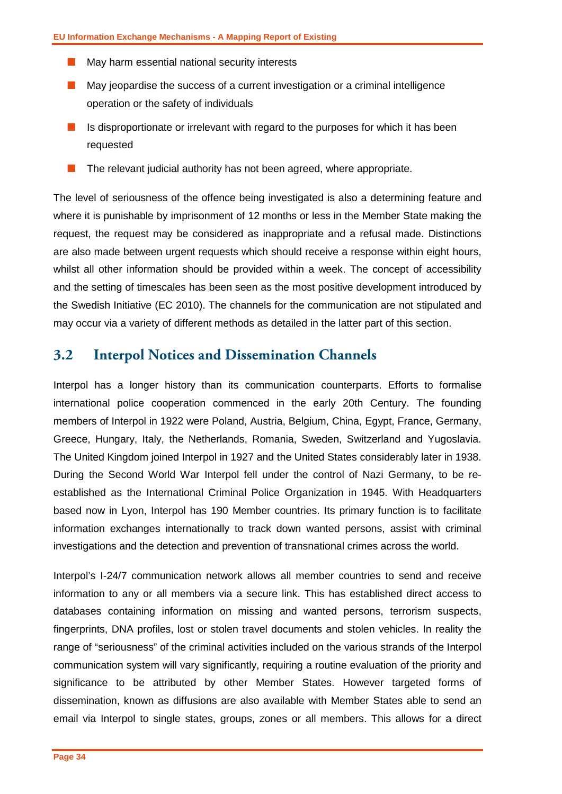- **May harm essential national security interests**
- **May jeopardise the success of a current investigation or a criminal intelligence** operation or the safety of individuals
- $\blacksquare$  Is disproportionate or irrelevant with regard to the purposes for which it has been requested
- **The relevant judicial authority has not been agreed, where appropriate.**

The level of seriousness of the offence being investigated is also a determining feature and where it is punishable by imprisonment of 12 months or less in the Member State making the request, the request may be considered as inappropriate and a refusal made. Distinctions are also made between urgent requests which should receive a response within eight hours, whilst all other information should be provided within a week. The concept of accessibility and the setting of timescales has been seen as the most positive development introduced by the Swedish Initiative (EC 2010). The channels for the communication are not stipulated and may occur via a variety of different methods as detailed in the latter part of this section.

#### <span id="page-35-0"></span>**3.2 Interpol Notices and Dissemination Channels**

Interpol has a longer history than its communication counterparts. Efforts to formalise international police cooperation commenced in the early 20th Century. The founding members of Interpol in 1922 were Poland, Austria, Belgium, China, Egypt, France, Germany, Greece, Hungary, Italy, the Netherlands, Romania, Sweden, Switzerland and Yugoslavia. The United Kingdom joined Interpol in 1927 and the United States considerably later in 1938. During the Second World War Interpol fell under the control of Nazi Germany, to be reestablished as the International Criminal Police Organization in 1945. With Headquarters based now in Lyon, Interpol has 190 Member countries. Its primary function is to facilitate information exchanges internationally to track down wanted persons, assist with criminal investigations and the detection and prevention of transnational crimes across the world.

Interpol's I-24/7 communication network allows all member countries to send and receive information to any or all members via a secure link. This has established direct access to databases containing information on missing and wanted persons, terrorism suspects, fingerprints, DNA profiles, lost or stolen travel documents and stolen vehicles. In reality the range of "seriousness" of the criminal activities included on the various strands of the Interpol communication system will vary significantly, requiring a routine evaluation of the priority and significance to be attributed by other Member States. However targeted forms of dissemination, known as diffusions are also available with Member States able to send an email via Interpol to single states, groups, zones or all members. This allows for a direct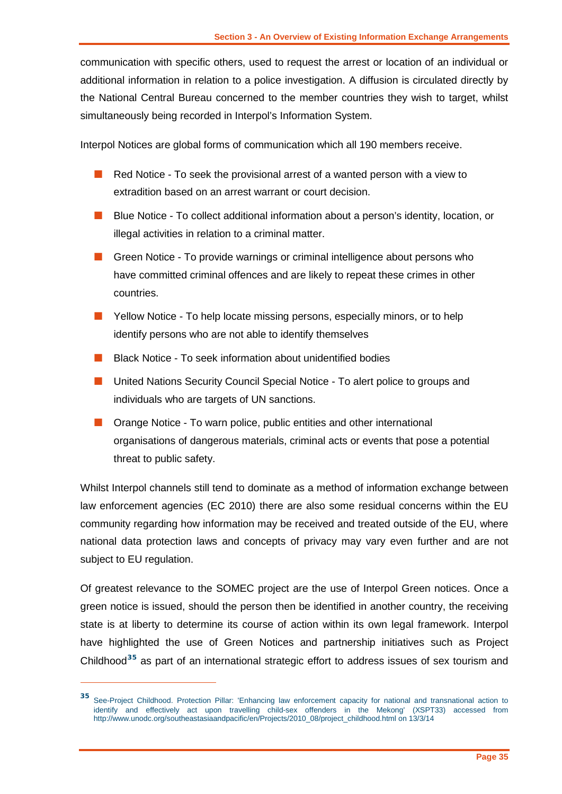communication with specific others, used to request the arrest or location of an individual or additional information in relation to a police investigation. A diffusion is circulated directly by the National Central Bureau concerned to the member countries they wish to target, whilst simultaneously being recorded in Interpol's Information System.

Interpol Notices are global forms of communication which all 190 members receive.

- Red Notice To seek the provisional arrest of a wanted person with a view to extradition based on an arrest warrant or court decision.
- **B** Blue Notice To collect additional information about a person's identity, location, or illegal activities in relation to a criminal matter.
- Green Notice To provide warnings or criminal intelligence about persons who have committed criminal offences and are likely to repeat these crimes in other countries.
- Yellow Notice To help locate missing persons, especially minors, or to help identify persons who are not able to identify themselves
- Black Notice To seek information about unidentified bodies
- **United Nations Security Council Special Notice To alert police to groups and** individuals who are targets of UN sanctions.
- Orange Notice To warn police, public entities and other international organisations of dangerous materials, criminal acts or events that pose a potential threat to public safety.

Whilst Interpol channels still tend to dominate as a method of information exchange between law enforcement agencies (EC 2010) there are also some residual concerns within the EU community regarding how information may be received and treated outside of the EU, where national data protection laws and concepts of privacy may vary even further and are not subject to EU regulation.

Of greatest relevance to the SOMEC project are the use of Interpol Green notices. Once a green notice is issued, should the person then be identified in another country, the receiving state is at liberty to determine its course of action within its own legal framework. Interpol have highlighted the use of Green Notices and partnership initiatives such as Project Childhood**[35](#page-36-0)** as part of an international strategic effort to address issues of sex tourism and

<span id="page-36-0"></span>**<sup>35</sup>** See-Project Childhood. Protection Pillar: 'Enhancing law enforcement capacity for national and transnational action to identify and effectively act upon travelling child-sex offenders in the Mekong' (XSPT33) accessed from http://www.unodc.org/southeastasiaandpacific/en/Projects/2010\_08/project\_childhood.html on 13/3/14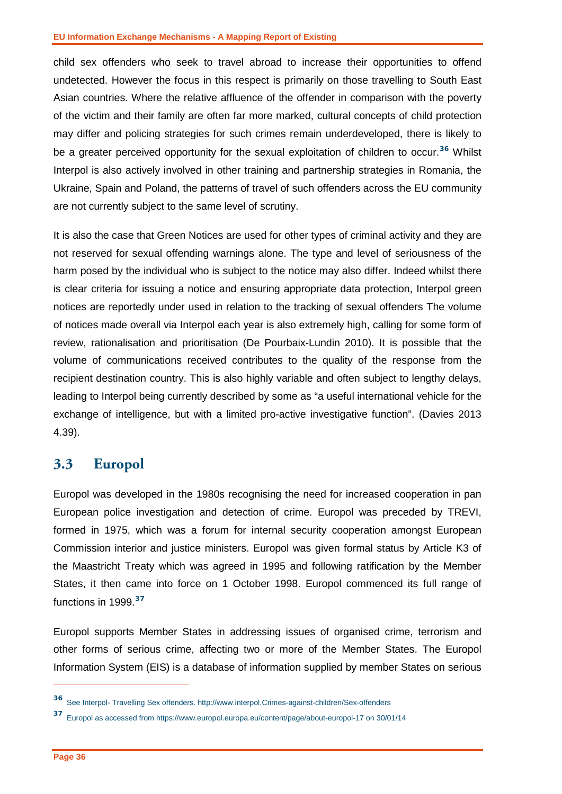child sex offenders who seek to travel abroad to increase their opportunities to offend undetected. However the focus in this respect is primarily on those travelling to South East Asian countries. Where the relative affluence of the offender in comparison with the poverty of the victim and their family are often far more marked, cultural concepts of child protection may differ and policing strategies for such crimes remain underdeveloped, there is likely to be a greater perceived opportunity for the sexual exploitation of children to occur. **[36](#page-37-0)** Whilst Interpol is also actively involved in other training and partnership strategies in Romania, the Ukraine, Spain and Poland, the patterns of travel of such offenders across the EU community are not currently subject to the same level of scrutiny.

It is also the case that Green Notices are used for other types of criminal activity and they are not reserved for sexual offending warnings alone. The type and level of seriousness of the harm posed by the individual who is subject to the notice may also differ. Indeed whilst there is clear criteria for issuing a notice and ensuring appropriate data protection, Interpol green notices are reportedly under used in relation to the tracking of sexual offenders The volume of notices made overall via Interpol each year is also extremely high, calling for some form of review, rationalisation and prioritisation (De Pourbaix-Lundin 2010). It is possible that the volume of communications received contributes to the quality of the response from the recipient destination country. This is also highly variable and often subject to lengthy delays, leading to Interpol being currently described by some as "a useful international vehicle for the exchange of intelligence, but with a limited pro-active investigative function". (Davies 2013 4.39).

#### **3.3 Europol**

Europol was developed in the 1980s recognising the need for increased cooperation in pan European police investigation and detection of crime. Europol was preceded by TREVI, formed in 1975, which was a forum for internal security cooperation amongst European Commission interior and justice ministers. Europol was given formal status by Article K3 of the Maastricht Treaty which was agreed in 1995 and following ratification by the Member States, it then came into force on 1 October 1998. Europol commenced its full range of functions in 1999. **[37](#page-37-1)**

Europol supports Member States in addressing issues of organised crime, terrorism and other forms of serious crime, affecting two or more of the Member States. The Europol Information System (EIS) is a database of information supplied by member States on serious

<span id="page-37-0"></span>**<sup>36</sup>** See Interpol- Travelling Sex offenders. http://www.interpol.Crimes-against-children/Sex-offenders

<span id="page-37-1"></span>**<sup>37</sup>** Europol as accessed from https://www.europol.europa.eu/content/page/about-europol-17 on 30/01/14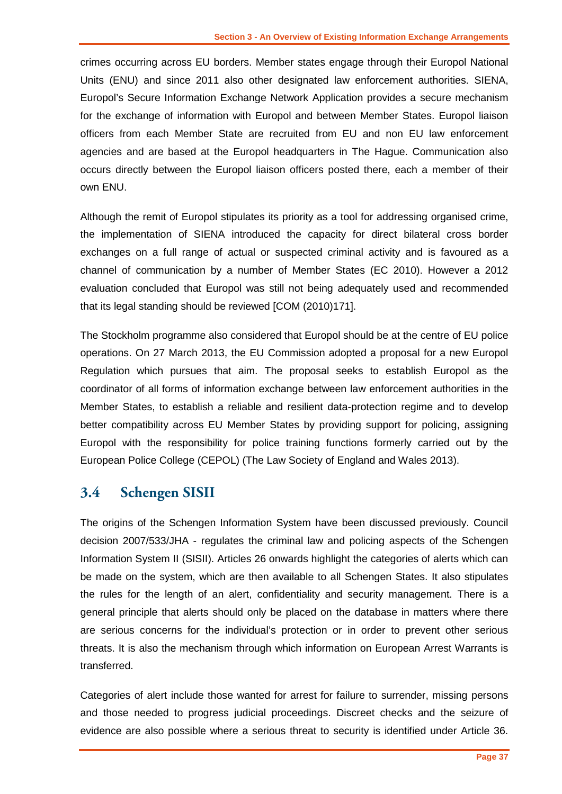crimes occurring across EU borders. Member states engage through their Europol National Units (ENU) and since 2011 also other designated law enforcement authorities. SIENA, Europol's Secure Information Exchange Network Application provides a secure mechanism for the exchange of information with Europol and between Member States. Europol liaison officers from each Member State are recruited from EU and non EU law enforcement agencies and are based at the Europol headquarters in The Hague. Communication also occurs directly between the Europol liaison officers posted there, each a member of their own ENU.

Although the remit of Europol stipulates its priority as a tool for addressing organised crime, the implementation of SIENA introduced the capacity for direct bilateral cross border exchanges on a full range of actual or suspected criminal activity and is favoured as a channel of communication by a number of Member States (EC 2010). However a 2012 evaluation concluded that Europol was still not being adequately used and recommended that its legal standing should be reviewed [COM (2010)171].

The Stockholm programme also considered that Europol should be at the centre of EU police operations. On 27 March 2013, the EU Commission adopted a proposal for a new Europol Regulation which pursues that aim. The proposal seeks to establish Europol as the coordinator of all forms of information exchange between law enforcement authorities in the Member States, to establish a reliable and resilient data-protection regime and to develop better compatibility across EU Member States by providing support for policing, assigning Europol with the responsibility for police training functions formerly carried out by the European Police College (CEPOL) (The Law Society of England and Wales 2013).

### **3.4 Schengen SISII**

The origins of the Schengen Information System have been discussed previously. Council decision 2007/533/JHA - regulates the criminal law and policing aspects of the Schengen Information System II (SISII). Articles 26 onwards highlight the categories of alerts which can be made on the system, which are then available to all Schengen States. It also stipulates the rules for the length of an alert, confidentiality and security management. There is a general principle that alerts should only be placed on the database in matters where there are serious concerns for the individual's protection or in order to prevent other serious threats. It is also the mechanism through which information on European Arrest Warrants is transferred.

Categories of alert include those wanted for arrest for failure to surrender, missing persons and those needed to progress judicial proceedings. Discreet checks and the seizure of evidence are also possible where a serious threat to security is identified under Article 36.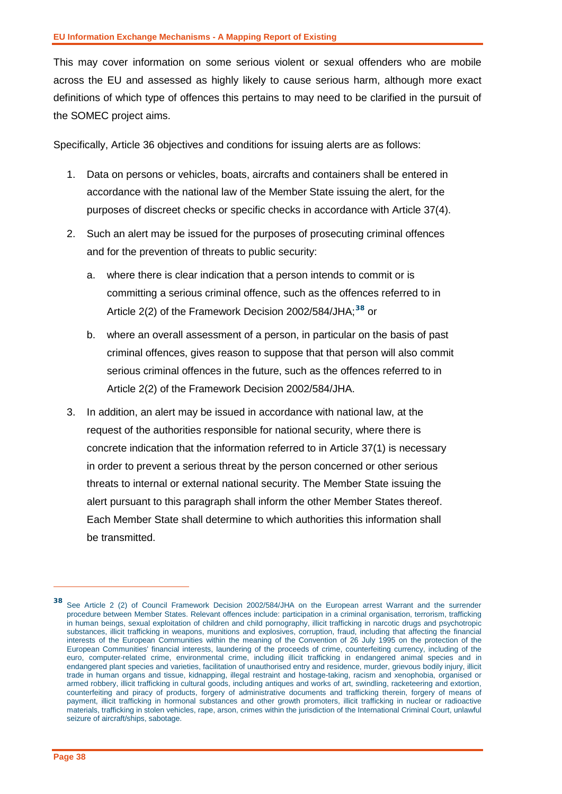This may cover information on some serious violent or sexual offenders who are mobile across the EU and assessed as highly likely to cause serious harm, although more exact definitions of which type of offences this pertains to may need to be clarified in the pursuit of the SOMEC project aims.

Specifically, Article 36 objectives and conditions for issuing alerts are as follows:

- 1. Data on persons or vehicles, boats, aircrafts and containers shall be entered in accordance with the national law of the Member State issuing the alert, for the purposes of discreet checks or specific checks in accordance with Article 37(4).
- 2. Such an alert may be issued for the purposes of prosecuting criminal offences and for the prevention of threats to public security:
	- a. where there is clear indication that a person intends to commit or is committing a serious criminal offence, such as the offences referred to in Article 2(2) of the Framework Decision 2002/584/JHA; **[38](#page-39-0)** or
	- b. where an overall assessment of a person, in particular on the basis of past criminal offences, gives reason to suppose that that person will also commit serious criminal offences in the future, such as the offences referred to in Article 2(2) of the Framework Decision 2002/584/JHA.
- 3. In addition, an alert may be issued in accordance with national law, at the request of the authorities responsible for national security, where there is concrete indication that the information referred to in Article 37(1) is necessary in order to prevent a serious threat by the person concerned or other serious threats to internal or external national security. The Member State issuing the alert pursuant to this paragraph shall inform the other Member States thereof. Each Member State shall determine to which authorities this information shall be transmitted.

 $\overline{a}$ 

<span id="page-39-0"></span>**<sup>38</sup>** See Article 2 (2) of Council Framework Decision 2002/584/JHA on the European arrest Warrant and the surrender procedure between Member States. Relevant offences include: participation in a criminal organisation, terrorism, trafficking in human beings, sexual exploitation of children and child pornography, illicit trafficking in narcotic drugs and psychotropic substances, illicit trafficking in weapons, munitions and explosives, corruption, fraud, including that affecting the financial interests of the European Communities within the meaning of the Convention of 26 July 1995 on the protection of the European Communities' financial interests, laundering of the proceeds of crime, counterfeiting currency, including of the euro, computer-related crime, environmental crime, including illicit trafficking in endangered animal species and in endangered plant species and varieties, facilitation of unauthorised entry and residence, murder, grievous bodily injury, illicit trade in human organs and tissue, kidnapping, illegal restraint and hostage-taking, racism and xenophobia, organised or armed robbery, illicit trafficking in cultural goods, including antiques and works of art, swindling, racketeering and extortion, counterfeiting and piracy of products, forgery of administrative documents and trafficking therein, forgery of means of payment, illicit trafficking in hormonal substances and other growth promoters, illicit trafficking in nuclear or radioactive materials, trafficking in stolen vehicles, rape, arson, crimes within the jurisdiction of the International Criminal Court, unlawful seizure of aircraft/ships, sabotage.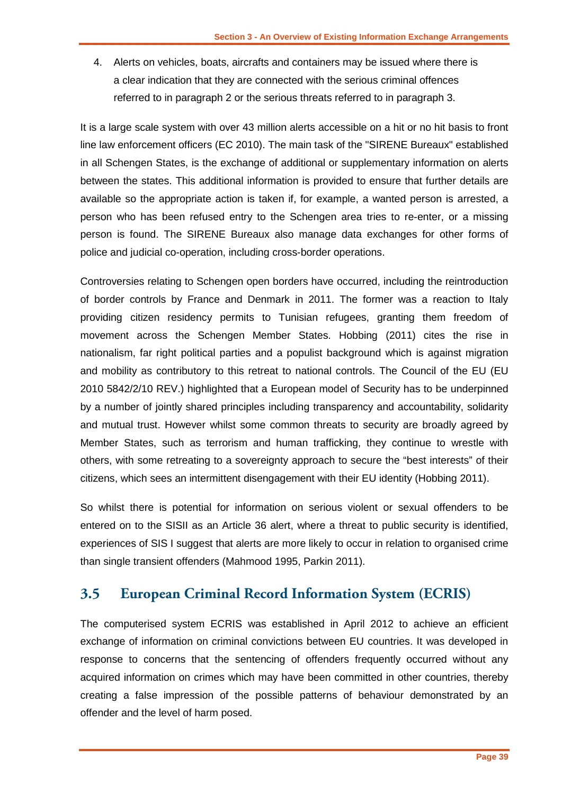4. Alerts on vehicles, boats, aircrafts and containers may be issued where there is a clear indication that they are connected with the serious criminal offences referred to in paragraph 2 or the serious threats referred to in paragraph 3.

It is a large scale system with over 43 million alerts accessible on a hit or no hit basis to front line law enforcement officers (EC 2010). The main task of the "SIRENE Bureaux" established in all Schengen States, is the exchange of additional or supplementary information on alerts between the states. This additional information is provided to ensure that further details are available so the appropriate action is taken if, for example, a wanted person is arrested, a person who has been refused entry to the Schengen area tries to re-enter, or a missing person is found. The SIRENE Bureaux also manage data exchanges for other forms of police and judicial co-operation, including cross-border operations.

Controversies relating to Schengen open borders have occurred, including the reintroduction of border controls by France and Denmark in 2011. The former was a reaction to Italy providing citizen residency permits to Tunisian refugees, granting them freedom of movement across the Schengen Member States. Hobbing (2011) cites the rise in nationalism, far right political parties and a populist background which is against migration and mobility as contributory to this retreat to national controls. The Council of the EU (EU 2010 5842/2/10 REV.) highlighted that a European model of Security has to be underpinned by a number of jointly shared principles including transparency and accountability, solidarity and mutual trust. However whilst some common threats to security are broadly agreed by Member States, such as terrorism and human trafficking, they continue to wrestle with others, with some retreating to a sovereignty approach to secure the "best interests" of their citizens, which sees an intermittent disengagement with their EU identity (Hobbing 2011).

So whilst there is potential for information on serious violent or sexual offenders to be entered on to the SISII as an Article 36 alert, where a threat to public security is identified, experiences of SIS I suggest that alerts are more likely to occur in relation to organised crime than single transient offenders (Mahmood 1995, Parkin 2011).

### **3.5 European Criminal Record Information System (ECRIS)**

The computerised system ECRIS was established in April 2012 to achieve an efficient exchange of information on criminal convictions between EU countries. It was developed in response to concerns that the sentencing of offenders frequently occurred without any acquired information on crimes which may have been committed in other countries, thereby creating a false impression of the possible patterns of behaviour demonstrated by an offender and the level of harm posed.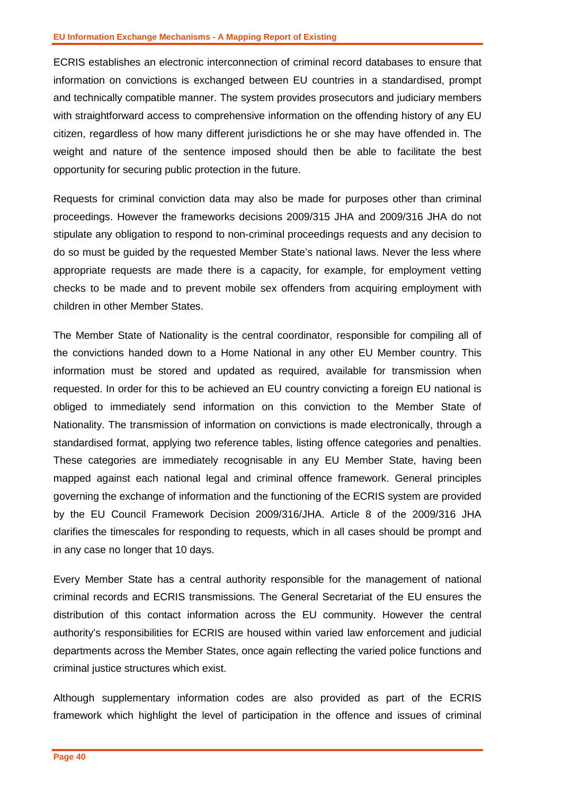ECRIS establishes an electronic interconnection of criminal record databases to ensure that information on convictions is exchanged between EU countries in a standardised, prompt and technically compatible manner. The system provides prosecutors and judiciary members with straightforward access to comprehensive information on the offending history of any EU citizen, regardless of how many different jurisdictions he or she may have offended in. The weight and nature of the sentence imposed should then be able to facilitate the best opportunity for securing public protection in the future.

Requests for criminal conviction data may also be made for purposes other than criminal proceedings. However the frameworks decisions 2009/315 JHA and 2009/316 JHA do not stipulate any obligation to respond to non-criminal proceedings requests and any decision to do so must be guided by the requested Member State's national laws. Never the less where appropriate requests are made there is a capacity, for example, for employment vetting checks to be made and to prevent mobile sex offenders from acquiring employment with children in other Member States.

The Member State of Nationality is the central coordinator, responsible for compiling all of the convictions handed down to a Home National in any other EU Member country. This information must be stored and updated as required, available for transmission when requested. In order for this to be achieved an EU country convicting a foreign EU national is obliged to immediately send information on this conviction to the Member State of Nationality. The transmission of information on convictions is made electronically, through a standardised format, applying two reference tables, listing offence categories and penalties. These categories are immediately recognisable in any EU Member State, having been mapped against each national legal and criminal offence framework. General principles governing the exchange of information and the functioning of the ECRIS system are provided by the EU Council Framework Decision 2009/316/JHA. Article 8 of the 2009/316 JHA clarifies the timescales for responding to requests, which in all cases should be prompt and in any case no longer that 10 days.

Every Member State has a central authority responsible for the management of national criminal records and ECRIS transmissions. The General Secretariat of the EU ensures the distribution of this contact information across the EU community. However the central authority's responsibilities for ECRIS are housed within varied law enforcement and judicial departments across the Member States, once again reflecting the varied police functions and criminal justice structures which exist.

Although supplementary information codes are also provided as part of the ECRIS framework which highlight the level of participation in the offence and issues of criminal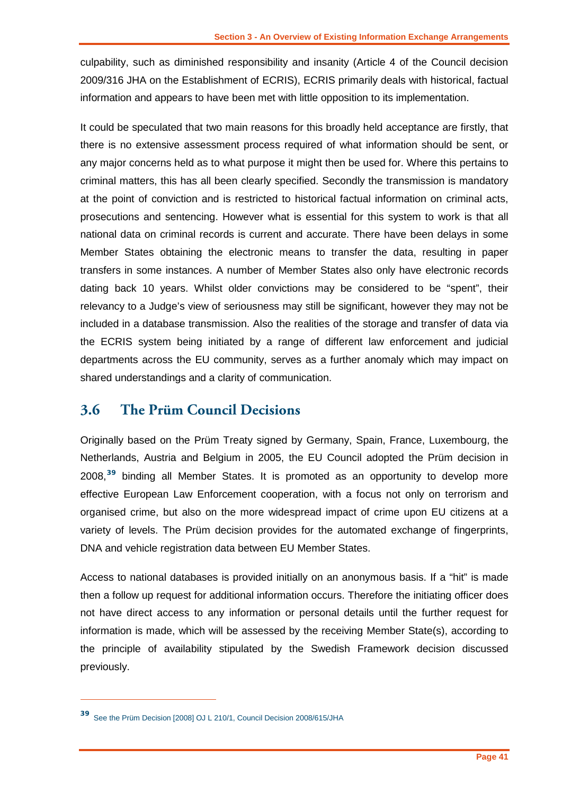culpability, such as diminished responsibility and insanity (Article 4 of the Council decision 2009/316 JHA on the Establishment of ECRIS), ECRIS primarily deals with historical, factual information and appears to have been met with little opposition to its implementation.

It could be speculated that two main reasons for this broadly held acceptance are firstly, that there is no extensive assessment process required of what information should be sent, or any major concerns held as to what purpose it might then be used for. Where this pertains to criminal matters, this has all been clearly specified. Secondly the transmission is mandatory at the point of conviction and is restricted to historical factual information on criminal acts, prosecutions and sentencing. However what is essential for this system to work is that all national data on criminal records is current and accurate. There have been delays in some Member States obtaining the electronic means to transfer the data, resulting in paper transfers in some instances. A number of Member States also only have electronic records dating back 10 years. Whilst older convictions may be considered to be "spent", their relevancy to a Judge's view of seriousness may still be significant, however they may not be included in a database transmission. Also the realities of the storage and transfer of data via the ECRIS system being initiated by a range of different law enforcement and judicial departments across the EU community, serves as a further anomaly which may impact on shared understandings and a clarity of communication.

### **3.6 The Prüm Council Decisions**

Originally based on the Prüm Treaty signed by Germany, Spain, France, Luxembourg, the Netherlands, Austria and Belgium in 2005, the EU Council adopted the Prüm decision in 2008, **[39](#page-42-0)** binding all Member States. It is promoted as an opportunity to develop more effective European Law Enforcement cooperation, with a focus not only on terrorism and organised crime, but also on the more widespread impact of crime upon EU citizens at a variety of levels. The Prüm decision provides for the automated exchange of fingerprints, DNA and vehicle registration data between EU Member States.

Access to national databases is provided initially on an anonymous basis. If a "hit" is made then a follow up request for additional information occurs. Therefore the initiating officer does not have direct access to any information or personal details until the further request for information is made, which will be assessed by the receiving Member State(s), according to the principle of availability stipulated by the Swedish Framework decision discussed previously.

<span id="page-42-0"></span>**<sup>39</sup>** See the Prüm Decision [2008] OJ L 210/1, Council Decision 2008/615/JHA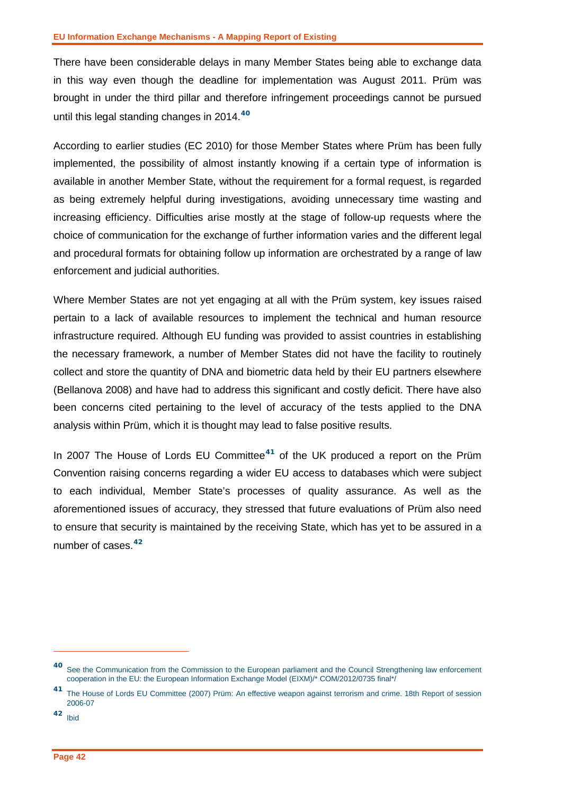There have been considerable delays in many Member States being able to exchange data in this way even though the deadline for implementation was August 2011. Prüm was brought in under the third pillar and therefore infringement proceedings cannot be pursued until this legal standing changes in 2014. **[40](#page-43-0)**

According to earlier studies (EC 2010) for those Member States where Prüm has been fully implemented, the possibility of almost instantly knowing if a certain type of information is available in another Member State, without the requirement for a formal request, is regarded as being extremely helpful during investigations, avoiding unnecessary time wasting and increasing efficiency. Difficulties arise mostly at the stage of follow-up requests where the choice of communication for the exchange of further information varies and the different legal and procedural formats for obtaining follow up information are orchestrated by a range of law enforcement and judicial authorities.

Where Member States are not yet engaging at all with the Prüm system, key issues raised pertain to a lack of available resources to implement the technical and human resource infrastructure required. Although EU funding was provided to assist countries in establishing the necessary framework, a number of Member States did not have the facility to routinely collect and store the quantity of DNA and biometric data held by their EU partners elsewhere (Bellanova 2008) and have had to address this significant and costly deficit. There have also been concerns cited pertaining to the level of accuracy of the tests applied to the DNA analysis within Prüm, which it is thought may lead to false positive results.

In 2007 The House of Lords EU Committee**[41](#page-43-1)** of the UK produced a report on the Prüm Convention raising concerns regarding a wider EU access to databases which were subject to each individual, Member State's processes of quality assurance. As well as the aforementioned issues of accuracy, they stressed that future evaluations of Prüm also need to ensure that security is maintained by the receiving State, which has yet to be assured in a number of cases.**[42](#page-43-2)**

<span id="page-43-0"></span>**<sup>40</sup>** See the Communication from the Commission to the European parliament and the Council Strengthening law enforcement cooperation in the EU: the European Information Exchange Model (EIXM)/\* COM/2012/0735 final\*/

<span id="page-43-1"></span>**<sup>41</sup>** The House of Lords EU Committee (2007) Prüm: An effective weapon against terrorism and crime. 18th Report of session 2006-07

<span id="page-43-2"></span>**<sup>42</sup>** Ibid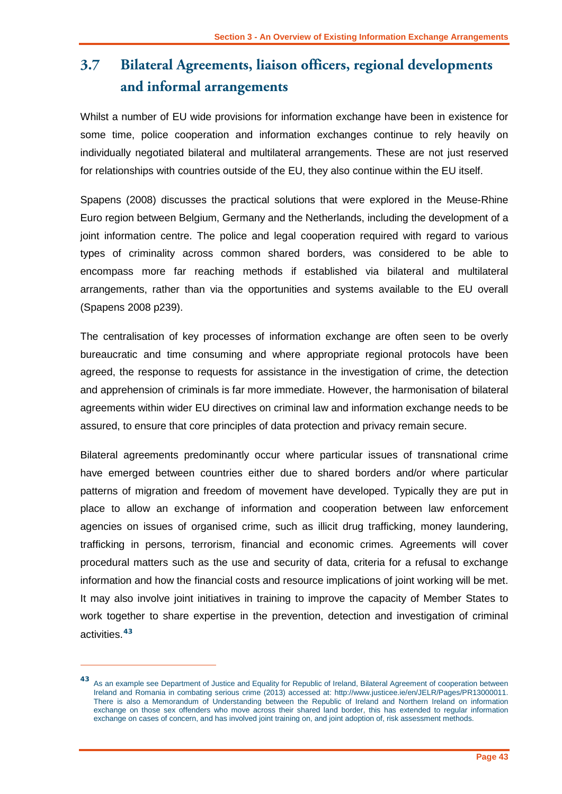# **3.7 Bilateral Agreements, liaison officers, regional developments and informal arrangements**

Whilst a number of EU wide provisions for information exchange have been in existence for some time, police cooperation and information exchanges continue to rely heavily on individually negotiated bilateral and multilateral arrangements. These are not just reserved for relationships with countries outside of the EU, they also continue within the EU itself.

Spapens (2008) discusses the practical solutions that were explored in the Meuse-Rhine Euro region between Belgium, Germany and the Netherlands, including the development of a joint information centre. The police and legal cooperation required with regard to various types of criminality across common shared borders, was considered to be able to encompass more far reaching methods if established via bilateral and multilateral arrangements, rather than via the opportunities and systems available to the EU overall (Spapens 2008 p239).

The centralisation of key processes of information exchange are often seen to be overly bureaucratic and time consuming and where appropriate regional protocols have been agreed, the response to requests for assistance in the investigation of crime, the detection and apprehension of criminals is far more immediate. However, the harmonisation of bilateral agreements within wider EU directives on criminal law and information exchange needs to be assured, to ensure that core principles of data protection and privacy remain secure.

Bilateral agreements predominantly occur where particular issues of transnational crime have emerged between countries either due to shared borders and/or where particular patterns of migration and freedom of movement have developed. Typically they are put in place to allow an exchange of information and cooperation between law enforcement agencies on issues of organised crime, such as illicit drug trafficking, money laundering, trafficking in persons, terrorism, financial and economic crimes. Agreements will cover procedural matters such as the use and security of data, criteria for a refusal to exchange information and how the financial costs and resource implications of joint working will be met. It may also involve joint initiatives in training to improve the capacity of Member States to work together to share expertise in the prevention, detection and investigation of criminal activities.**[43](#page-44-0)**

<span id="page-44-0"></span>**<sup>43</sup>** As an example see Department of Justice and Equality for Republic of Ireland, Bilateral Agreement of cooperation between Ireland and Romania in combating serious crime (2013) accessed at: http://www.justicee.ie/en/JELR/Pages/PR13000011. There is also a Memorandum of Understanding between the Republic of Ireland and Northern Ireland on information exchange on those sex offenders who move across their shared land border, this has extended to regular information exchange on cases of concern, and has involved joint training on, and joint adoption of, risk assessment methods.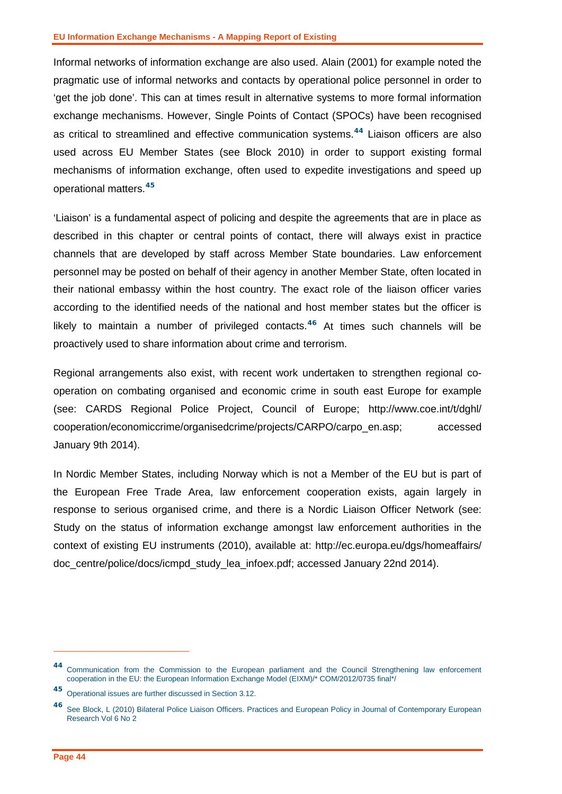Informal networks of information exchange are also used. Alain (2001) for example noted the pragmatic use of informal networks and contacts by operational police personnel in order to 'get the job done'. This can at times result in alternative systems to more formal information exchange mechanisms. However, Single Points of Contact (SPOCs) have been recognised as critical to streamlined and effective communication systems. **[44](#page-45-0)** Liaison officers are also used across EU Member States (see Block 2010) in order to support existing formal mechanisms of information exchange, often used to expedite investigations and speed up operational matters.**[45](#page-45-1)**

'Liaison' is a fundamental aspect of policing and despite the agreements that are in place as described in this chapter or central points of contact, there will always exist in practice channels that are developed by staff across Member State boundaries. Law enforcement personnel may be posted on behalf of their agency in another Member State, often located in their national embassy within the host country. The exact role of the liaison officer varies according to the identified needs of the national and host member states but the officer is likely to maintain a number of privileged contacts.**[46](#page-45-2)** At times such channels will be proactively used to share information about crime and terrorism.

Regional arrangements also exist, with recent work undertaken to strengthen regional cooperation on combating organised and economic crime in south east Europe for example (see: CARDS Regional Police Project, Council of Europe; http://www.coe.int/t/dghl/ cooperation/economiccrime/organisedcrime/projects/CARPO/carpo\_en.asp; accessed January 9th 2014).

In Nordic Member States, including Norway which is not a Member of the EU but is part of the European Free Trade Area, law enforcement cooperation exists, again largely in response to serious organised crime, and there is a Nordic Liaison Officer Network (see: Study on the status of information exchange amongst law enforcement authorities in the context of existing EU instruments (2010), available at: http://ec.europa.eu/dgs/homeaffairs/ doc\_centre/police/docs/icmpd\_study\_lea\_infoex.pdf; accessed January 22nd 2014).

<span id="page-45-0"></span>**<sup>44</sup>** Communication from the Commission to the European parliament and the Council Strengthening law enforcement cooperation in the EU: the European Information Exchange Model (EIXM)/\* COM/2012/0735 final\*/

<span id="page-45-1"></span>**<sup>45</sup>** Operational issues are further discussed in Section 3.12.

<span id="page-45-2"></span>**<sup>46</sup>** See Block, L (2010) Bilateral Police Liaison Officers. Practices and European Policy in Journal of Contemporary European Research Vol 6 No 2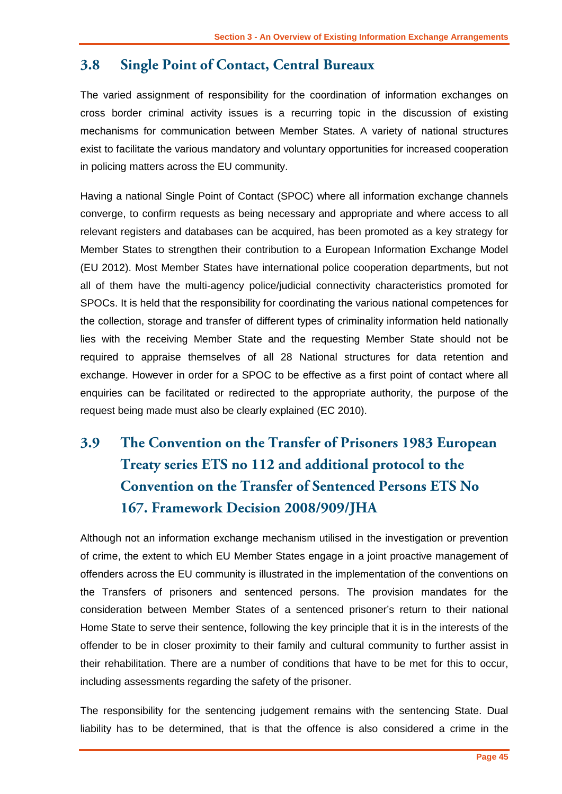#### **3.8 Single Point of Contact, Central Bureaux**

The varied assignment of responsibility for the coordination of information exchanges on cross border criminal activity issues is a recurring topic in the discussion of existing mechanisms for communication between Member States. A variety of national structures exist to facilitate the various mandatory and voluntary opportunities for increased cooperation in policing matters across the EU community.

Having a national Single Point of Contact (SPOC) where all information exchange channels converge, to confirm requests as being necessary and appropriate and where access to all relevant registers and databases can be acquired, has been promoted as a key strategy for Member States to strengthen their contribution to a European Information Exchange Model (EU 2012). Most Member States have international police cooperation departments, but not all of them have the multi-agency police/judicial connectivity characteristics promoted for SPOCs. It is held that the responsibility for coordinating the various national competences for the collection, storage and transfer of different types of criminality information held nationally lies with the receiving Member State and the requesting Member State should not be required to appraise themselves of all 28 National structures for data retention and exchange. However in order for a SPOC to be effective as a first point of contact where all enquiries can be facilitated or redirected to the appropriate authority, the purpose of the request being made must also be clearly explained (EC 2010).

# **3.9 The Convention on the Transfer of Prisoners 1983 European Treaty series ETS no 112 and additional protocol to the Convention on the Transfer of Sentenced Persons ETS No 167. Framework Decision 2008/909/JHA**

Although not an information exchange mechanism utilised in the investigation or prevention of crime, the extent to which EU Member States engage in a joint proactive management of offenders across the EU community is illustrated in the implementation of the conventions on the Transfers of prisoners and sentenced persons. The provision mandates for the consideration between Member States of a sentenced prisoner's return to their national Home State to serve their sentence, following the key principle that it is in the interests of the offender to be in closer proximity to their family and cultural community to further assist in their rehabilitation. There are a number of conditions that have to be met for this to occur, including assessments regarding the safety of the prisoner.

The responsibility for the sentencing judgement remains with the sentencing State. Dual liability has to be determined, that is that the offence is also considered a crime in the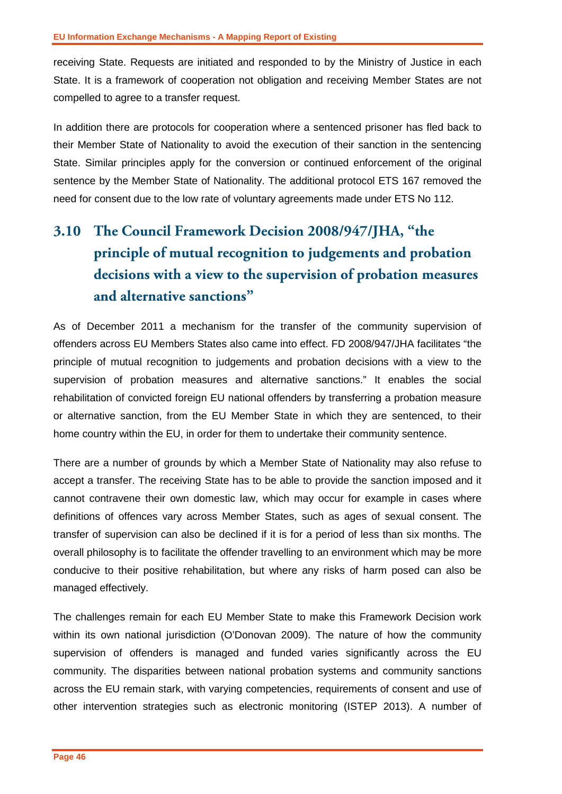receiving State. Requests are initiated and responded to by the Ministry of Justice in each State. It is a framework of cooperation not obligation and receiving Member States are not compelled to agree to a transfer request.

In addition there are protocols for cooperation where a sentenced prisoner has fled back to their Member State of Nationality to avoid the execution of their sanction in the sentencing State. Similar principles apply for the conversion or continued enforcement of the original sentence by the Member State of Nationality. The additional protocol ETS 167 removed the need for consent due to the low rate of voluntary agreements made under ETS No 112.

# **3.10 The Council Framework Decision 2008/947/JHA, "the principle of mutual recognition to judgements and probation decisions with a view to the supervision of probation measures and alternative sanctions"**

As of December 2011 a mechanism for the transfer of the community supervision of offenders across EU Members States also came into effect. FD 2008/947/JHA facilitates "the principle of mutual recognition to judgements and probation decisions with a view to the supervision of probation measures and alternative sanctions." It enables the social rehabilitation of convicted foreign EU national offenders by transferring a probation measure or alternative sanction, from the EU Member State in which they are sentenced, to their home country within the EU, in order for them to undertake their community sentence.

There are a number of grounds by which a Member State of Nationality may also refuse to accept a transfer. The receiving State has to be able to provide the sanction imposed and it cannot contravene their own domestic law, which may occur for example in cases where definitions of offences vary across Member States, such as ages of sexual consent. The transfer of supervision can also be declined if it is for a period of less than six months. The overall philosophy is to facilitate the offender travelling to an environment which may be more conducive to their positive rehabilitation, but where any risks of harm posed can also be managed effectively.

The challenges remain for each EU Member State to make this Framework Decision work within its own national jurisdiction (O'Donovan 2009). The nature of how the community supervision of offenders is managed and funded varies significantly across the EU community. The disparities between national probation systems and community sanctions across the EU remain stark, with varying competencies, requirements of consent and use of other intervention strategies such as electronic monitoring (ISTEP 2013). A number of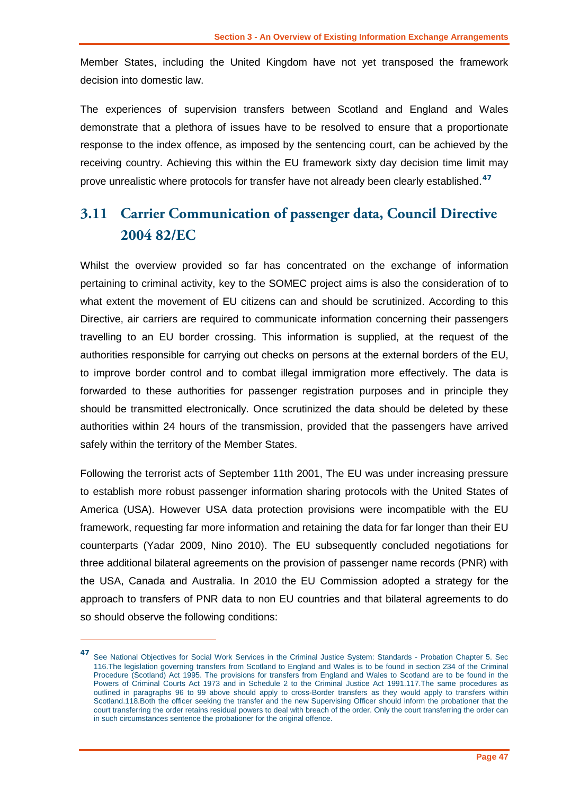Member States, including the United Kingdom have not yet transposed the framework decision into domestic law.

The experiences of supervision transfers between Scotland and England and Wales demonstrate that a plethora of issues have to be resolved to ensure that a proportionate response to the index offence, as imposed by the sentencing court, can be achieved by the receiving country. Achieving this within the EU framework sixty day decision time limit may prove unrealistic where protocols for transfer have not already been clearly established. **[47](#page-48-0)**

# **3.11 Carrier Communication of passenger data, Council Directive 2004 82/EC**

Whilst the overview provided so far has concentrated on the exchange of information pertaining to criminal activity, key to the SOMEC project aims is also the consideration of to what extent the movement of EU citizens can and should be scrutinized. According to this Directive, air carriers are required to communicate information concerning their passengers travelling to an EU border crossing. This information is supplied, at the request of the authorities responsible for carrying out checks on persons at the external borders of the EU, to improve border control and to combat illegal immigration more effectively. The data is forwarded to these authorities for passenger registration purposes and in principle they should be transmitted electronically. Once scrutinized the data should be deleted by these authorities within 24 hours of the transmission, provided that the passengers have arrived safely within the territory of the Member States.

Following the terrorist acts of September 11th 2001, The EU was under increasing pressure to establish more robust passenger information sharing protocols with the United States of America (USA). However USA data protection provisions were incompatible with the EU framework, requesting far more information and retaining the data for far longer than their EU counterparts (Yadar 2009, Nino 2010). The EU subsequently concluded negotiations for three additional bilateral agreements on the provision of passenger name records (PNR) with the USA, Canada and Australia. In 2010 the EU Commission adopted a strategy for the approach to transfers of PNR data to non EU countries and that bilateral agreements to do so should observe the following conditions:

<span id="page-48-0"></span>**<sup>47</sup>** See National Objectives for Social Work Services in the Criminal Justice System: Standards - Probation Chapter 5. Sec 116.The legislation governing transfers from Scotland to England and Wales is to be found in section 234 of the Criminal Procedure (Scotland) Act 1995. The provisions for transfers from England and Wales to Scotland are to be found in the Powers of Criminal Courts Act 1973 and in Schedule 2 to the Criminal Justice Act 1991.117.The same procedures as outlined in paragraphs 96 to 99 above should apply to cross-Border transfers as they would apply to transfers within Scotland.118.Both the officer seeking the transfer and the new Supervising Officer should inform the probationer that the court transferring the order retains residual powers to deal with breach of the order. Only the court transferring the order can in such circumstances sentence the probationer for the original offence.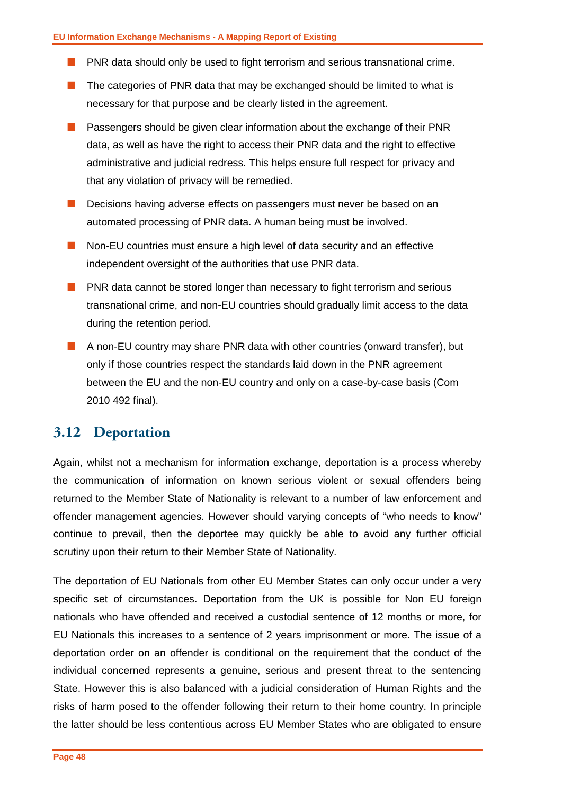- **PNR** data should only be used to fight terrorism and serious transnational crime.
- $\blacksquare$  The categories of PNR data that may be exchanged should be limited to what is necessary for that purpose and be clearly listed in the agreement.
- **Passengers should be given clear information about the exchange of their PNR** data, as well as have the right to access their PNR data and the right to effective administrative and judicial redress. This helps ensure full respect for privacy and that any violation of privacy will be remedied.
- Decisions having adverse effects on passengers must never be based on an automated processing of PNR data. A human being must be involved.
- **Non-EU countries must ensure a high level of data security and an effective** independent oversight of the authorities that use PNR data.
- **PNR** data cannot be stored longer than necessary to fight terrorism and serious transnational crime, and non-EU countries should gradually limit access to the data during the retention period.
- $\blacksquare$  A non-EU country may share PNR data with other countries (onward transfer), but only if those countries respect the standards laid down in the PNR agreement between the EU and the non-EU country and only on a case-by-case basis (Com 2010 492 final).

#### **3.12 Deportation**

Again, whilst not a mechanism for information exchange, deportation is a process whereby the communication of information on known serious violent or sexual offenders being returned to the Member State of Nationality is relevant to a number of law enforcement and offender management agencies. However should varying concepts of "who needs to know" continue to prevail, then the deportee may quickly be able to avoid any further official scrutiny upon their return to their Member State of Nationality.

The deportation of EU Nationals from other EU Member States can only occur under a very specific set of circumstances. Deportation from the UK is possible for Non EU foreign nationals who have offended and received a custodial sentence of 12 months or more, for EU Nationals this increases to a sentence of 2 years imprisonment or more. The issue of a deportation order on an offender is conditional on the requirement that the conduct of the individual concerned represents a genuine, serious and present threat to the sentencing State. However this is also balanced with a judicial consideration of Human Rights and the risks of harm posed to the offender following their return to their home country. In principle the latter should be less contentious across EU Member States who are obligated to ensure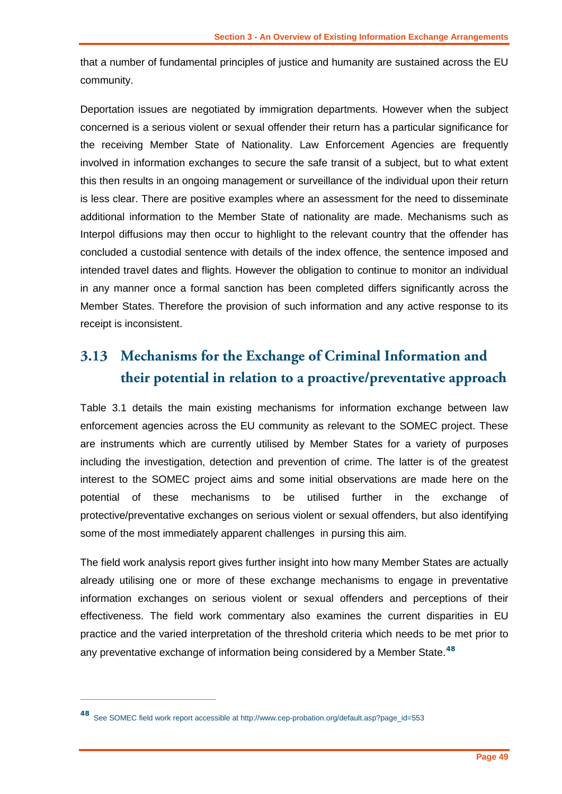that a number of fundamental principles of justice and humanity are sustained across the EU community.

Deportation issues are negotiated by immigration departments. However when the subject concerned is a serious violent or sexual offender their return has a particular significance for the receiving Member State of Nationality. Law Enforcement Agencies are frequently involved in information exchanges to secure the safe transit of a subject, but to what extent this then results in an ongoing management or surveillance of the individual upon their return is less clear. There are positive examples where an assessment for the need to disseminate additional information to the Member State of nationality are made. Mechanisms such as Interpol diffusions may then occur to highlight to the relevant country that the offender has concluded a custodial sentence with details of the index offence, the sentence imposed and intended travel dates and flights. However the obligation to continue to monitor an individual in any manner once a formal sanction has been completed differs significantly across the Member States. Therefore the provision of such information and any active response to its receipt is inconsistent.

# **3.13 Mechanisms for the Exchange of Criminal Information and their potential in relation to a proactive/preventative approach**

Table 3.1 details the main existing mechanisms for information exchange between law enforcement agencies across the EU community as relevant to the SOMEC project. These are instruments which are currently utilised by Member States for a variety of purposes including the investigation, detection and prevention of crime. The latter is of the greatest interest to the SOMEC project aims and some initial observations are made here on the potential of these mechanisms to be utilised further in the exchange of protective/preventative exchanges on serious violent or sexual offenders, but also identifying some of the most immediately apparent challenges in pursing this aim.

The field work analysis report gives further insight into how many Member States are actually already utilising one or more of these exchange mechanisms to engage in preventative information exchanges on serious violent or sexual offenders and perceptions of their effectiveness. The field work commentary also examines the current disparities in EU practice and the varied interpretation of the threshold criteria which needs to be met prior to any preventative exchange of information being considered by a Member State. **[48](#page-50-0)**

<span id="page-50-0"></span>**<sup>48</sup>** See SOMEC field work report accessible at http://www.cep-probation.org/default.asp?page\_id=553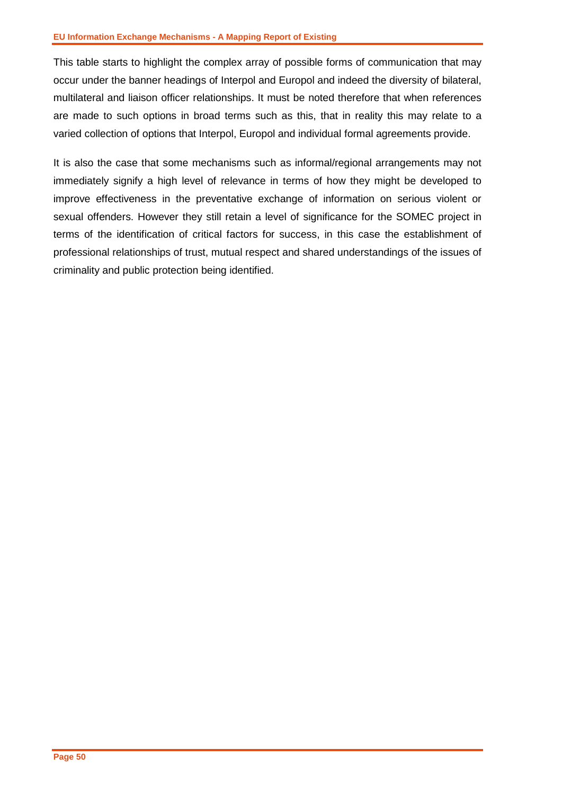This table starts to highlight the complex array of possible forms of communication that may occur under the banner headings of Interpol and Europol and indeed the diversity of bilateral, multilateral and liaison officer relationships. It must be noted therefore that when references are made to such options in broad terms such as this, that in reality this may relate to a varied collection of options that Interpol, Europol and individual formal agreements provide.

It is also the case that some mechanisms such as informal/regional arrangements may not immediately signify a high level of relevance in terms of how they might be developed to improve effectiveness in the preventative exchange of information on serious violent or sexual offenders. However they still retain a level of significance for the SOMEC project in terms of the identification of critical factors for success, in this case the establishment of professional relationships of trust, mutual respect and shared understandings of the issues of criminality and public protection being identified.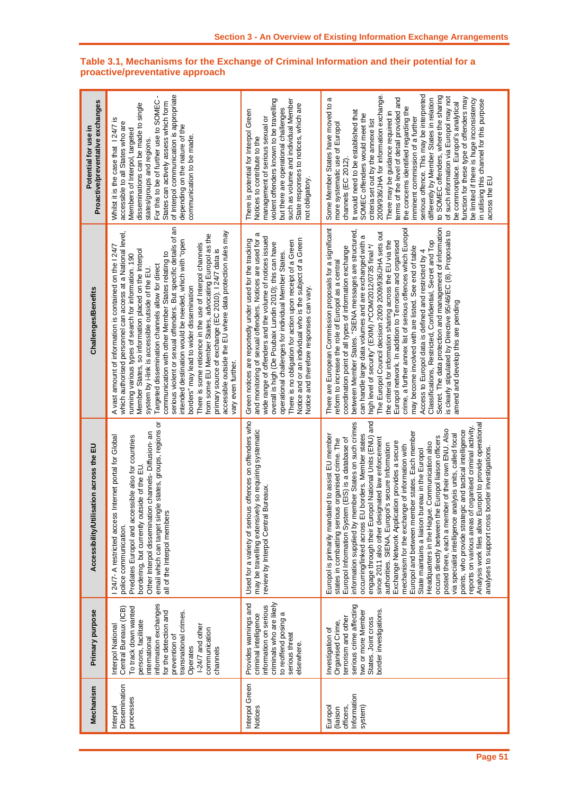| Mechanism                                                  | Primary purpose                                                                                                                                                                                                                                                            | Accessibility/Utilisation across the EU                                                                                                                                                                                                                                                                                                                                                                                                                                                                                                                                                                                                                                                                                                                                                                                                                                                                                                                                                                                                                                                                                 | Challenges/Benefits                                                                                                                                                                                                                                                                                                                                                                                                                                                                                                                                                                                                                                                                                                                                                                                                                                                                                                                                               | Proactive/preventative exchanges<br>Potential for use in                                                                                                                                                                                                                                                                                                                                                                                                                                                                                                                                                                                                                                                                                                                                             |
|------------------------------------------------------------|----------------------------------------------------------------------------------------------------------------------------------------------------------------------------------------------------------------------------------------------------------------------------|-------------------------------------------------------------------------------------------------------------------------------------------------------------------------------------------------------------------------------------------------------------------------------------------------------------------------------------------------------------------------------------------------------------------------------------------------------------------------------------------------------------------------------------------------------------------------------------------------------------------------------------------------------------------------------------------------------------------------------------------------------------------------------------------------------------------------------------------------------------------------------------------------------------------------------------------------------------------------------------------------------------------------------------------------------------------------------------------------------------------------|-------------------------------------------------------------------------------------------------------------------------------------------------------------------------------------------------------------------------------------------------------------------------------------------------------------------------------------------------------------------------------------------------------------------------------------------------------------------------------------------------------------------------------------------------------------------------------------------------------------------------------------------------------------------------------------------------------------------------------------------------------------------------------------------------------------------------------------------------------------------------------------------------------------------------------------------------------------------|------------------------------------------------------------------------------------------------------------------------------------------------------------------------------------------------------------------------------------------------------------------------------------------------------------------------------------------------------------------------------------------------------------------------------------------------------------------------------------------------------------------------------------------------------------------------------------------------------------------------------------------------------------------------------------------------------------------------------------------------------------------------------------------------------|
| Dissemination<br>processes<br>Interpol                     | information exchanges<br>To track down wanted<br>Central Bureaux (ICB)<br>for the detection and<br>transnational crimes.<br>persons, facilitate<br>1-24/7 and other<br><b>Interpol National</b><br>communication<br>prevention of<br>international<br>Operates<br>channels | email which can target single states, groups, regions or<br>Other Interpol dissemination channels-Diffusion-an<br>Internet portal for Global<br>Predates Europol and accessible also for countries<br>bordering, but currently outside of the EU.<br>all of the Interpol members<br>124/7-A restricted access<br>police communication.                                                                                                                                                                                                                                                                                                                                                                                                                                                                                                                                                                                                                                                                                                                                                                                  | serious violent or sexual offenders. But specific details of an<br>accessible outside the EU where data protection rules may<br>which authorised personnel can access at a National level,<br>from some EU Member States, advocating Europol as the<br>intended destination would be needed, which with "open<br>There is some reticence in the use of Interpol channels<br>A vast amount of information is contained on the I 24/7<br>primary source of exchange (EC 2010). I 24/7 data is<br>Member States, so information placed on the Interpol<br>communication with other Member States relating to<br>running various types of search for information. 190<br>Targeted dissemination channels allow for direct<br>system by i-link is accessible outside of the EU<br>borders" may lead to wider dissemination<br>vary even further.                                                                                                                       | of Interpol communication is appropriate<br>For this to be of further use to SOMEC<br>States can actively assess which form<br>disseminations can be made to single<br>Whilst it is the case that 124/7 is<br>accessible to all States who are<br>depending on the nature of the<br>Members of Interpol, targeted<br>communication to be made.<br>states/groups and regions.                                                                                                                                                                                                                                                                                                                                                                                                                         |
| Interpol Green<br>Notices                                  | criminals who are likely<br>Provides warnings and<br>information on serious<br>to reoffend posing a<br>criminal intelligence<br>serious threat<br>elsewhere.                                                                                                               | Used for a variety of serious offences on offenders who<br>may be travelling extensively so requiring systematic<br>Bureaux<br>review by Interpol Central                                                                                                                                                                                                                                                                                                                                                                                                                                                                                                                                                                                                                                                                                                                                                                                                                                                                                                                                                               | and monitoring of sexual offenders. Notices are used for a<br>wide range of offenders and the volume of notices issued<br>Notice and or an individual who is the subject of a Green<br>Green notices are reportedly under used for the tracking<br>There is no obligation for action upon receipt of a Green<br>overall is high (De Poubaix Lundin 2010); this can have<br>operational challenges for individual Member States.<br>Notice and therefore responses can vary.                                                                                                                                                                                                                                                                                                                                                                                                                                                                                       | violent offenders known to be travelling<br>such as volume and individual Member<br>State responses to notices, which are<br>but there are operational challenges<br>There is potential for Interpol Green<br>management of serious sexual or<br>Notices to contribute to the<br>not obligatory.                                                                                                                                                                                                                                                                                                                                                                                                                                                                                                     |
| Information<br>officers,<br>system)<br>Europol<br>(liaison | serious crime affecting<br>border investigations.<br>two or more Member<br>terrorism and other<br>States. Joint cross<br>Organised Crime,<br>Investigation of                                                                                                              | engage through their Europol National Units (ENU) and<br>information supplied by member States on such crimes<br>Analysis work files allow Europol to provide operational<br>reports on various areas of organised criminal activity.<br>posted there, each a member of their own ENU. Also<br>points, who provide strategic and tactical intelligence<br>Europol and between member states. Each member<br>occurring/linked across EU borders. Member states<br>via specialist intelligence analysis units, called focal<br>Europol is primarily mandated to assist EU member<br>occurs directly between the Europol liaison officers<br>since 2011 also other designated law enforcement<br>states in combatting serious organised crime. The<br>Europol Information System (EIS) is a database of<br>Exchange Network Application provides a secure<br>Headquarters in the Hague. Communication also<br>authorities. SIENA, Europol's secure Information<br>mechanism for the exchange of information with<br>border investigations.<br>State maintains a liaison bureau in the Europol<br>analyses to support cross | Secret. The data protection and management of information<br>There are European Commission proposals for a significant<br>crime, a further annex list of serious offences which Europol<br>between Member States. "SIENA messages are structured,<br>s clearly stipulated by Directive 95/46/EC (8). Proposals to<br>The Europol Council decision 2009 2009/936/JHA sets out<br>can handle large data volumes and are exchanged with a<br>Classifications, Restricted, Confidential, Secret and Top<br>the criteria for information sharing across the EU via the<br>Europol network. In addition to Terrorism and organised<br>high level of security" (EXIM) /*COM/2012/0735 final */<br>coordination point of all types of information exchange<br>may become involved with are listed. See end of table<br>Access to Europol data is defined and restricted by 4<br>reform to increase the role of Europol as a central<br>amend and develop this are pending | serious offence. This may be interpreted<br>2009/936/JHA for information exchange.<br>to SOMEC offenders, where the sharing<br>of such information via Europol may not<br>function for these type of offenders may<br>terms of the level of detail provided and<br>differently by Member States in relation<br>σ<br>be limited if there is huge inconsistency<br>in utilising this channel for this purpose<br>be commonplace. Europol's analytical<br>Some Member States have moved to<br>the concerns identified regarding the<br>It would need to be established that<br>There may be guidance required in<br>SOMEC offenders would meet the<br>imminent commission of a further<br>criteria set out by the annexe list<br>more systematic use of Europol<br>channels (EC 2012).<br>across the EU |

#### **Table 3.1, Mechanisms for the Exchange of Criminal Information and their potential for a proactive/preventative approach**

**Section 3 - An Overview of Existing Information Exchange Arrangements**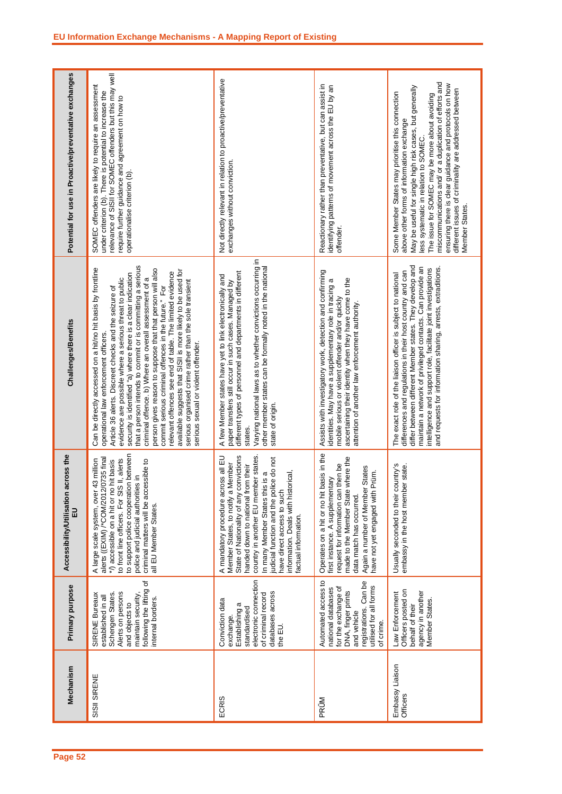| Mechanism                   | Primary purpose                                                                                                                                                        | Accessibility/Utilisation across the                                                                                                                                                                                                                                                                                                                                        | <b>Challenges/Benefits</b>                                                                                                                                                                                                                                                                                                                                                                                                                                                                                                                                                                                                                                                                                                                                      | Potential for use in Proactive/preventative exchanges                                                                                                                                                                                                                                                                                                                                                                                             |
|-----------------------------|------------------------------------------------------------------------------------------------------------------------------------------------------------------------|-----------------------------------------------------------------------------------------------------------------------------------------------------------------------------------------------------------------------------------------------------------------------------------------------------------------------------------------------------------------------------|-----------------------------------------------------------------------------------------------------------------------------------------------------------------------------------------------------------------------------------------------------------------------------------------------------------------------------------------------------------------------------------------------------------------------------------------------------------------------------------------------------------------------------------------------------------------------------------------------------------------------------------------------------------------------------------------------------------------------------------------------------------------|---------------------------------------------------------------------------------------------------------------------------------------------------------------------------------------------------------------------------------------------------------------------------------------------------------------------------------------------------------------------------------------------------------------------------------------------------|
| SISII SIRENE                | following the lifting of<br>Alerts on persons<br>Schengen States.<br>SIRENE Bureaux<br>maintain security,<br>established in all<br>internal borders.<br>and objects to | to support police cooperation between<br>alerts ((EXIM) /*COM/2012/0735 final<br>to front line officers. For SIS II, alerts<br>43 million<br>criminal matters will be accessible to<br>*/) accessible on a hit or no hit basis<br>police and judicial authorities in<br>A large scale system, over<br>all EU Member States.                                                 | that a person intends to commit or is committing a serious<br>Can be directly accessed on a hit/no hit basis by frontline<br>person gives reason to suppose that that person will also<br>available suggests that SISII is more likely to be used for<br>relevant offences see end of table. The limited evidence<br>security is identified "a) where there is a clear indication<br>criminal offence. b) Where an overall assessment of a<br>evidence are possible where a serious threat to public<br>serious organised crime rather than the sole transient<br>commit serious criminal offences in the future." For<br>Article 36 alerts. Discreet checks and the seizure of<br>operational law enforcement officers.<br>serious sexual or violent offender. | relevance of SISII for SOMEC offenders but this may well<br>SOMEC offenders are likely to require an assessment<br>under criterion (b). There is potential to increase the<br>require further guidance and agreement on how to<br>operationalise criterion (b).                                                                                                                                                                                   |
| ECRIS                       | electronic connection<br>databases across<br>of criminal record<br>Conviction data<br>σ<br>standardised<br>Establishing<br>exchange.<br>the EU.                        | country in another EU member states.<br>State of Nationality of any convictions<br>A mandatory procedure across all EU<br>judicial function and the police do not<br>Member States, to notify a Member<br>handed down to national from their<br>In many Member States this is a<br>information. Deals with historical,<br>have direct access to such<br>actual information. | Varying national laws as to whether convictions occurring in<br>other member states can be formally noted in the national<br>different types of personnel and departments in different<br>A few Member states have yet to link electronically and<br>paper transfers still occur in such cases. Managed by<br>state of origin.<br>states.                                                                                                                                                                                                                                                                                                                                                                                                                       | Not directly relevant in relation to proactive/preventative<br>exchanges without conviction.                                                                                                                                                                                                                                                                                                                                                      |
| PRÜM                        | Automated access to<br>registrations. Can be<br>utilised for all forms<br>for the exchange of<br>national databases<br>DNA, finger prints<br>and vehicle<br>of crime.  | Operates on a hit or no hit basis in the<br>made to the Member State where the<br>request for information can then be<br><b>States</b><br>have not yet engaged with Prüm.<br>first instance. A supplementary<br>Again a number of Member<br>data match has occurred.                                                                                                        | Assists with investigatory work, detection and confirming<br>ascertaining their identity when they have come to the<br>identities. May have a supplementary role in tracing a<br>mobile serious or violent offender and/or quickly<br>attention of another law enforcement authority.                                                                                                                                                                                                                                                                                                                                                                                                                                                                           | Reactionary rather than preventative, but can assist in<br>identifying patterns of movement across the EU by an<br>offender.                                                                                                                                                                                                                                                                                                                      |
| Embassy Liaison<br>Officers | Officers posted on<br>agency in another<br>Law Enforcement<br>Member States.<br>behalf of their                                                                        | Usually seconded to their country's<br>embassy in the host member state.                                                                                                                                                                                                                                                                                                    | differ between different Member states. They develop and<br>maintain a network of privileged contacts. Can provide an<br>and requests for information sharing, arrests, extraditions.<br>intelligence and support role, facilitate joint investigations<br>differences and regulations in their host country and can<br>The exact role of the liaison officer is subject to national                                                                                                                                                                                                                                                                                                                                                                            | miscommunications and/ or a duplication of efforts and<br>ensuring there is clear guidance and protocols on how<br>May be useful for single high risk cases, but generally<br>different issues of criminality are addressed between<br>Some Member States may prioritise this connection<br>The issue for SOMEC may be more about avoiding<br>above other forms of information exchange<br>less systematic in relation to SOMEC<br>Member States. |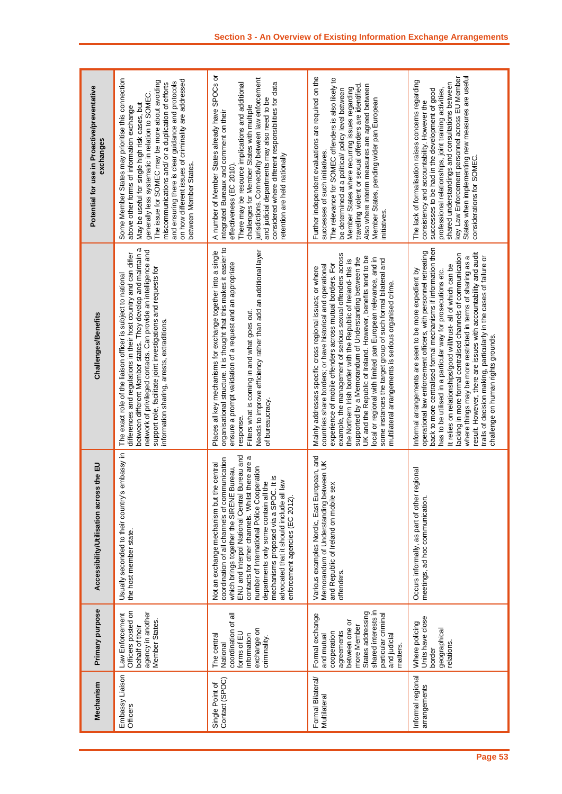| Potential for use in Proactive/preventative<br>exchanges | Some Member States may prioritise this connection<br>on how different issues of criminality are addressed<br>The issue for SOMEC may be more about avoiding<br>and ensuring there is clear guidance and protocols<br>miscommunications and/ or a duplication of efforts<br>generally less systematic in relation to SOMEC.<br>May be useful for single high risk cases, but<br>above other forms of information exchange<br>between Member States. | A number of Member States already have SPOCs or<br>jurisdictions. Connectivity between law enforcement<br>There may be resource implications and additional<br>considered where different responsibilities for data<br>and judicial departments may also need to be<br>challenges for Member States with multiple<br>integrated Bureaux and comment on their<br>retention are held nationally<br>effectiveness (EC 2010).                                | Further independent evaluations are required on the<br>The relevance for SOMEC offenders is also likely to<br>Also where interim measures are agreed between<br>travelling violent or sexual offenders are identified<br>Member States where recurring issues regarding<br>be determined at a political/ policy level between<br>Member States, pending wider pan European<br>successes of such initiatives.<br>initiatives.                                                                                                                                                                                                              | key Law Enforcement personnel across EU Member<br>States when implementing new measures are useful<br>The lack of formalisation raises concerns regarding<br>shared understandings and consultations between<br>professional relationships, joint training activities,<br>successes to be had in the development of good<br>consistency and accountability. However the<br>considerations for SOMEC.                                                                                                                                                                                                                                          |
|----------------------------------------------------------|----------------------------------------------------------------------------------------------------------------------------------------------------------------------------------------------------------------------------------------------------------------------------------------------------------------------------------------------------------------------------------------------------------------------------------------------------|----------------------------------------------------------------------------------------------------------------------------------------------------------------------------------------------------------------------------------------------------------------------------------------------------------------------------------------------------------------------------------------------------------------------------------------------------------|-------------------------------------------------------------------------------------------------------------------------------------------------------------------------------------------------------------------------------------------------------------------------------------------------------------------------------------------------------------------------------------------------------------------------------------------------------------------------------------------------------------------------------------------------------------------------------------------------------------------------------------------|-----------------------------------------------------------------------------------------------------------------------------------------------------------------------------------------------------------------------------------------------------------------------------------------------------------------------------------------------------------------------------------------------------------------------------------------------------------------------------------------------------------------------------------------------------------------------------------------------------------------------------------------------|
| <b>Challenges/Benefits</b>                               | between different Member states. They develop and maintain a<br>network of privileged contacts. Can provide an intelligence and<br>differences and regulations in their host country and can differ<br>support role, facilitate joint investigations and requests for<br>The exact role of the liaison officer is subject to national<br>information sharing, arrests, extraditions.                                                               | organisational structure. It is thought that this makes it easier to<br>Places all key mechanisms for exchange together into a single<br>Needs to improve efficiency rather than add an additional layer<br>ensure a prompt validation of a request and an appropriate<br>Filters what is coming in and what goes out.<br>of bureaucracy.<br>response.                                                                                                   | example, the management of serious sexual offenders across<br>UK and the Republic of Ireland. However, benefits tend to be<br>supported by a Memorandum of Understanding between the<br>local or regional with limited pan European relevance, and in<br>some instances the target group of such formal bilateral and<br>the Northern Irish border with the Republic of Ireland-this is<br>experience of mobile offenders across mutual borders. For<br>countries share borders; or have historical and operational<br>Mainly addresses specific cross regional issues; or where<br>multilateral arrangements is serious organised crime. | back to more centralised formal mechanisms if information then<br>operational law enforcement officers, with personnel retreating<br>result. However, there are issues with accountability and audit<br>lacking in more formal centralised channels of communication<br>trails of decision making, particularly in the cases of failure or<br>where things may be more restricted in terms of sharing as a<br>It relies on relationships/good will/trust- all of which can be<br>Informal arrangements are seen to be more expedient by<br>has to be utilised in a particular way for prosecutions etc.<br>challenge on human rights grounds. |
| Accessibility/Utilisation across the EU                  | embassy in<br>Usually seconded to their country's<br>the host member state.                                                                                                                                                                                                                                                                                                                                                                        | ENU and Interpol National Central Bureau and<br>contacts for other channels. Whilst there are a<br>coordination of all channels of communication<br>Not an exchange mechanism but the central<br>which brings together the SIRENE Bureau,<br>number of International Police Cooperation<br>mechanisms proposed via a SPOC. It is<br>departments only some contain all the<br>advocated that it should include all law<br>enforcement agencies (EC 2012). | Various examples Nordic, East European, and<br>Memorandum of Understanding between UK<br>and Republic of Ireland on mobile sex<br>offenders.                                                                                                                                                                                                                                                                                                                                                                                                                                                                                              | Occurs informally, as part of other regional<br>meetings, ad hoc communication.                                                                                                                                                                                                                                                                                                                                                                                                                                                                                                                                                               |
| Primary purpose                                          | Officers posted on<br>agency in another<br>Law Enforcement<br>Member States.<br>behalf of their                                                                                                                                                                                                                                                                                                                                                    | coordination of all<br>exchange on<br>forms of EU<br>information<br>The central<br>criminality.<br>National                                                                                                                                                                                                                                                                                                                                              | States addressing<br>shared interests in<br>Formal exchange<br>particular criminal<br>between one or<br>more Member<br>agreements<br>cooperation<br>and judicial<br>and mutual<br>matters.                                                                                                                                                                                                                                                                                                                                                                                                                                                | Units have close<br>Where policing<br>geographical<br>relations.<br>border                                                                                                                                                                                                                                                                                                                                                                                                                                                                                                                                                                    |
| Mechanism                                                | Embassy Liaison<br>Officers                                                                                                                                                                                                                                                                                                                                                                                                                        | Single Point of<br>Contact (SPOC)                                                                                                                                                                                                                                                                                                                                                                                                                        | Formal Bilateral/<br>Multilateral                                                                                                                                                                                                                                                                                                                                                                                                                                                                                                                                                                                                         | Informal regional<br>arrangements                                                                                                                                                                                                                                                                                                                                                                                                                                                                                                                                                                                                             |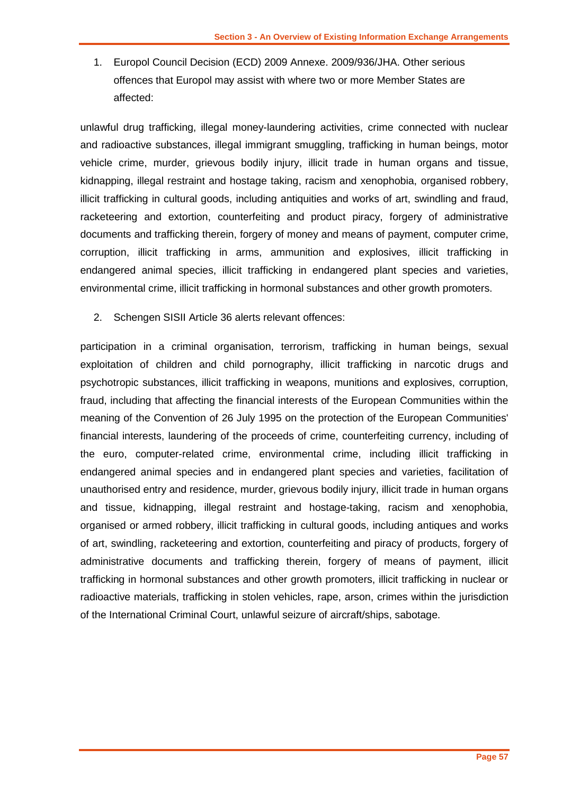1. Europol Council Decision (ECD) 2009 Annexe. 2009/936/JHA. Other serious offences that Europol may assist with where two or more Member States are affected:

unlawful drug trafficking, illegal money-laundering activities, crime connected with nuclear and radioactive substances, illegal immigrant smuggling, trafficking in human beings, motor vehicle crime, murder, grievous bodily injury, illicit trade in human organs and tissue, kidnapping, illegal restraint and hostage taking, racism and xenophobia, organised robbery, illicit trafficking in cultural goods, including antiquities and works of art, swindling and fraud, racketeering and extortion, counterfeiting and product piracy, forgery of administrative documents and trafficking therein, forgery of money and means of payment, computer crime, corruption, illicit trafficking in arms, ammunition and explosives, illicit trafficking in endangered animal species, illicit trafficking in endangered plant species and varieties, environmental crime, illicit trafficking in hormonal substances and other growth promoters.

2. Schengen SISII Article 36 alerts relevant offences:

participation in a criminal organisation, terrorism, trafficking in human beings, sexual exploitation of children and child pornography, illicit trafficking in narcotic drugs and psychotropic substances, illicit trafficking in weapons, munitions and explosives, corruption, fraud, including that affecting the financial interests of the European Communities within the meaning of the Convention of 26 July 1995 on the protection of the European Communities' financial interests, laundering of the proceeds of crime, counterfeiting currency, including of the euro, computer-related crime, environmental crime, including illicit trafficking in endangered animal species and in endangered plant species and varieties, facilitation of unauthorised entry and residence, murder, grievous bodily injury, illicit trade in human organs and tissue, kidnapping, illegal restraint and hostage-taking, racism and xenophobia, organised or armed robbery, illicit trafficking in cultural goods, including antiques and works of art, swindling, racketeering and extortion, counterfeiting and piracy of products, forgery of administrative documents and trafficking therein, forgery of means of payment, illicit trafficking in hormonal substances and other growth promoters, illicit trafficking in nuclear or radioactive materials, trafficking in stolen vehicles, rape, arson, crimes within the jurisdiction of the International Criminal Court, unlawful seizure of aircraft/ships, sabotage.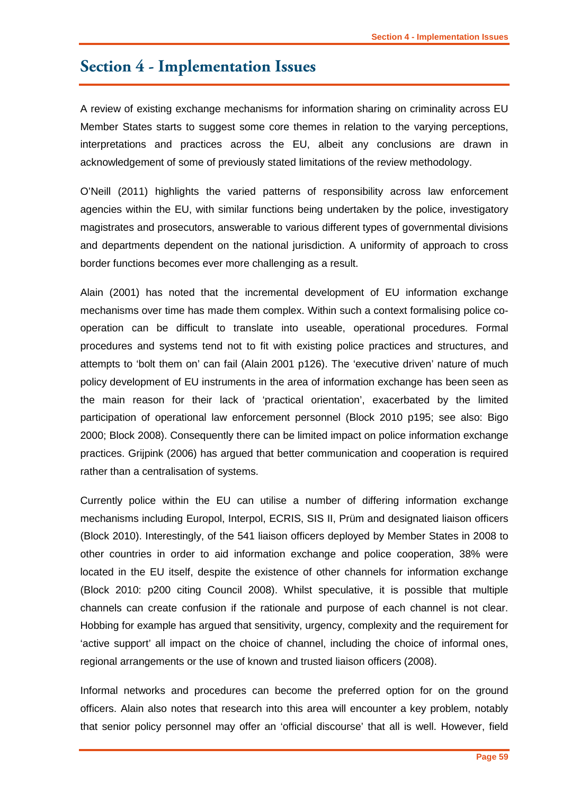### **Section 4 - Implementation Issues**

A review of existing exchange mechanisms for information sharing on criminality across EU Member States starts to suggest some core themes in relation to the varying perceptions, interpretations and practices across the EU, albeit any conclusions are drawn in acknowledgement of some of previously stated limitations of the review methodology.

O'Neill (2011) highlights the varied patterns of responsibility across law enforcement agencies within the EU, with similar functions being undertaken by the police, investigatory magistrates and prosecutors, answerable to various different types of governmental divisions and departments dependent on the national jurisdiction. A uniformity of approach to cross border functions becomes ever more challenging as a result.

Alain (2001) has noted that the incremental development of EU information exchange mechanisms over time has made them complex. Within such a context formalising police cooperation can be difficult to translate into useable, operational procedures. Formal procedures and systems tend not to fit with existing police practices and structures, and attempts to 'bolt them on' can fail (Alain 2001 p126). The 'executive driven' nature of much policy development of EU instruments in the area of information exchange has been seen as the main reason for their lack of 'practical orientation', exacerbated by the limited participation of operational law enforcement personnel (Block 2010 p195; see also: Bigo 2000; Block 2008). Consequently there can be limited impact on police information exchange practices. Grijpink (2006) has argued that better communication and cooperation is required rather than a centralisation of systems.

Currently police within the EU can utilise a number of differing information exchange mechanisms including Europol, Interpol, ECRIS, SIS II, Prüm and designated liaison officers (Block 2010). Interestingly, of the 541 liaison officers deployed by Member States in 2008 to other countries in order to aid information exchange and police cooperation, 38% were located in the EU itself, despite the existence of other channels for information exchange (Block 2010: p200 citing Council 2008). Whilst speculative, it is possible that multiple channels can create confusion if the rationale and purpose of each channel is not clear. Hobbing for example has argued that sensitivity, urgency, complexity and the requirement for 'active support' all impact on the choice of channel, including the choice of informal ones, regional arrangements or the use of known and trusted liaison officers (2008).

Informal networks and procedures can become the preferred option for on the ground officers. Alain also notes that research into this area will encounter a key problem, notably that senior policy personnel may offer an 'official discourse' that all is well. However, field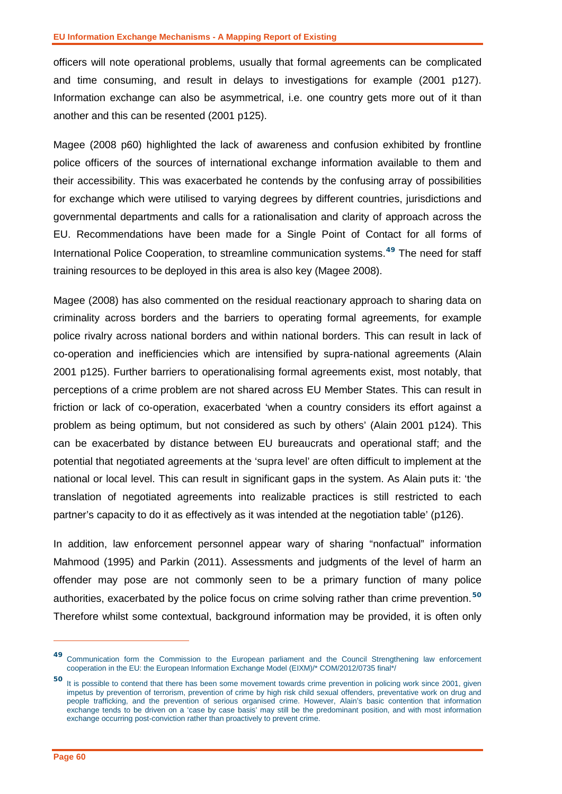officers will note operational problems, usually that formal agreements can be complicated and time consuming, and result in delays to investigations for example (2001 p127). Information exchange can also be asymmetrical, i.e. one country gets more out of it than another and this can be resented (2001 p125).

Magee (2008 p60) highlighted the lack of awareness and confusion exhibited by frontline police officers of the sources of international exchange information available to them and their accessibility. This was exacerbated he contends by the confusing array of possibilities for exchange which were utilised to varying degrees by different countries, jurisdictions and governmental departments and calls for a rationalisation and clarity of approach across the EU. Recommendations have been made for a Single Point of Contact for all forms of International Police Cooperation, to streamline communication systems. **[49](#page-61-0)** The need for staff training resources to be deployed in this area is also key (Magee 2008).

Magee (2008) has also commented on the residual reactionary approach to sharing data on criminality across borders and the barriers to operating formal agreements, for example police rivalry across national borders and within national borders. This can result in lack of co-operation and inefficiencies which are intensified by supra-national agreements (Alain 2001 p125). Further barriers to operationalising formal agreements exist, most notably, that perceptions of a crime problem are not shared across EU Member States. This can result in friction or lack of co-operation, exacerbated 'when a country considers its effort against a problem as being optimum, but not considered as such by others' (Alain 2001 p124). This can be exacerbated by distance between EU bureaucrats and operational staff; and the potential that negotiated agreements at the 'supra level' are often difficult to implement at the national or local level. This can result in significant gaps in the system. As Alain puts it: 'the translation of negotiated agreements into realizable practices is still restricted to each partner's capacity to do it as effectively as it was intended at the negotiation table' (p126).

In addition, law enforcement personnel appear wary of sharing "nonfactual" information Mahmood (1995) and Parkin (2011). Assessments and judgments of the level of harm an offender may pose are not commonly seen to be a primary function of many police authorities, exacerbated by the police focus on crime solving rather than crime prevention. **[50](#page-61-1)** Therefore whilst some contextual, background information may be provided, it is often only

<span id="page-61-0"></span>**<sup>49</sup>** Communication form the Commission to the European parliament and the Council Strengthening law enforcement cooperation in the EU: the European Information Exchange Model (EIXM)/\* COM/2012/0735 final\*/

<span id="page-61-1"></span>**<sup>50</sup>** It is possible to contend that there has been some movement towards crime prevention in policing work since 2001, given impetus by prevention of terrorism, prevention of crime by high risk child sexual offenders, preventative work on drug and people trafficking, and the prevention of serious organised crime. However, Alain's basic contention that information exchange tends to be driven on a 'case by case basis' may still be the predominant position, and with most information exchange occurring post-conviction rather than proactively to prevent crime.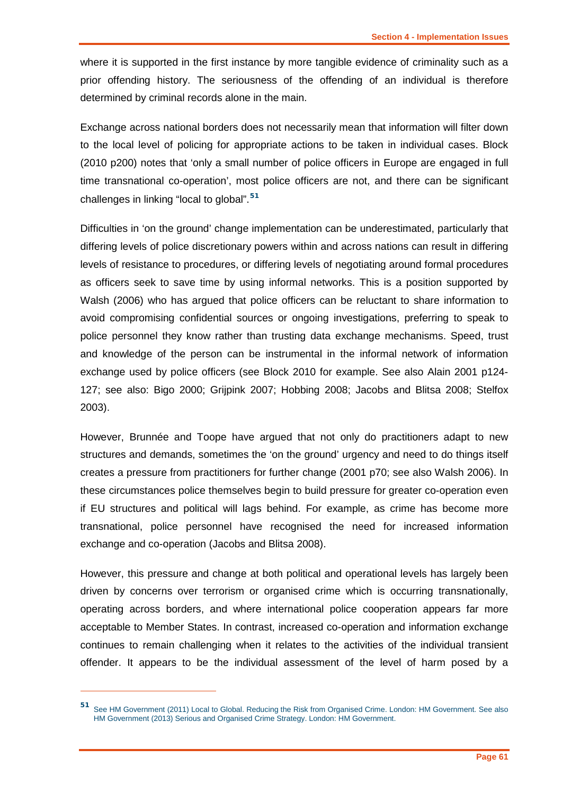where it is supported in the first instance by more tangible evidence of criminality such as a prior offending history. The seriousness of the offending of an individual is therefore determined by criminal records alone in the main.

Exchange across national borders does not necessarily mean that information will filter down to the local level of policing for appropriate actions to be taken in individual cases. Block (2010 p200) notes that 'only a small number of police officers in Europe are engaged in full time transnational co-operation', most police officers are not, and there can be significant challenges in linking "local to global".**[51](#page-62-0)**

Difficulties in 'on the ground' change implementation can be underestimated, particularly that differing levels of police discretionary powers within and across nations can result in differing levels of resistance to procedures, or differing levels of negotiating around formal procedures as officers seek to save time by using informal networks. This is a position supported by Walsh (2006) who has argued that police officers can be reluctant to share information to avoid compromising confidential sources or ongoing investigations, preferring to speak to police personnel they know rather than trusting data exchange mechanisms. Speed, trust and knowledge of the person can be instrumental in the informal network of information exchange used by police officers (see Block 2010 for example. See also Alain 2001 p124- 127; see also: Bigo 2000; Grijpink 2007; Hobbing 2008; Jacobs and Blitsa 2008; Stelfox 2003).

However, Brunnée and Toope have argued that not only do practitioners adapt to new structures and demands, sometimes the 'on the ground' urgency and need to do things itself creates a pressure from practitioners for further change (2001 p70; see also Walsh 2006). In these circumstances police themselves begin to build pressure for greater co-operation even if EU structures and political will lags behind. For example, as crime has become more transnational, police personnel have recognised the need for increased information exchange and co-operation (Jacobs and Blitsa 2008).

However, this pressure and change at both political and operational levels has largely been driven by concerns over terrorism or organised crime which is occurring transnationally, operating across borders, and where international police cooperation appears far more acceptable to Member States. In contrast, increased co-operation and information exchange continues to remain challenging when it relates to the activities of the individual transient offender. It appears to be the individual assessment of the level of harm posed by a

<span id="page-62-0"></span>**<sup>51</sup>** See HM Government (2011) Local to Global. Reducing the Risk from Organised Crime. London: HM Government. See also HM Government (2013) Serious and Organised Crime Strategy. London: HM Government.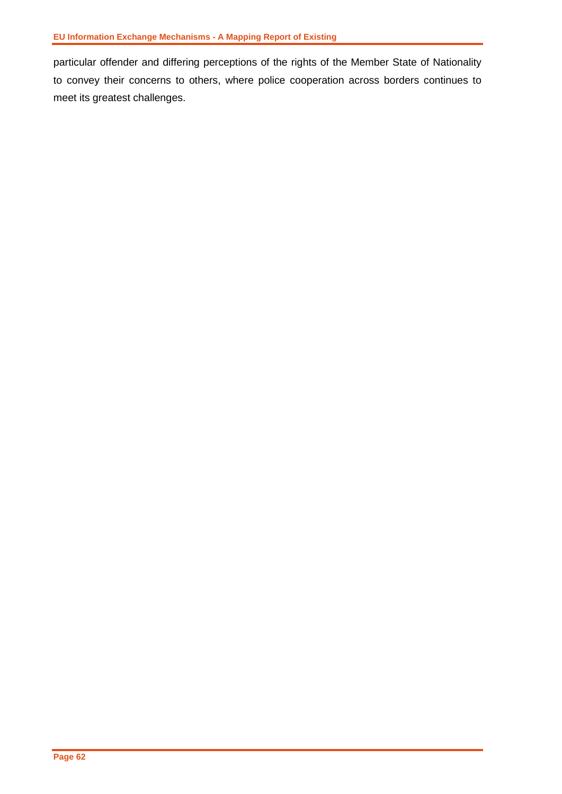particular offender and differing perceptions of the rights of the Member State of Nationality to convey their concerns to others, where police cooperation across borders continues to meet its greatest challenges.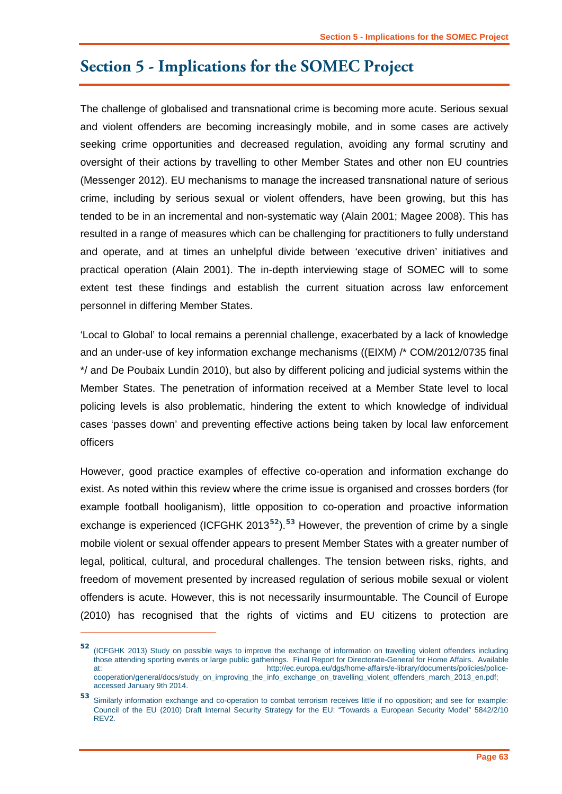# **Section 5 - Implications for the SOMEC Project**

The challenge of globalised and transnational crime is becoming more acute. Serious sexual and violent offenders are becoming increasingly mobile, and in some cases are actively seeking crime opportunities and decreased regulation, avoiding any formal scrutiny and oversight of their actions by travelling to other Member States and other non EU countries (Messenger 2012). EU mechanisms to manage the increased transnational nature of serious crime, including by serious sexual or violent offenders, have been growing, but this has tended to be in an incremental and non-systematic way (Alain 2001; Magee 2008). This has resulted in a range of measures which can be challenging for practitioners to fully understand and operate, and at times an unhelpful divide between 'executive driven' initiatives and practical operation (Alain 2001). The in-depth interviewing stage of SOMEC will to some extent test these findings and establish the current situation across law enforcement personnel in differing Member States.

'Local to Global' to local remains a perennial challenge, exacerbated by a lack of knowledge and an under-use of key information exchange mechanisms ((EIXM) /\* COM/2012/0735 final \*/ and De Poubaix Lundin 2010), but also by different policing and judicial systems within the Member States. The penetration of information received at a Member State level to local policing levels is also problematic, hindering the extent to which knowledge of individual cases 'passes down' and preventing effective actions being taken by local law enforcement officers

However, good practice examples of effective co-operation and information exchange do exist. As noted within this review where the crime issue is organised and crosses borders (for example football hooliganism), little opposition to co-operation and proactive information exchange is experienced (ICFGHK 2013**[52](#page-64-0)**). **[53](#page-64-1)** However, the prevention of crime by a single mobile violent or sexual offender appears to present Member States with a greater number of legal, political, cultural, and procedural challenges. The tension between risks, rights, and freedom of movement presented by increased regulation of serious mobile sexual or violent offenders is acute. However, this is not necessarily insurmountable. The Council of Europe (2010) has recognised that the rights of victims and EU citizens to protection are

<span id="page-64-0"></span>**<sup>52</sup>** (ICFGHK 2013) Study on possible ways to improve the exchange of information on travelling violent offenders including those attending sporting events or large public gatherings. Final Report for Directorate-General for Home Affairs. Available at: http://ec.europa.eu/dgs/home-affairs/e-library/documents/policies/policecooperation/general/docs/study\_on\_improving\_the\_info\_exchange\_on\_travelling\_violent\_offenders\_march\_2013\_en.pdf; accessed January 9th 2014.

<span id="page-64-1"></span>**<sup>53</sup>** Similarly information exchange and co-operation to combat terrorism receives little if no opposition; and see for example: Council of the EU (2010) Draft Internal Security Strategy for the EU: "Towards a European Security Model" 5842/2/10 REV2.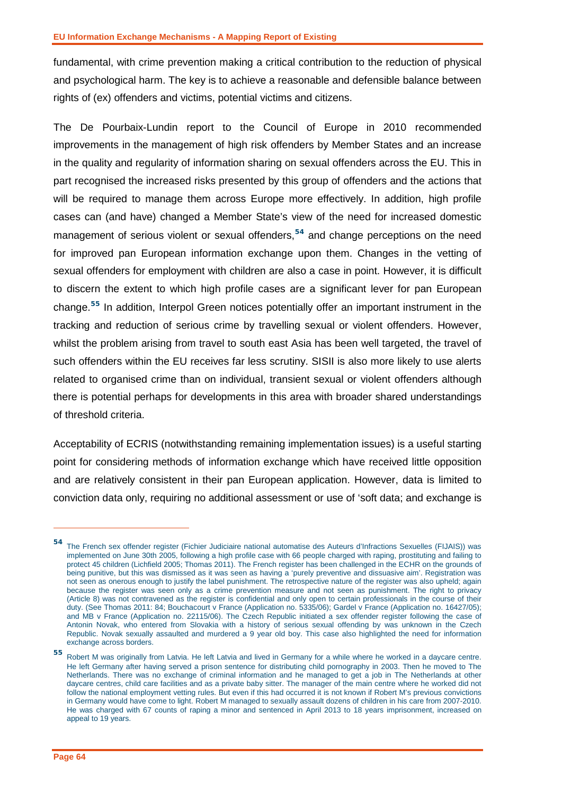fundamental, with crime prevention making a critical contribution to the reduction of physical and psychological harm. The key is to achieve a reasonable and defensible balance between rights of (ex) offenders and victims, potential victims and citizens.

The De Pourbaix-Lundin report to the Council of Europe in 2010 recommended improvements in the management of high risk offenders by Member States and an increase in the quality and regularity of information sharing on sexual offenders across the EU. This in part recognised the increased risks presented by this group of offenders and the actions that will be required to manage them across Europe more effectively. In addition, high profile cases can (and have) changed a Member State's view of the need for increased domestic management of serious violent or sexual offenders, **[54](#page-65-0)** and change perceptions on the need for improved pan European information exchange upon them. Changes in the vetting of sexual offenders for employment with children are also a case in point. However, it is difficult to discern the extent to which high profile cases are a significant lever for pan European change. **[55](#page-65-1)** In addition, Interpol Green notices potentially offer an important instrument in the tracking and reduction of serious crime by travelling sexual or violent offenders. However, whilst the problem arising from travel to south east Asia has been well targeted, the travel of such offenders within the EU receives far less scrutiny. SISII is also more likely to use alerts related to organised crime than on individual, transient sexual or violent offenders although there is potential perhaps for developments in this area with broader shared understandings of threshold criteria.

Acceptability of ECRIS (notwithstanding remaining implementation issues) is a useful starting point for considering methods of information exchange which have received little opposition and are relatively consistent in their pan European application. However, data is limited to conviction data only, requiring no additional assessment or use of 'soft data; and exchange is

<span id="page-65-0"></span>**<sup>54</sup>** The French sex offender register (Fichier Judiciaire national automatise des Auteurs d'Infractions Sexuelles (FIJAIS)) was implemented on June 30th 2005, following a high profile case with 66 people charged with raping, prostituting and failing to protect 45 children (Lichfield 2005; Thomas 2011). The French register has been challenged in the ECHR on the grounds of being punitive, but this was dismissed as it was seen as having a 'purely preventive and dissuasive aim'. Registration was not seen as onerous enough to justify the label punishment. The retrospective nature of the register was also upheld; again because the register was seen only as a crime prevention measure and not seen as punishment. The right to privacy (Article 8) was not contravened as the register is confidential and only open to certain professionals in the course of their duty. (See Thomas 2011: 84; Bouchacourt v France (Application no. 5335/06); Gardel v France (Application no. 16427/05); and MB v France (Application no. 22115/06). The Czech Republic initiated a sex offender register following the case of Antonin Novak, who entered from Slovakia with a history of serious sexual offending by was unknown in the Czech Republic. Novak sexually assaulted and murdered a 9 year old boy. This case also highlighted the need for information exchange across borders.

<span id="page-65-1"></span>**<sup>55</sup>** Robert M was originally from Latvia. He left Latvia and lived in Germany for a while where he worked in a daycare centre. He left Germany after having served a prison sentence for distributing child pornography in 2003. Then he moved to The Netherlands. There was no exchange of criminal information and he managed to get a job in The Netherlands at other daycare centres, child care facilities and as a private baby sitter. The manager of the main centre where he worked did not follow the national employment vetting rules. But even if this had occurred it is not known if Robert M's previous convictions in Germany would have come to light. Robert M managed to sexually assault dozens of children in his care from 2007-2010. He was charged with 67 counts of raping a minor and sentenced in April 2013 to 18 years imprisonment, increased on appeal to 19 years.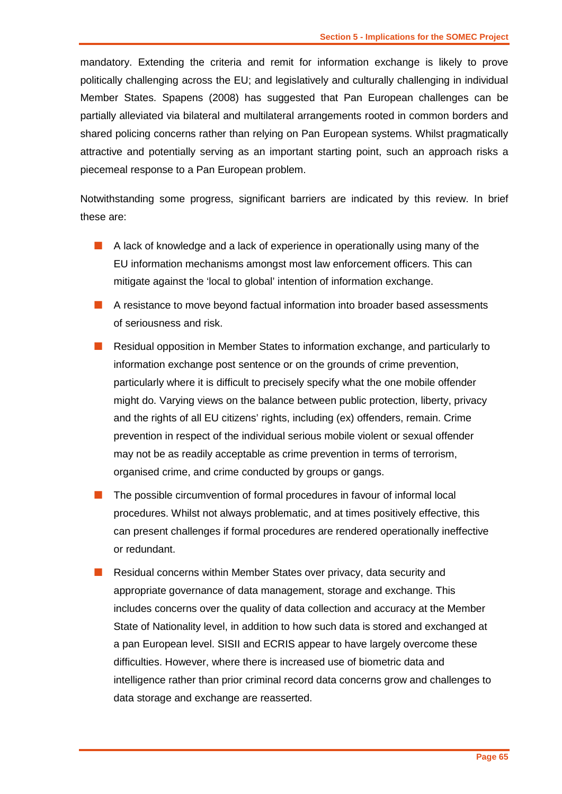mandatory. Extending the criteria and remit for information exchange is likely to prove politically challenging across the EU; and legislatively and culturally challenging in individual Member States. Spapens (2008) has suggested that Pan European challenges can be partially alleviated via bilateral and multilateral arrangements rooted in common borders and shared policing concerns rather than relying on Pan European systems. Whilst pragmatically attractive and potentially serving as an important starting point, such an approach risks a piecemeal response to a Pan European problem.

Notwithstanding some progress, significant barriers are indicated by this review. In brief these are:

- A lack of knowledge and a lack of experience in operationally using many of the EU information mechanisms amongst most law enforcement officers. This can mitigate against the 'local to global' intention of information exchange.
- A resistance to move beyond factual information into broader based assessments of seriousness and risk.
- Residual opposition in Member States to information exchange, and particularly to information exchange post sentence or on the grounds of crime prevention, particularly where it is difficult to precisely specify what the one mobile offender might do. Varying views on the balance between public protection, liberty, privacy and the rights of all EU citizens' rights, including (ex) offenders, remain. Crime prevention in respect of the individual serious mobile violent or sexual offender may not be as readily acceptable as crime prevention in terms of terrorism, organised crime, and crime conducted by groups or gangs.
- The possible circumvention of formal procedures in favour of informal local procedures. Whilst not always problematic, and at times positively effective, this can present challenges if formal procedures are rendered operationally ineffective or redundant.
- **Residual concerns within Member States over privacy, data security and** appropriate governance of data management, storage and exchange. This includes concerns over the quality of data collection and accuracy at the Member State of Nationality level, in addition to how such data is stored and exchanged at a pan European level. SISII and ECRIS appear to have largely overcome these difficulties. However, where there is increased use of biometric data and intelligence rather than prior criminal record data concerns grow and challenges to data storage and exchange are reasserted.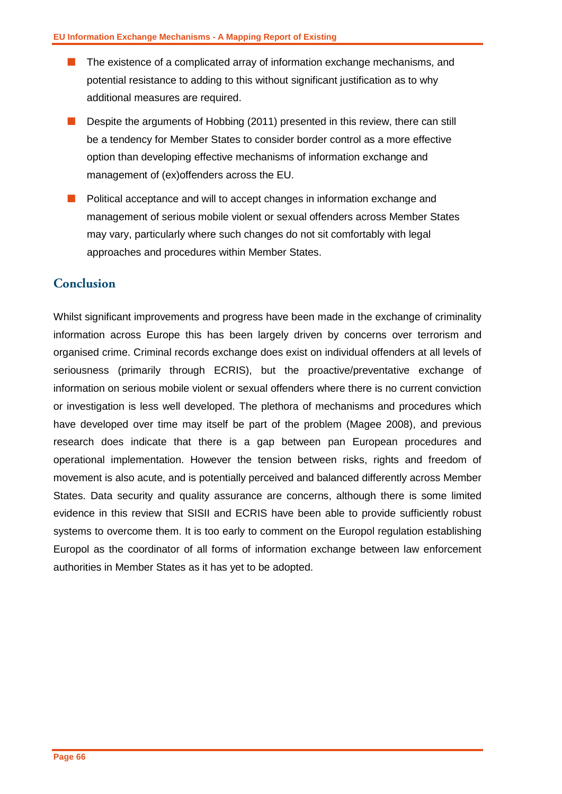- $\blacksquare$  The existence of a complicated array of information exchange mechanisms, and potential resistance to adding to this without significant justification as to why additional measures are required.
- Despite the arguments of Hobbing (2011) presented in this review, there can still be a tendency for Member States to consider border control as a more effective option than developing effective mechanisms of information exchange and management of (ex)offenders across the EU.
- **Political acceptance and will to accept changes in information exchange and** management of serious mobile violent or sexual offenders across Member States may vary, particularly where such changes do not sit comfortably with legal approaches and procedures within Member States.

#### **Conclusion**

Whilst significant improvements and progress have been made in the exchange of criminality information across Europe this has been largely driven by concerns over terrorism and organised crime. Criminal records exchange does exist on individual offenders at all levels of seriousness (primarily through ECRIS), but the proactive/preventative exchange of information on serious mobile violent or sexual offenders where there is no current conviction or investigation is less well developed. The plethora of mechanisms and procedures which have developed over time may itself be part of the problem (Magee 2008), and previous research does indicate that there is a gap between pan European procedures and operational implementation. However the tension between risks, rights and freedom of movement is also acute, and is potentially perceived and balanced differently across Member States. Data security and quality assurance are concerns, although there is some limited evidence in this review that SISII and ECRIS have been able to provide sufficiently robust systems to overcome them. It is too early to comment on the Europol regulation establishing Europol as the coordinator of all forms of information exchange between law enforcement authorities in Member States as it has yet to be adopted.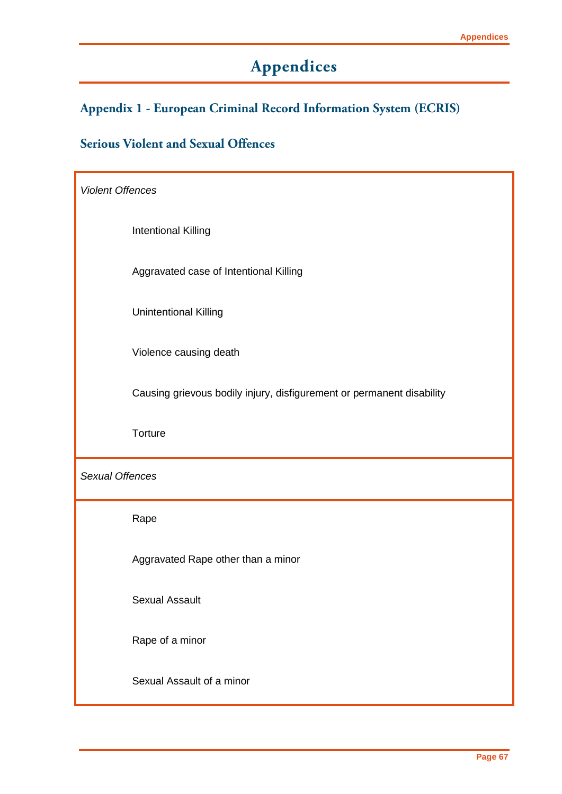# **Appendices**

# **Appendix 1 - European Criminal Record Information System (ECRIS)**

### **Serious Violent and Sexual Offences**

| <b>Violent Offences</b>                                               |  |  |
|-----------------------------------------------------------------------|--|--|
| Intentional Killing                                                   |  |  |
| Aggravated case of Intentional Killing                                |  |  |
| <b>Unintentional Killing</b>                                          |  |  |
| Violence causing death                                                |  |  |
| Causing grievous bodily injury, disfigurement or permanent disability |  |  |
| <b>Torture</b>                                                        |  |  |
| Sexual Offences                                                       |  |  |
| Rape                                                                  |  |  |
| Aggravated Rape other than a minor                                    |  |  |
| <b>Sexual Assault</b>                                                 |  |  |
| Rape of a minor                                                       |  |  |
| Sexual Assault of a minor                                             |  |  |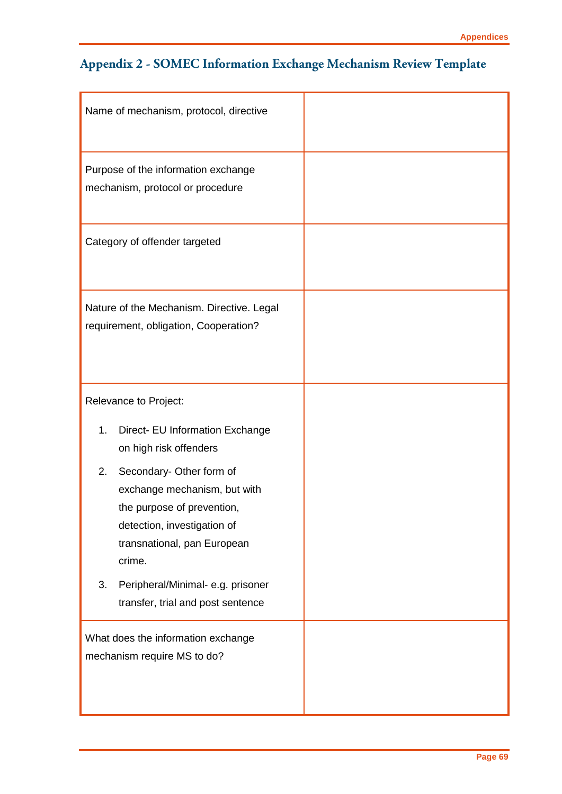# **Appendix 2 - SOMEC Information Exchange Mechanism Review Template**

| Name of mechanism, protocol, directive                                                                                                                               |  |
|----------------------------------------------------------------------------------------------------------------------------------------------------------------------|--|
| Purpose of the information exchange<br>mechanism, protocol or procedure                                                                                              |  |
| Category of offender targeted                                                                                                                                        |  |
| Nature of the Mechanism. Directive. Legal<br>requirement, obligation, Cooperation?                                                                                   |  |
| Relevance to Project:                                                                                                                                                |  |
| 1.<br>Direct- EU Information Exchange<br>on high risk offenders                                                                                                      |  |
| 2.<br>Secondary- Other form of<br>exchange mechanism, but with<br>the purpose of prevention,<br>detection, investigation of<br>transnational, pan European<br>crime. |  |
| 3.<br>Peripheral/Minimal- e.g. prisoner<br>transfer, trial and post sentence                                                                                         |  |
| What does the information exchange<br>mechanism require MS to do?                                                                                                    |  |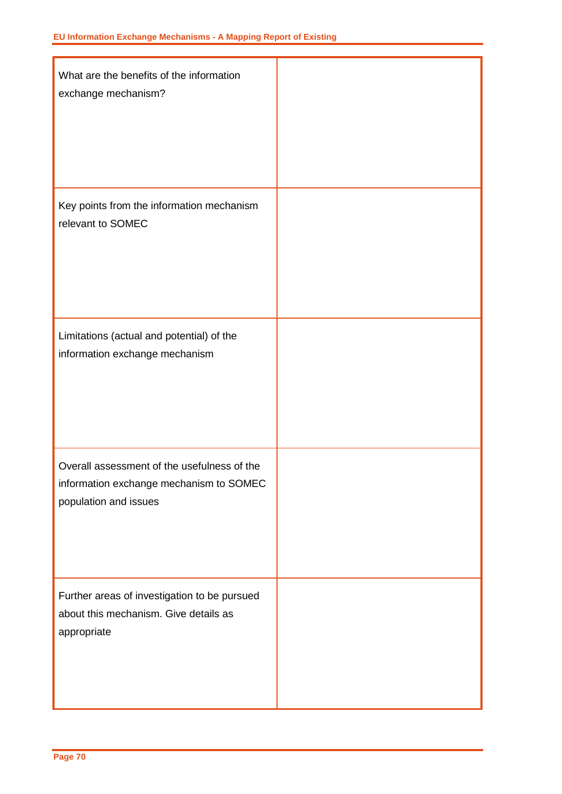| What are the benefits of the information<br>exchange mechanism?                                                 |  |
|-----------------------------------------------------------------------------------------------------------------|--|
| Key points from the information mechanism<br>relevant to SOMEC                                                  |  |
| Limitations (actual and potential) of the<br>information exchange mechanism                                     |  |
| Overall assessment of the usefulness of the<br>information exchange mechanism to SOMEC<br>population and issues |  |
| Further areas of investigation to be pursued<br>about this mechanism. Give details as<br>appropriate            |  |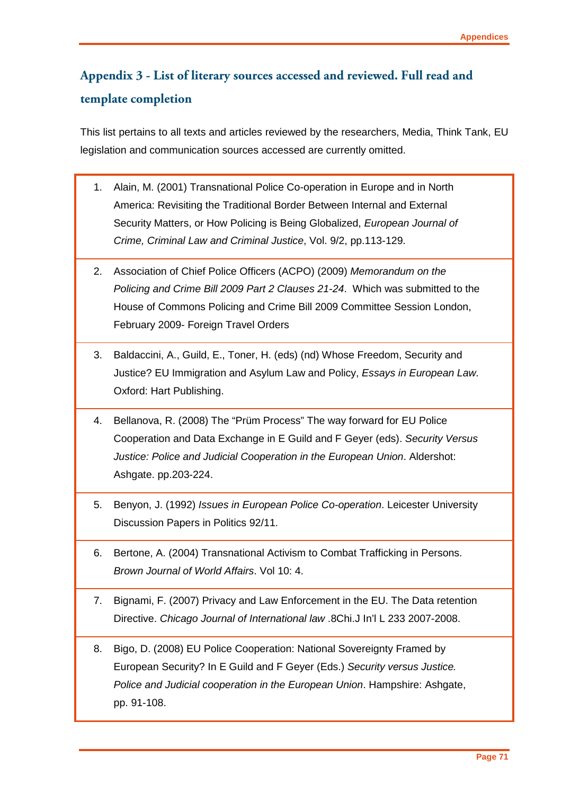## **Appendix 3 - List of literary sources accessed and reviewed. Full read and template completion**

This list pertains to all texts and articles reviewed by the researchers, Media, Think Tank, EU legislation and communication sources accessed are currently omitted.

- 1. Alain, M. (2001) Transnational Police Co-operation in Europe and in North America: Revisiting the Traditional Border Between Internal and External Security Matters, or How Policing is Being Globalized, *European Journal of Crime, Criminal Law and Criminal Justice*, Vol. 9/2, pp.113-129.
- 2. Association of Chief Police Officers (ACPO) (2009) *Memorandum on the Policing and Crime Bill 2009 Part 2 Clauses 21-24*. Which was submitted to the House of Commons Policing and Crime Bill 2009 Committee Session London, February 2009- Foreign Travel Orders
- 3. Baldaccini, A., Guild, E., Toner, H. (eds) (nd) Whose Freedom, Security and Justice? EU Immigration and Asylum Law and Policy, *Essays in European Law.* Oxford: Hart Publishing.
- 4. Bellanova, R. (2008) The "Prüm Process" The way forward for EU Police Cooperation and Data Exchange in E Guild and F Geyer (eds). *Security Versus Justice: Police and Judicial Cooperation in the European Union*. Aldershot: Ashgate. pp.203-224.
- 5. Benyon, J. (1992) *Issues in European Police Co-operation*. Leicester University Discussion Papers in Politics 92/11.
- 6. Bertone, A. (2004) Transnational Activism to Combat Trafficking in Persons. *Brown Journal of World Affairs*. Vol 10: 4.
- 7. Bignami, F. (2007) Privacy and Law Enforcement in the EU. The Data retention Directive. *Chicago Journal of International law* .8Chi.J In'l L 233 2007-2008.
- 8. Bigo, D. (2008) EU Police Cooperation: National Sovereignty Framed by European Security? In E Guild and F Geyer (Eds.) *Security versus Justice. Police and Judicial cooperation in the European Union*. Hampshire: Ashgate, pp. 91-108.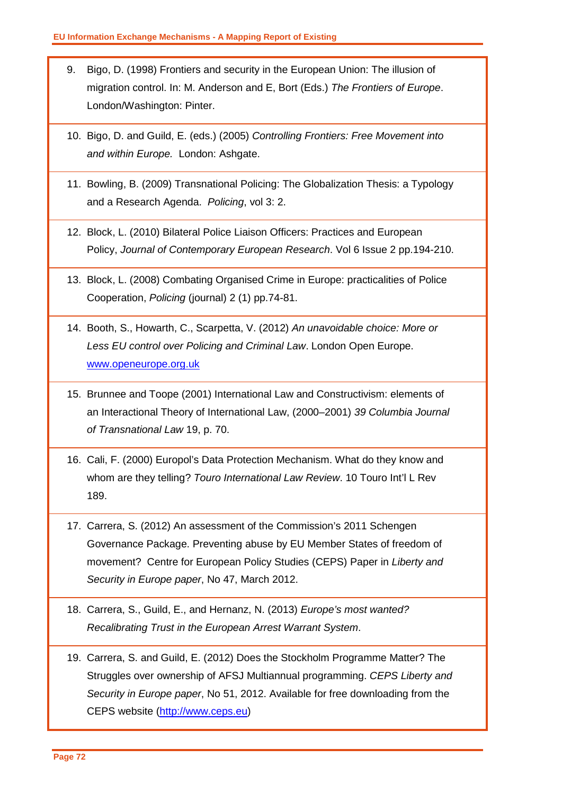- 9. Bigo, D. (1998) Frontiers and security in the European Union: The illusion of migration control. In: M. Anderson and E, Bort (Eds.) *The Frontiers of Europe*. London/Washington: Pinter.
- 10. Bigo, D. and Guild, E. (eds.) (2005) *Controlling Frontiers: Free Movement into and within Europe.* London: Ashgate.
- 11. Bowling, B. (2009) Transnational Policing: The Globalization Thesis: a Typology and a Research Agenda. *Policing*, vol 3: 2.
- 12. Block, L. (2010) Bilateral Police Liaison Officers: Practices and European Policy, *Journal of Contemporary European Research*. Vol 6 Issue 2 pp.194-210.
- 13. Block, L. (2008) Combating Organised Crime in Europe: practicalities of Police Cooperation, *Policing* (journal) 2 (1) pp.74-81.
- 14. Booth, S., Howarth, C., Scarpetta, V. (2012) *An unavoidable choice: More or Less EU control over Policing and Criminal Law*. London Open Europe. [www.openeurope.org.uk](http://www.openeurope.org.uk/)
- 15. Brunnee and Toope (2001) International Law and Constructivism: elements of an Interactional Theory of International Law, (2000–2001) *39 Columbia Journal of Transnational Law* 19, p. 70.
- 16. Cali, F. (2000) Europol's Data Protection Mechanism. What do they know and whom are they telling? *Touro International Law Review*. 10 Touro Int'l L Rev 189.
- 17. Carrera, S. (2012) An assessment of the Commission's 2011 Schengen Governance Package. Preventing abuse by EU Member States of freedom of movement? Centre for European Policy Studies (CEPS) Paper in *Liberty and Security in Europe paper*, No 47, March 2012.
- 18. Carrera, S., Guild, E., and Hernanz, N. (2013) *Europe's most wanted? Recalibrating Trust in the European Arrest Warrant System*.
- 19. Carrera, S. and Guild, E. (2012) Does the Stockholm Programme Matter? The Struggles over ownership of AFSJ Multiannual programming. *CEPS Liberty and Security in Europe paper*, No 51, 2012. Available for free downloading from the CEPS website [\(http://www.ceps.eu\)](http://www.ceps.eu/)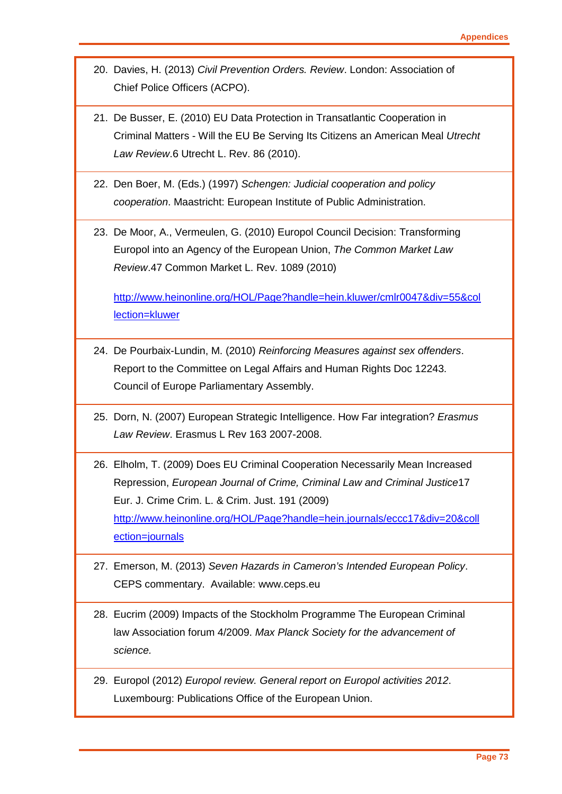- 20. Davies, H. (2013) *Civil Prevention Orders. Review*. London: Association of Chief Police Officers (ACPO).
- 21. De Busser, E. (2010) EU Data Protection in Transatlantic Cooperation in Criminal Matters - Will the EU Be Serving Its Citizens an American Meal *Utrecht Law Review*.6 Utrecht L. Rev. 86 (2010).
- 22. Den Boer, M. (Eds.) (1997) *Schengen: Judicial cooperation and policy cooperation*. Maastricht: European Institute of Public Administration.
- 23. De Moor, A., Vermeulen, G. (2010) Europol Council Decision: Transforming Europol into an Agency of the European Union, *The Common Market Law Review*.47 Common Market L. Rev. 1089 (2010)

[http://www.heinonline.org/HOL/Page?handle=hein.kluwer/cmlr0047&div=55&col](http://www.heinonline.org/HOL/Page?handle=hein.kluwer/cmlr0047&div=55&collection=kluwer) [lection=kluwer](http://www.heinonline.org/HOL/Page?handle=hein.kluwer/cmlr0047&div=55&collection=kluwer)

- 24. De Pourbaix-Lundin, M. (2010) *Reinforcing Measures against sex offenders*. Report to the Committee on Legal Affairs and Human Rights Doc 12243. Council of Europe Parliamentary Assembly.
- 25. Dorn, N. (2007) European Strategic Intelligence. How Far integration? *Erasmus Law Review*. Erasmus L Rev 163 2007-2008.
- 26. Elholm, T. (2009) Does EU Criminal Cooperation Necessarily Mean Increased Repression, *European Journal of Crime, Criminal Law and Criminal Justice*17 Eur. J. Crime Crim. L. & Crim. Just. 191 (2009) [http://www.heinonline.org/HOL/Page?handle=hein.journals/eccc17&div=20&coll](http://www.heinonline.org/HOL/Page?handle=hein.journals/eccc17&div=20&collection=journals) [ection=journals](http://www.heinonline.org/HOL/Page?handle=hein.journals/eccc17&div=20&collection=journals)
- 27. Emerson, M. (2013) *Seven Hazards in Cameron's Intended European Policy*. CEPS commentary. Available: www.ceps.eu
- 28. Eucrim (2009) Impacts of the Stockholm Programme The European Criminal law Association forum 4/2009. *Max Planck Society for the advancement of science.*
- 29. Europol (2012) *Europol review. General report on Europol activities 2012*. Luxembourg: Publications Office of the European Union.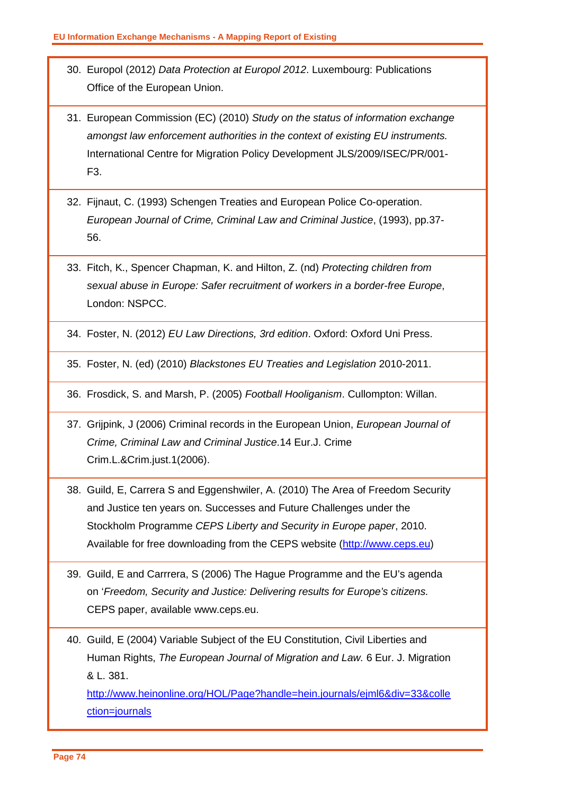- 30. Europol (2012) *Data Protection at Europol 2012*. Luxembourg: Publications Office of the European Union.
- 31. European Commission (EC) (2010) *Study on the status of information exchange amongst law enforcement authorities in the context of existing EU instruments.* International Centre for Migration Policy Development JLS/2009/ISEC/PR/001- F3.
- 32. Fijnaut, C. (1993) Schengen Treaties and European Police Co-operation. *European Journal of Crime, Criminal Law and Criminal Justice*, (1993), pp.37- 56.
- 33. Fitch, K., Spencer Chapman, K. and Hilton, Z. (nd) *Protecting children from sexual abuse in Europe: Safer recruitment of workers in a border-free Europe*, London: NSPCC.

34. Foster, N. (2012) *EU Law Directions, 3rd edition*. Oxford: Oxford Uni Press.

35. Foster, N. (ed) (2010) *Blackstones EU Treaties and Legislation* 2010-2011.

36. Frosdick, S. and Marsh, P. (2005) *Football Hooliganism*. Cullompton: Willan.

- 37. Grijpink, J (2006) Criminal records in the European Union, *European Journal of Crime, Criminal Law and Criminal Justice*.14 Eur.J. Crime Crim.L.&Crim.just.1(2006).
- 38. Guild, E, Carrera S and Eggenshwiler, A. (2010) The Area of Freedom Security and Justice ten years on. Successes and Future Challenges under the Stockholm Programme *CEPS Liberty and Security in Europe paper*, 2010. Available for free downloading from the CEPS website [\(http://www.ceps.eu\)](http://www.ceps.eu/)
- 39. Guild, E and Carrrera, S (2006) The Hague Programme and the EU's agenda on '*Freedom, Security and Justice: Delivering results for Europe's citizens.*  CEPS paper, available www.ceps.eu.
- 40. Guild, E (2004) Variable Subject of the EU Constitution, Civil Liberties and Human Rights, *The European Journal of Migration and Law.* 6 Eur. J. Migration & L. 381.

[http://www.heinonline.org/HOL/Page?handle=hein.journals/ejml6&div=33&colle](http://www.heinonline.org/HOL/Page?handle=hein.journals/ejml6&div=33&collection=journals) [ction=journals](http://www.heinonline.org/HOL/Page?handle=hein.journals/ejml6&div=33&collection=journals)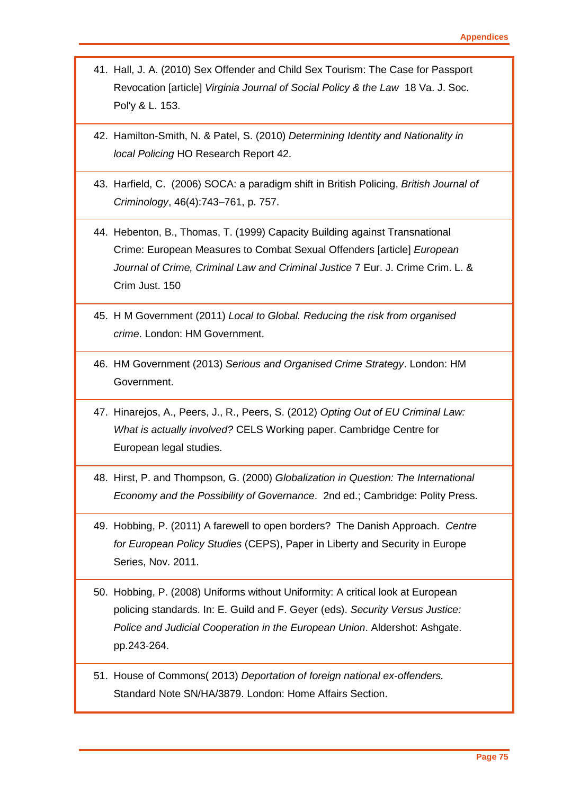- 41. Hall, J. A. (2010) Sex Offender and Child Sex Tourism: The Case for Passport Revocation [article] *Virginia Journal of Social Policy & the Law* 18 Va. J. Soc. Pol'y & L. 153.
- 42. Hamilton-Smith, N. & Patel, S. (2010) *Determining Identity and Nationality in local Policing* HO Research Report 42.
- 43. Harfield, C. (2006) SOCA: a paradigm shift in British Policing, *British Journal of Criminology*, 46(4):743–761, p. 757.
- 44. Hebenton, B., Thomas, T. (1999) Capacity Building against Transnational Crime: European Measures to Combat Sexual Offenders [article] *European Journal of Crime, Criminal Law and Criminal Justice* 7 Eur. J. Crime Crim. L. & Crim Just. 150
- 45. H M Government (2011) *Local to Global. Reducing the risk from organised crime*. London: HM Government.
- 46. HM Government (2013) *Serious and Organised Crime Strategy*. London: HM Government.
- 47. Hinarejos, A., Peers, J., R., Peers, S. (2012) *Opting Out of EU Criminal Law: What is actually involved?* CELS Working paper. Cambridge Centre for European legal studies.
- 48. Hirst, P. and Thompson, G. (2000) *Globalization in Question: The International Economy and the Possibility of Governance*. 2nd ed.; Cambridge: Polity Press.
- 49. Hobbing, P. (2011) A farewell to open borders? The Danish Approach. *Centre for European Policy Studies* (CEPS), Paper in Liberty and Security in Europe Series, Nov. 2011.
- 50. Hobbing, P. (2008) Uniforms without Uniformity: A critical look at European policing standards. In: E. Guild and F. Geyer (eds). *Security Versus Justice: Police and Judicial Cooperation in the European Union*. Aldershot: Ashgate. pp.243-264.
- 51. House of Commons( 2013) *Deportation of foreign national ex-offenders.*  Standard Note SN/HA/3879. London: Home Affairs Section.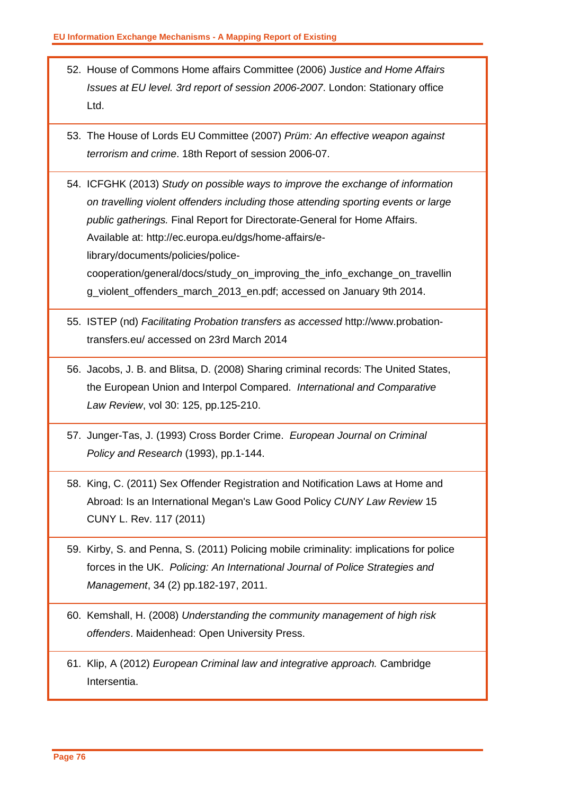- 52. House of Commons Home affairs Committee (2006) J*ustice and Home Affairs Issues at EU level. 3rd report of session 2006-2007*. London: Stationary office Ltd.
- 53. The House of Lords EU Committee (2007) *Prüm: An effective weapon against terrorism and crime*. 18th Report of session 2006-07.
- 54. ICFGHK (2013) *Study on possible ways to improve the exchange of information on travelling violent offenders including those attending sporting events or large public gatherings.* Final Report for Directorate-General for Home Affairs. Available at: http://ec.europa.eu/dgs/home-affairs/elibrary/documents/policies/policecooperation/general/docs/study\_on\_improving\_the\_info\_exchange\_on\_travellin

g\_violent\_offenders\_march\_2013\_en.pdf; accessed on January 9th 2014.

- 55. ISTEP (nd) *Facilitating Probation transfers as accessed* http://www.probationtransfers.eu/ accessed on 23rd March 2014
- 56. Jacobs, J. B. and Blitsa, D. (2008) Sharing criminal records: The United States, the European Union and Interpol Compared. *International and Comparative Law Review*, vol 30: 125, pp.125-210.
- 57. Junger-Tas, J. (1993) Cross Border Crime. *European Journal on Criminal Policy and Research* (1993), pp.1-144.
- 58. King, C. (2011) Sex Offender Registration and Notification Laws at Home and Abroad: Is an International Megan's Law Good Policy *CUNY Law Review* 15 CUNY L. Rev. 117 (2011)
- 59. Kirby, S. and Penna, S. (2011) Policing mobile criminality: implications for police forces in the UK. *Policing: An International Journal of Police Strategies and Management*, 34 (2) pp.182-197, 2011.
- 60. Kemshall, H. (2008) *Understanding the community management of high risk offenders*. Maidenhead: Open University Press.
- 61. Klip, A (2012) *European Criminal law and integrative approach.* Cambridge Intersentia.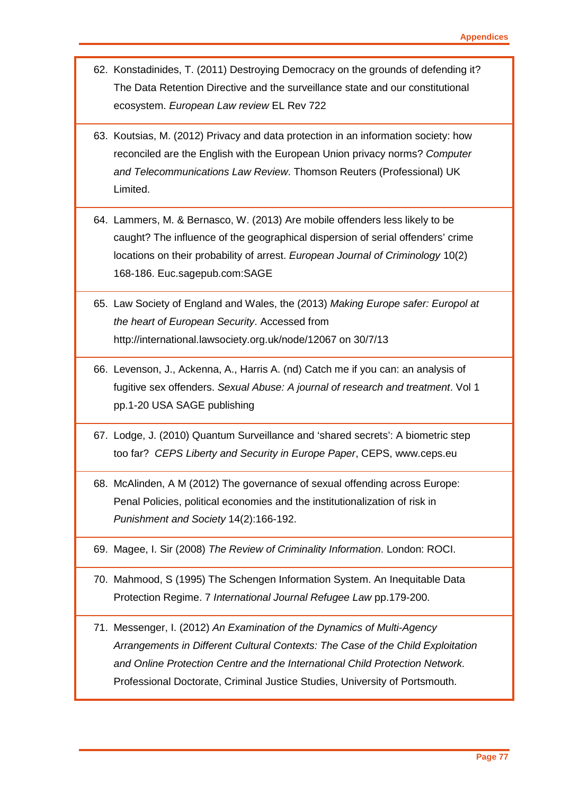- 62. Konstadinides, T. (2011) Destroying Democracy on the grounds of defending it? The Data Retention Directive and the surveillance state and our constitutional ecosystem. *European Law review* EL Rev 722
- 63. Koutsias, M. (2012) Privacy and data protection in an information society: how reconciled are the English with the European Union privacy norms? *Computer and Telecommunications Law Review*. Thomson Reuters (Professional) UK Limited.
- 64. Lammers, M. & Bernasco, W. (2013) Are mobile offenders less likely to be caught? The influence of the geographical dispersion of serial offenders' crime locations on their probability of arrest. *European Journal of Criminology* 10(2) 168-186. Euc.sagepub.com:SAGE
- 65. Law Society of England and Wales, the (2013) *Making Europe safer: Europol at the heart of European Security*. Accessed from http://international.lawsociety.org.uk/node/12067 on 30/7/13
- 66. Levenson, J., Ackenna, A., Harris A. (nd) Catch me if you can: an analysis of fugitive sex offenders. *Sexual Abuse: A journal of research and treatment*. Vol 1 pp.1-20 USA SAGE publishing
- 67. Lodge, J. (2010) Quantum Surveillance and 'shared secrets': A biometric step too far? *CEPS Liberty and Security in Europe Paper*, CEPS, www.ceps.eu
- 68. McAlinden, A M (2012) The governance of sexual offending across Europe: Penal Policies, political economies and the institutionalization of risk in *Punishment and Society* 14(2):166-192.
- 69. Magee, I. Sir (2008) *The Review of Criminality Information*. London: ROCI.
- 70. Mahmood, S (1995) The Schengen Information System. An Inequitable Data Protection Regime. 7 *International Journal Refugee Law* pp.179-200.
- 71. Messenger, I. (2012) *An Examination of the Dynamics of Multi-Agency Arrangements in Different Cultural Contexts: The Case of the Child Exploitation and Online Protection Centre and the International Child Protection Network.*  Professional Doctorate, Criminal Justice Studies, University of Portsmouth.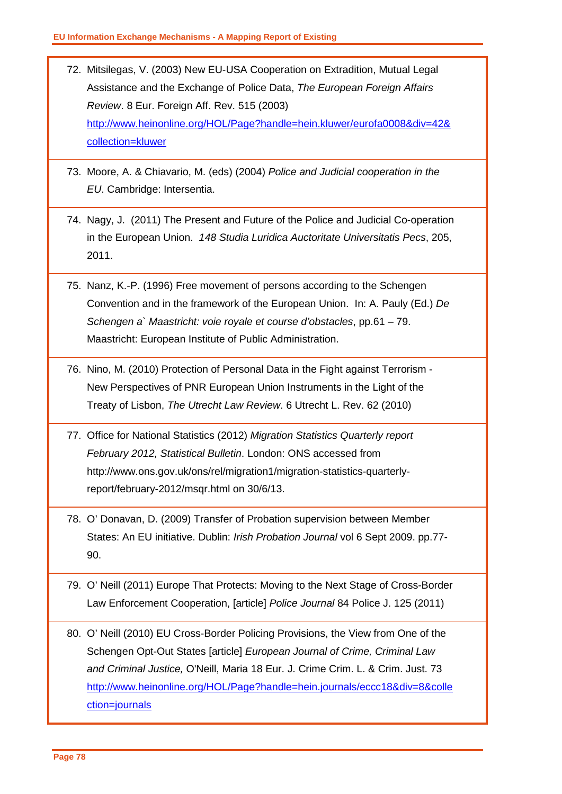- 72. Mitsilegas, V. (2003) New EU-USA Cooperation on Extradition, Mutual Legal Assistance and the Exchange of Police Data, *The European Foreign Affairs Review*. 8 Eur. Foreign Aff. Rev. 515 (2003) [http://www.heinonline.org/HOL/Page?handle=hein.kluwer/eurofa0008&div=42&](http://www.heinonline.org/HOL/Page?handle=hein.kluwer/eurofa0008&div=42&collection=kluwer) [collection=kluwer](http://www.heinonline.org/HOL/Page?handle=hein.kluwer/eurofa0008&div=42&collection=kluwer)
- 73. Moore, A. & Chiavario, M. (eds) (2004) *Police and Judicial cooperation in the EU*. Cambridge: Intersentia.
- 74. Nagy, J. (2011) The Present and Future of the Police and Judicial Co-operation in the European Union. *148 Studia Luridica Auctoritate Universitatis Pecs*, 205, 2011.
- 75. Nanz, K.-P. (1996) Free movement of persons according to the Schengen Convention and in the framework of the European Union. In: A. Pauly (Ed.) *De Schengen a` Maastricht: voie royale et course d'obstacles*, pp.61 – 79. Maastricht: European Institute of Public Administration.
- 76. Nino, M. (2010) Protection of Personal Data in the Fight against Terrorism New Perspectives of PNR European Union Instruments in the Light of the Treaty of Lisbon, *The Utrecht Law Review*. 6 Utrecht L. Rev. 62 (2010)
- 77. Office for National Statistics (2012) *Migration Statistics Quarterly report February 2012, Statistical Bulletin*. London: ONS accessed from http://www.ons.gov.uk/ons/rel/migration1/migration-statistics-quarterlyreport/february-2012/msqr.html on 30/6/13.
- 78. O' Donavan, D. (2009) Transfer of Probation supervision between Member States: An EU initiative. Dublin: *Irish Probation Journal* vol 6 Sept 2009. pp.77- 90.
- 79. O' Neill (2011) Europe That Protects: Moving to the Next Stage of Cross-Border Law Enforcement Cooperation, [article] *Police Journal* 84 Police J. 125 (2011)
- 80. O' Neill (2010) EU Cross-Border Policing Provisions, the View from One of the Schengen Opt-Out States [article] *European Journal of Crime, Criminal Law and Criminal Justice,* O'Neill, Maria 18 Eur. J. Crime Crim. L. & Crim. Just. 73 [http://www.heinonline.org/HOL/Page?handle=hein.journals/eccc18&div=8&colle](http://www.heinonline.org/HOL/Page?handle=hein.journals/eccc18&div=8&collection=journals) [ction=journals](http://www.heinonline.org/HOL/Page?handle=hein.journals/eccc18&div=8&collection=journals)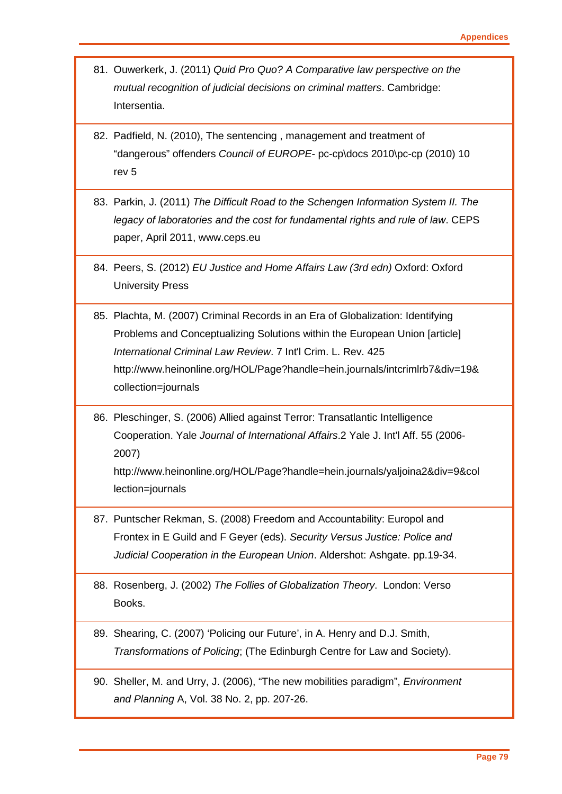- 81. Ouwerkerk, J. (2011) *Quid Pro Quo? A Comparative law perspective on the mutual recognition of judicial decisions on criminal matters*. Cambridge: Intersentia.
- 82. Padfield, N. (2010), The sentencing , management and treatment of "dangerous" offenders *Council of EUROPE*- pc-cp\docs 2010\pc-cp (2010) 10 rev 5
- 83. Parkin, J. (2011) *The Difficult Road to the Schengen Information System II. The legacy of laboratories and the cost for fundamental rights and rule of law*. CEPS paper, April 2011, www.ceps.eu
- 84. Peers, S. (2012) *EU Justice and Home Affairs Law (3rd edn)* Oxford: Oxford University Press
- 85. Plachta, M. (2007) Criminal Records in an Era of Globalization: Identifying Problems and Conceptualizing Solutions within the European Union [article] *International Criminal Law Review*. 7 Int'l Crim. L. Rev. 425 http://www.heinonline.org/HOL/Page?handle=hein.journals/intcrimlrb7&div=19& collection=journals
- 86. Pleschinger, S. (2006) Allied against Terror: Transatlantic Intelligence Cooperation. Yale *Journal of International Affairs*.2 Yale J. Int'l Aff. 55 (2006- 2007)

http://www.heinonline.org/HOL/Page?handle=hein.journals/yaljoina2&div=9&col lection=journals

- 87. Puntscher Rekman, S. (2008) Freedom and Accountability: Europol and Frontex in E Guild and F Geyer (eds). *Security Versus Justice: Police and Judicial Cooperation in the European Union*. Aldershot: Ashgate. pp.19-34.
- 88. Rosenberg, J. (2002) *The Follies of Globalization Theory*. London: Verso Books.
- 89. Shearing, C. (2007) 'Policing our Future', in A. Henry and D.J. Smith, *Transformations of Policing*; (The Edinburgh Centre for Law and Society).
- 90. Sheller, M. and Urry, J. (2006), "The new mobilities paradigm", *Environment and Planning* A, Vol. 38 No. 2, pp. 207-26.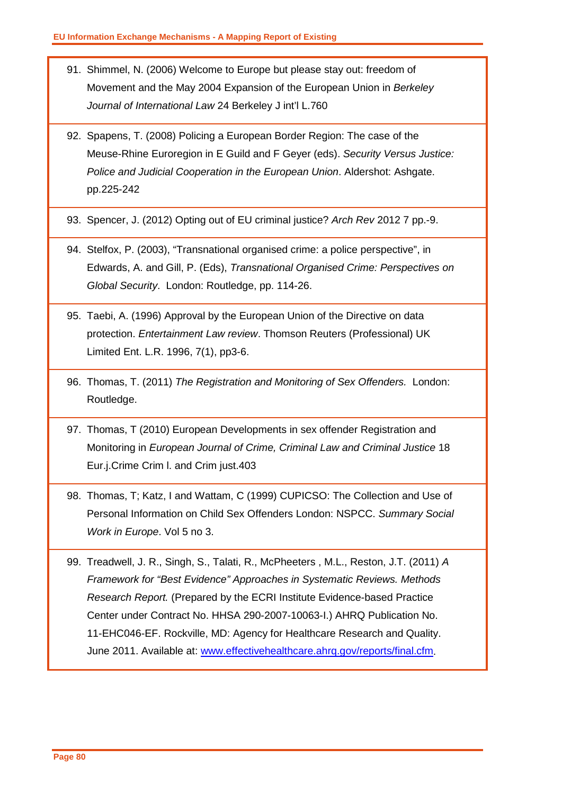- 91. Shimmel, N. (2006) Welcome to Europe but please stay out: freedom of Movement and the May 2004 Expansion of the European Union in *Berkeley Journal of International Law* 24 Berkeley J int'l L.760
- 92. Spapens, T. (2008) Policing a European Border Region: The case of the Meuse-Rhine Euroregion in E Guild and F Geyer (eds). *Security Versus Justice: Police and Judicial Cooperation in the European Union*. Aldershot: Ashgate. pp.225-242

93. Spencer, J. (2012) Opting out of EU criminal justice? *Arch Rev* 2012 7 pp.-9.

- 94. Stelfox, P. (2003), "Transnational organised crime: a police perspective", in Edwards, A. and Gill, P. (Eds), *Transnational Organised Crime: Perspectives on Global Security*. London: Routledge, pp. 114-26.
- 95. Taebi, A. (1996) Approval by the European Union of the Directive on data protection. *Entertainment Law review*. Thomson Reuters (Professional) UK Limited Ent. L.R. 1996, 7(1), pp3-6.
- 96. Thomas, T. (2011) *The Registration and Monitoring of Sex Offenders.* London: Routledge.
- 97. Thomas, T (2010) European Developments in sex offender Registration and Monitoring in *European Journal of Crime, Criminal Law and Criminal Justice* 18 Eur.j.Crime Crim l. and Crim just.403
- 98. Thomas, T; Katz, I and Wattam, C (1999) CUPICSO: The Collection and Use of Personal Information on Child Sex Offenders London: NSPCC. *Summary Social Work in Europe*. Vol 5 no 3.

99. Treadwell, J. R., Singh, S., Talati, R., McPheeters , M.L., Reston, J.T. (2011) *A Framework for "Best Evidence" Approaches in Systematic Reviews. Methods Research Report.* (Prepared by the ECRI Institute Evidence-based Practice Center under Contract No. HHSA 290-2007-10063-I.) AHRQ Publication No. 11-EHC046-EF. Rockville, MD: Agency for Healthcare Research and Quality. June 2011. Available at: [www.effectivehealthcare.ahrq.gov/reports/final.cfm.](http://www.effectivehealthcare.ahrq.gov/reports/final.cfm)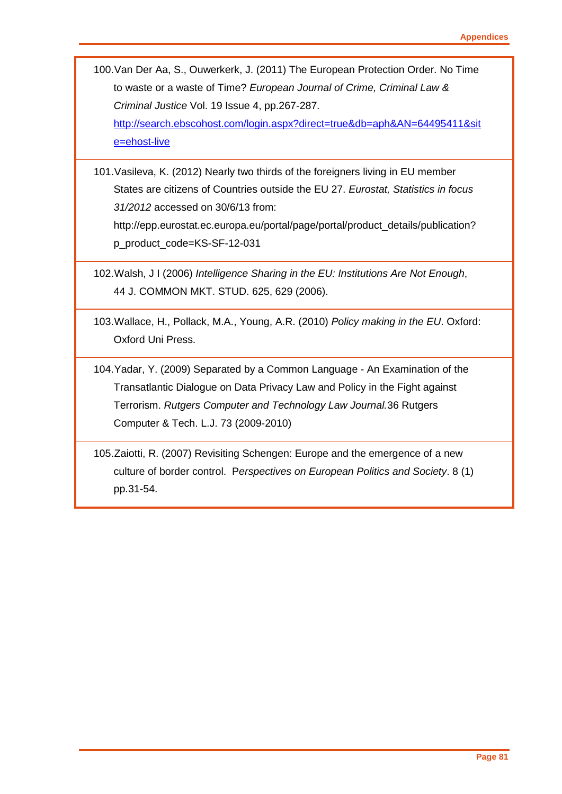- 100.Van Der Aa, S., Ouwerkerk, J. (2011) The European Protection Order. No Time to waste or a waste of Time? *European Journal of Crime, Criminal Law & Criminal Justice* Vol. 19 Issue 4, pp.267-287. [http://search.ebscohost.com/login.aspx?direct=true&db=aph&AN=64495411&sit](http://search.ebscohost.com/login.aspx?direct=true&db=aph&AN=64495411&site=ehost-live) [e=ehost-live](http://search.ebscohost.com/login.aspx?direct=true&db=aph&AN=64495411&site=ehost-live)
- 101.Vasileva, K. (2012) Nearly two thirds of the foreigners living in EU member States are citizens of Countries outside the EU 27. *Eurostat, Statistics in focus 31/2012* accessed on 30/6/13 from: http://epp.eurostat.ec.europa.eu/portal/page/portal/product\_details/publication? p\_product\_code=KS-SF-12-031
- 102.Walsh, J I (2006) *Intelligence Sharing in the EU: Institutions Are Not Enough*, 44 J. COMMON MKT. STUD. 625, 629 (2006).
- 103.Wallace, H., Pollack, M.A., Young, A.R. (2010) *Policy making in the EU*. Oxford: Oxford Uni Press.
- 104.Yadar, Y. (2009) Separated by a Common Language An Examination of the Transatlantic Dialogue on Data Privacy Law and Policy in the Fight against Terrorism. *Rutgers Computer and Technology Law Journal.*36 Rutgers Computer & Tech. L.J. 73 (2009-2010)
- 105.Zaiotti, R. (2007) Revisiting Schengen: Europe and the emergence of a new culture of border control. P*erspectives on European Politics and Society*. 8 (1) pp.31-54.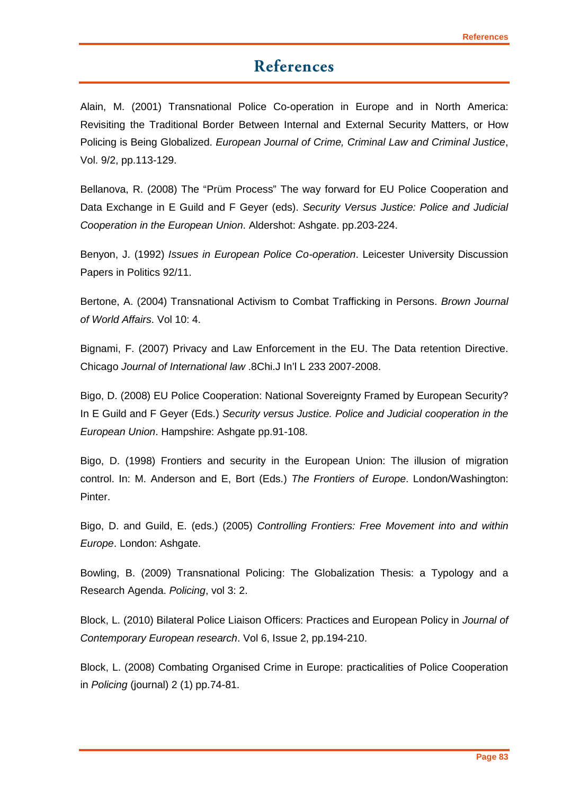## **References**

Alain, M. (2001) Transnational Police Co-operation in Europe and in North America: Revisiting the Traditional Border Between Internal and External Security Matters, or How Policing is Being Globalized. *European Journal of Crime, Criminal Law and Criminal Justice*, Vol. 9/2, pp.113-129.

Bellanova, R. (2008) The "Prüm Process" The way forward for EU Police Cooperation and Data Exchange in E Guild and F Geyer (eds). *Security Versus Justice: Police and Judicial Cooperation in the European Union*. Aldershot: Ashgate. pp.203-224.

Benyon, J. (1992) *Issues in European Police Co-operation*. Leicester University Discussion Papers in Politics 92/11.

Bertone, A. (2004) Transnational Activism to Combat Trafficking in Persons. *Brown Journal of World Affairs*. Vol 10: 4.

Bignami, F. (2007) Privacy and Law Enforcement in the EU. The Data retention Directive. Chicago *Journal of International law* .8Chi.J In'l L 233 2007-2008.

Bigo, D. (2008) EU Police Cooperation: National Sovereignty Framed by European Security? In E Guild and F Geyer (Eds.) *Security versus Justice. Police and Judicial cooperation in the European Union*. Hampshire: Ashgate pp.91-108.

Bigo, D. (1998) Frontiers and security in the European Union: The illusion of migration control. In: M. Anderson and E, Bort (Eds.) *The Frontiers of Europe*. London/Washington: Pinter.

Bigo, D. and Guild, E. (eds.) (2005) *Controlling Frontiers: Free Movement into and within Europe*. London: Ashgate.

Bowling, B. (2009) Transnational Policing: The Globalization Thesis: a Typology and a Research Agenda. *Policing*, vol 3: 2.

Block, L. (2010) Bilateral Police Liaison Officers: Practices and European Policy in *Journal of Contemporary European research*. Vol 6, Issue 2, pp.194-210.

Block, L. (2008) Combating Organised Crime in Europe: practicalities of Police Cooperation in *Policing* (journal) 2 (1) pp.74-81.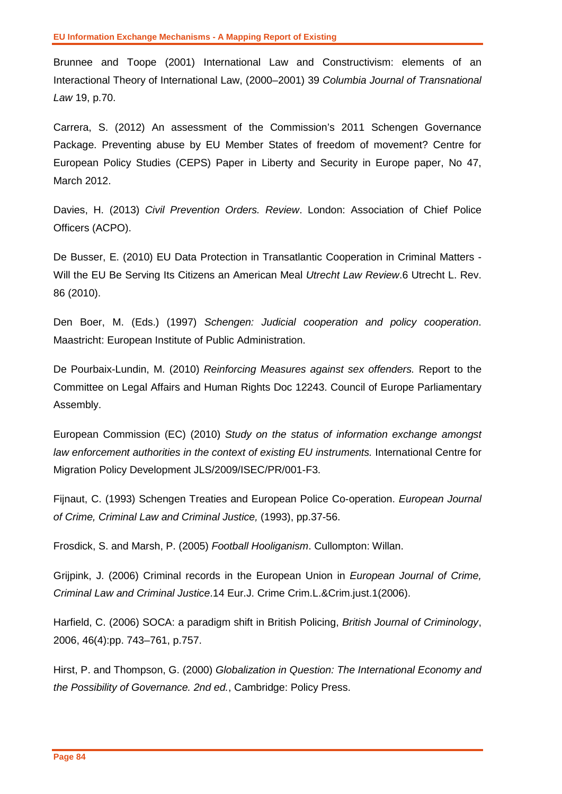Brunnee and Toope (2001) International Law and Constructivism: elements of an Interactional Theory of International Law, (2000–2001) 39 *Columbia Journal of Transnational Law* 19, p.70.

Carrera, S. (2012) An assessment of the Commission's 2011 Schengen Governance Package. Preventing abuse by EU Member States of freedom of movement? Centre for European Policy Studies (CEPS) Paper in Liberty and Security in Europe paper, No 47, March 2012.

Davies, H. (2013) *Civil Prevention Orders. Review*. London: Association of Chief Police Officers (ACPO).

De Busser, E. (2010) EU Data Protection in Transatlantic Cooperation in Criminal Matters - Will the EU Be Serving Its Citizens an American Meal *Utrecht Law Review*.6 Utrecht L. Rev. 86 (2010).

Den Boer, M. (Eds.) (1997) *Schengen: Judicial cooperation and policy cooperation*. Maastricht: European Institute of Public Administration.

De Pourbaix-Lundin, M. (2010) *Reinforcing Measures against sex offenders.* Report to the Committee on Legal Affairs and Human Rights Doc 12243. Council of Europe Parliamentary Assembly.

European Commission (EC) (2010) *Study on the status of information exchange amongst law enforcement authorities in the context of existing EU instruments.* International Centre for Migration Policy Development JLS/2009/ISEC/PR/001-F3.

Fijnaut, C. (1993) Schengen Treaties and European Police Co-operation. *European Journal of Crime, Criminal Law and Criminal Justice,* (1993), pp.37-56.

Frosdick, S. and Marsh, P. (2005) *Football Hooliganism*. Cullompton: Willan.

Grijpink, J. (2006) Criminal records in the European Union in *European Journal of Crime, Criminal Law and Criminal Justice*.14 Eur.J. Crime Crim.L.&Crim.just.1(2006).

Harfield, C. (2006) SOCA: a paradigm shift in British Policing, *British Journal of Criminology*, 2006, 46(4):pp. 743–761, p.757.

Hirst, P. and Thompson, G. (2000) *Globalization in Question: The International Economy and the Possibility of Governance. 2nd ed.*, Cambridge: Policy Press.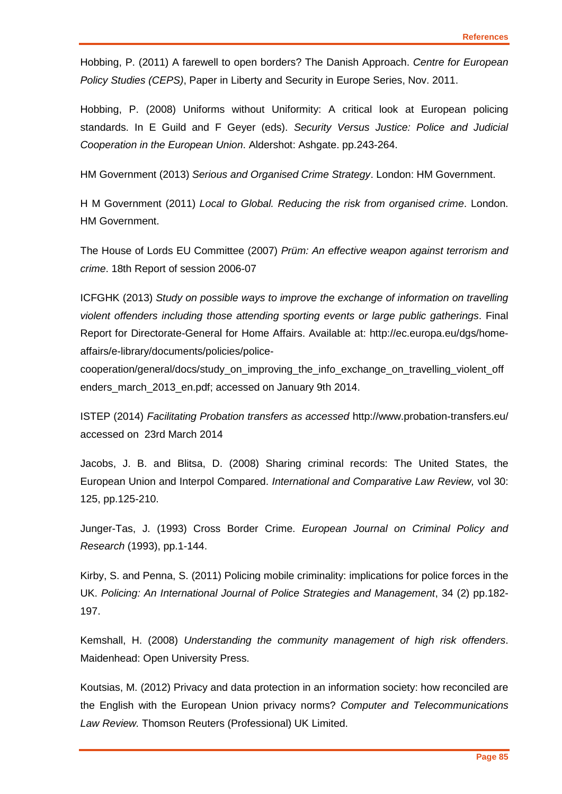Hobbing, P. (2011) A farewell to open borders? The Danish Approach. *Centre for European Policy Studies (CEPS)*, Paper in Liberty and Security in Europe Series, Nov. 2011.

Hobbing, P. (2008) Uniforms without Uniformity: A critical look at European policing standards. In E Guild and F Geyer (eds). *Security Versus Justice: Police and Judicial Cooperation in the European Union*. Aldershot: Ashgate. pp.243-264.

HM Government (2013) *Serious and Organised Crime Strategy*. London: HM Government.

H M Government (2011) *Local to Global. Reducing the risk from organised crime*. London. HM Government.

The House of Lords EU Committee (2007) *Prüm: An effective weapon against terrorism and crime*. 18th Report of session 2006-07

ICFGHK (2013) *Study on possible ways to improve the exchange of information on travelling violent offenders including those attending sporting events or large public gatherings*. Final Report for Directorate-General for Home Affairs. Available at: http://ec.europa.eu/dgs/homeaffairs/e-library/documents/policies/police-

cooperation/general/docs/study\_on\_improving\_the\_info\_exchange\_on\_travelling\_violent\_off enders\_march\_2013\_en.pdf; accessed on January 9th 2014.

ISTEP (2014) *Facilitating Probation transfers as accessed* http://www.probation-transfers.eu/ accessed on 23rd March 2014

Jacobs, J. B. and Blitsa, D. (2008) Sharing criminal records: The United States, the European Union and Interpol Compared. *International and Comparative Law Review,* vol 30: 125, pp.125-210.

Junger-Tas, J. (1993) Cross Border Crime. *European Journal on Criminal Policy and Research* (1993), pp.1-144.

Kirby, S. and Penna, S. (2011) Policing mobile criminality: implications for police forces in the UK. *Policing: An International Journal of Police Strategies and Management*, 34 (2) pp.182- 197.

Kemshall, H. (2008) *Understanding the community management of high risk offenders*. Maidenhead: Open University Press.

Koutsias, M. (2012) Privacy and data protection in an information society: how reconciled are the English with the European Union privacy norms? *Computer and Telecommunications Law Review.* Thomson Reuters (Professional) UK Limited.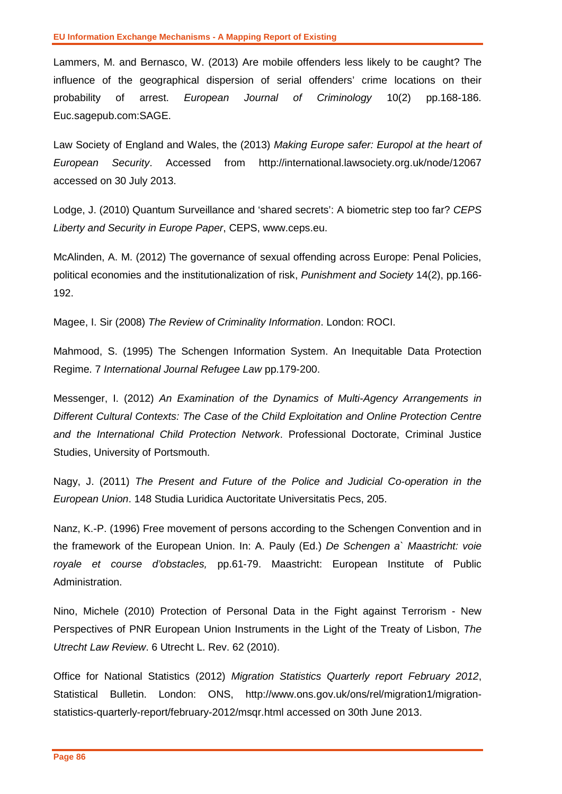Lammers, M. and Bernasco, W. (2013) Are mobile offenders less likely to be caught? The influence of the geographical dispersion of serial offenders' crime locations on their probability of arrest. *European Journal of Criminology* 10(2) pp.168-186. Euc.sagepub.com:SAGE.

Law Society of England and Wales, the (2013) *Making Europe safer: Europol at the heart of European Security*. Accessed from http://international.lawsociety.org.uk/node/12067 accessed on 30 July 2013.

Lodge, J. (2010) Quantum Surveillance and 'shared secrets': A biometric step too far? *CEPS Liberty and Security in Europe Paper*, CEPS, www.ceps.eu.

McAlinden, A. M. (2012) The governance of sexual offending across Europe: Penal Policies, political economies and the institutionalization of risk, *Punishment and Society* 14(2), pp.166- 192.

Magee, I. Sir (2008) *The Review of Criminality Information*. London: ROCI.

Mahmood, S. (1995) The Schengen Information System. An Inequitable Data Protection Regime. 7 *International Journal Refugee Law* pp.179-200.

Messenger, I. (2012) *An Examination of the Dynamics of Multi-Agency Arrangements in Different Cultural Contexts: The Case of the Child Exploitation and Online Protection Centre and the International Child Protection Network*. Professional Doctorate, Criminal Justice Studies, University of Portsmouth.

Nagy, J. (2011) *The Present and Future of the Police and Judicial Co-operation in the European Union*. 148 Studia Luridica Auctoritate Universitatis Pecs, 205.

Nanz, K.-P. (1996) Free movement of persons according to the Schengen Convention and in the framework of the European Union. In: A. Pauly (Ed.) *De Schengen a` Maastricht: voie royale et course d'obstacles,* pp.61-79. Maastricht: European Institute of Public Administration.

Nino, Michele (2010) Protection of Personal Data in the Fight against Terrorism - New Perspectives of PNR European Union Instruments in the Light of the Treaty of Lisbon, *The Utrecht Law Review*. 6 Utrecht L. Rev. 62 (2010).

Office for National Statistics (2012) *Migration Statistics Quarterly report February 2012*, Statistical Bulletin. London: ONS, http://www.ons.gov.uk/ons/rel/migration1/migrationstatistics-quarterly-report/february-2012/msqr.html accessed on 30th June 2013.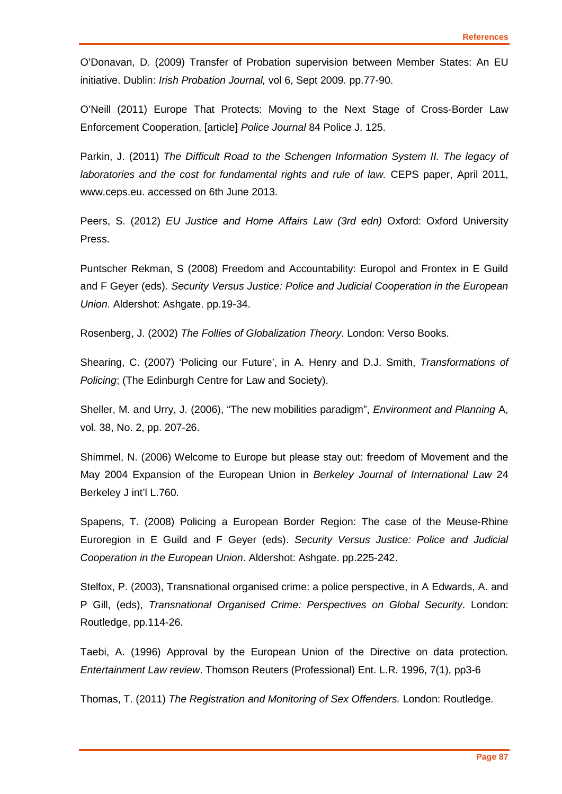O'Donavan, D. (2009) Transfer of Probation supervision between Member States: An EU initiative. Dublin: *Irish Probation Journal,* vol 6, Sept 2009. pp.77-90.

O'Neill (2011) Europe That Protects: Moving to the Next Stage of Cross-Border Law Enforcement Cooperation, [article] *Police Journal* 84 Police J. 125.

Parkin, J. (2011) *The Difficult Road to the Schengen Information System II. The legacy of laboratories and the cost for fundamental rights and rule of law.* CEPS paper, April 2011, www.ceps.eu. accessed on 6th June 2013.

Peers, S. (2012) *EU Justice and Home Affairs Law (3rd edn)* Oxford: Oxford University Press.

Puntscher Rekman, S (2008) Freedom and Accountability: Europol and Frontex in E Guild and F Geyer (eds). *Security Versus Justice: Police and Judicial Cooperation in the European Union*. Aldershot: Ashgate. pp.19-34.

Rosenberg, J. (2002) *The Follies of Globalization Theory*. London: Verso Books.

Shearing, C. (2007) 'Policing our Future', in A. Henry and D.J. Smith, *Transformations of Policing*; (The Edinburgh Centre for Law and Society).

Sheller, M. and Urry, J. (2006), "The new mobilities paradigm", *Environment and Planning* A, vol. 38, No. 2, pp. 207-26.

Shimmel, N. (2006) Welcome to Europe but please stay out: freedom of Movement and the May 2004 Expansion of the European Union in *Berkeley Journal of International Law* 24 Berkeley J int'l L.760.

Spapens, T. (2008) Policing a European Border Region: The case of the Meuse-Rhine Euroregion in E Guild and F Geyer (eds). *Security Versus Justice: Police and Judicial Cooperation in the European Union*. Aldershot: Ashgate. pp.225-242.

Stelfox, P. (2003), Transnational organised crime: a police perspective, in A Edwards, A. and P Gill, (eds), *Transnational Organised Crime: Perspectives on Global Security*. London: Routledge, pp.114-26.

Taebi, A. (1996) Approval by the European Union of the Directive on data protection. *Entertainment Law review*. Thomson Reuters (Professional) Ent. L.R. 1996, 7(1), pp3-6

Thomas, T. (2011) *The Registration and Monitoring of Sex Offenders.* London: Routledge.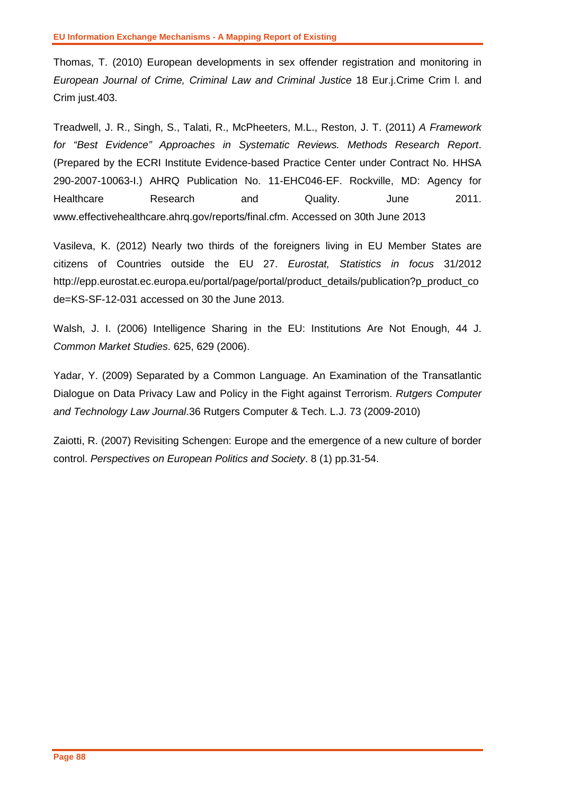Thomas, T. (2010) European developments in sex offender registration and monitoring in *European Journal of Crime, Criminal Law and Criminal Justice* 18 Eur.j.Crime Crim l. and Crim just.403.

Treadwell, J. R., Singh, S., Talati, R., McPheeters, M.L., Reston, J. T. (2011) *A Framework for "Best Evidence" Approaches in Systematic Reviews. Methods Research Report*. (Prepared by the ECRI Institute Evidence-based Practice Center under Contract No. HHSA 290-2007-10063-I.) AHRQ Publication No. 11-EHC046-EF. Rockville, MD: Agency for Healthcare Research and Quality. June 2011. www.effectivehealthcare.ahrq.gov/reports/final.cfm. Accessed on 30th June 2013

Vasileva, K. (2012) Nearly two thirds of the foreigners living in EU Member States are citizens of Countries outside the EU 27. *Eurostat, Statistics in focus* 31/2012 http://epp.eurostat.ec.europa.eu/portal/page/portal/product\_details/publication?p\_product\_co de=KS-SF-12-031 accessed on 30 the June 2013.

Walsh, J. I. (2006) Intelligence Sharing in the EU: Institutions Are Not Enough, 44 J. *Common Market Studies*. 625, 629 (2006).

Yadar, Y. (2009) Separated by a Common Language. An Examination of the Transatlantic Dialogue on Data Privacy Law and Policy in the Fight against Terrorism. *Rutgers Computer and Technology Law Journal*.36 Rutgers Computer & Tech. L.J. 73 (2009-2010)

Zaiotti, R. (2007) Revisiting Schengen: Europe and the emergence of a new culture of border control. *Perspectives on European Politics and Society*. 8 (1) pp.31-54.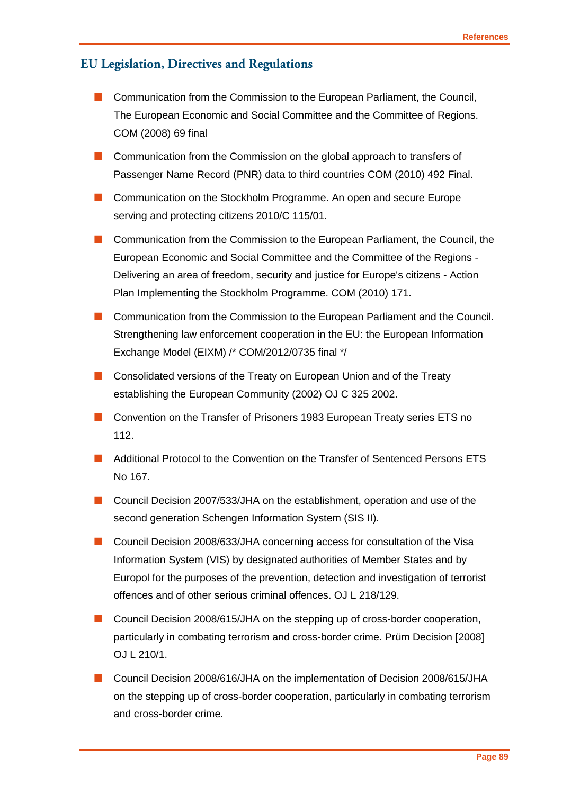## **EU Legislation, Directives and Regulations**

- **Communication from the Commission to the European Parliament, the Council,** The European Economic and Social Committee and the Committee of Regions. COM (2008) 69 final
- **Communication from the Commission on the global approach to transfers of** Passenger Name Record (PNR) data to third countries COM (2010) 492 Final.
- **Communication on the Stockholm Programme. An open and secure Europe** serving and protecting citizens 2010/C 115/01.
- **Communication from the Commission to the European Parliament, the Council, the** European Economic and Social Committee and the Committee of the Regions - Delivering an area of freedom, security and justice for Europe's citizens - Action Plan Implementing the Stockholm Programme. COM (2010) 171.
- **Communication from the Commission to the European Parliament and the Council.** Strengthening law enforcement cooperation in the EU: the European Information Exchange Model (EIXM) /\* COM/2012/0735 final \*/
- Consolidated versions of the Treaty on European Union and of the Treaty establishing the European Community (2002) OJ C 325 2002.
- **Convention on the Transfer of Prisoners 1983 European Treaty series ETS no** 112.
- Additional Protocol to the Convention on the Transfer of Sentenced Persons ETS No 167.
- **D** Council Decision 2007/533/JHA on the establishment, operation and use of the second generation Schengen Information System (SIS II).
- Council Decision 2008/633/JHA concerning access for consultation of the Visa Information System (VIS) by designated authorities of Member States and by Europol for the purposes of the prevention, detection and investigation of terrorist offences and of other serious criminal offences. OJ L 218/129.
- **Council Decision 2008/615/JHA on the stepping up of cross-border cooperation,** particularly in combating terrorism and cross-border crime. Prüm Decision [2008] OJ L 210/1.
- Council Decision 2008/616/JHA on the implementation of Decision 2008/615/JHA on the stepping up of cross-border cooperation, particularly in combating terrorism and cross-border crime.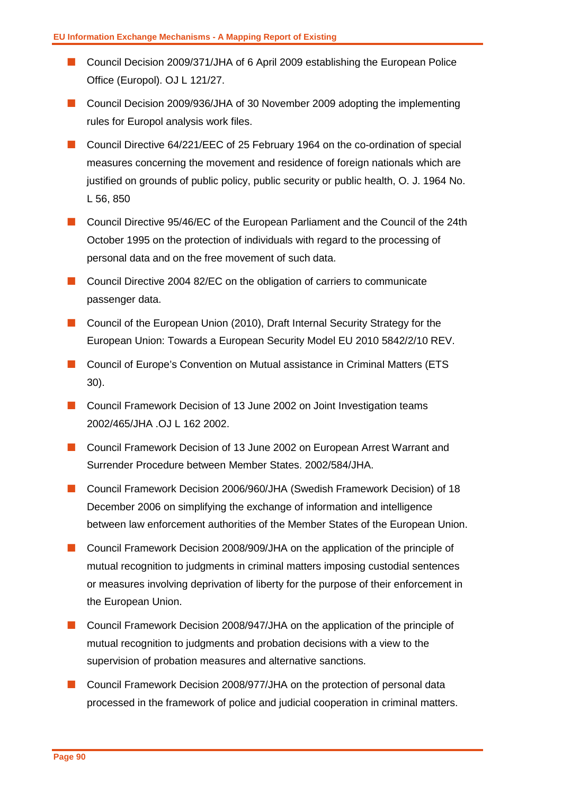- Council Decision 2009/371/JHA of 6 April 2009 establishing the European Police Office (Europol). OJ L 121/27.
- Council Decision 2009/936/JHA of 30 November 2009 adopting the implementing rules for Europol analysis work files.
- Council Directive 64/221/EEC of 25 February 1964 on the co-ordination of special measures concerning the movement and residence of foreign nationals which are justified on grounds of public policy, public security or public health, O. J. 1964 No. L 56, 850
- Council Directive 95/46/EC of the European Parliament and the Council of the 24th October 1995 on the protection of individuals with regard to the processing of personal data and on the free movement of such data.
- Council Directive 2004 82/EC on the obligation of carriers to communicate passenger data.
- **Council of the European Union (2010), Draft Internal Security Strategy for the** European Union: Towards a European Security Model EU 2010 5842/2/10 REV.
- Council of Europe's Convention on Mutual assistance in Criminal Matters (ETS 30).
- **D** Council Framework Decision of 13 June 2002 on Joint Investigation teams 2002/465/JHA .OJ L 162 2002.
- Council Framework Decision of 13 June 2002 on European Arrest Warrant and Surrender Procedure between Member States. 2002/584/JHA.
- Council Framework Decision 2006/960/JHA (Swedish Framework Decision) of 18 December 2006 on simplifying the exchange of information and intelligence between law enforcement authorities of the Member States of the European Union.
- **Council Framework Decision 2008/909/JHA on the application of the principle of** mutual recognition to judgments in criminal matters imposing custodial sentences or measures involving deprivation of liberty for the purpose of their enforcement in the European Union.
- **Council Framework Decision 2008/947/JHA on the application of the principle of** mutual recognition to judgments and probation decisions with a view to the supervision of probation measures and alternative sanctions.
- **Council Framework Decision 2008/977/JHA on the protection of personal data** processed in the framework of police and judicial cooperation in criminal matters.